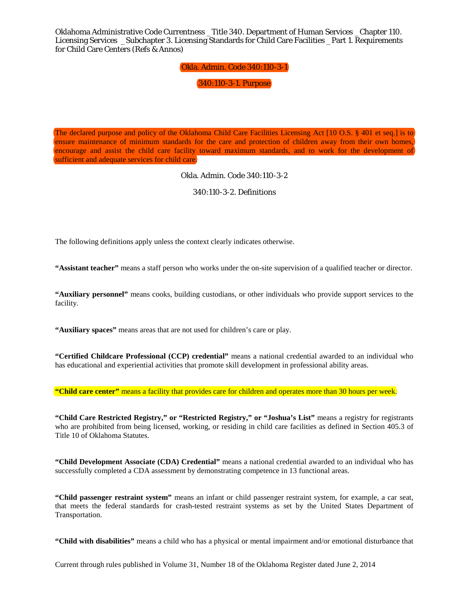# Okla. Admin. Code 340:110-3-1

340:110-3-1. Purpose

The declared purpose and policy of the Oklahoma Child Care Facilities Licensing Act [10 O.S. § 401 et seq.] is to ensure maintenance of minimum standards for the care and protection of children away from their own homes, encourage and assist the child care facility toward maximum standards, and to work for the development of sufficient and adequate services for child care.

Okla. Admin. Code 340:110-3-2

340:110-3-2. Definitions

The following definitions apply unless the context clearly indicates otherwise.

**"Assistant teacher"** means a staff person who works under the on-site supervision of a qualified teacher or director.

**"Auxiliary personnel"** means cooks, building custodians, or other individuals who provide support services to the facility.

**"Auxiliary spaces"** means areas that are not used for children's care or play.

**"Certified Childcare Professional (CCP) credential"** means a national credential awarded to an individual who has educational and experiential activities that promote skill development in professional ability areas.

**"Child care center"** means a facility that provides care for children and operates more than 30 hours per week.

**"Child Care Restricted Registry," or "Restricted Registry," or "Joshua's List"** means a registry for registrants who are prohibited from being licensed, working, or residing in child care facilities as defined in Section 405.3 of Title 10 of Oklahoma Statutes.

**"Child Development Associate (CDA) Credential"** means a national credential awarded to an individual who has successfully completed a CDA assessment by demonstrating competence in 13 functional areas.

**"Child passenger restraint system"** means an infant or child passenger restraint system, for example, a car seat, that meets the federal standards for crash-tested restraint systems as set by the United States Department of Transportation.

**"Child with disabilities"** means a child who has a physical or mental impairment and/or emotional disturbance that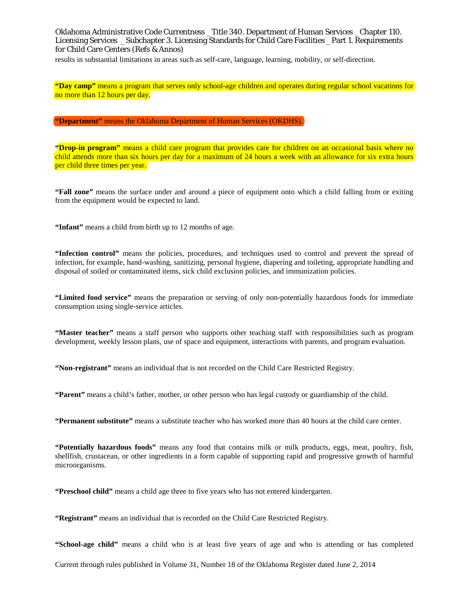results in substantial limitations in areas such as self-care, language, learning, mobility, or self-direction.

**"Day camp"** means a program that serves only school-age children and operates during regular school vacations for no more than 12 hours per day.

**"Department"** means the Oklahoma Department of Human Services (OKDHS).

**"Drop-in program"** means a child care program that provides care for children on an occasional basis where no child attends more than six hours per day for a maximum of 24 hours a week with an allowance for six extra hours per child three times per year.

**"Fall zone"** means the surface under and around a piece of equipment onto which a child falling from or exiting from the equipment would be expected to land.

**"Infant"** means a child from birth up to 12 months of age.

**"Infection control"** means the policies, procedures, and techniques used to control and prevent the spread of infection, for example, hand-washing, sanitizing, personal hygiene, diapering and toileting, appropriate handling and disposal of soiled or contaminated items, sick child exclusion policies, and immunization policies.

**"Limited food service"** means the preparation or serving of only non-potentially hazardous foods for immediate consumption using single-service articles.

**"Master teacher"** means a staff person who supports other teaching staff with responsibilities such as program development, weekly lesson plans, use of space and equipment, interactions with parents, and program evaluation.

**"Non-registrant"** means an individual that is not recorded on the Child Care Restricted Registry.

**"Parent"** means a child's father, mother, or other person who has legal custody or guardianship of the child.

**"Permanent substitute"** means a substitute teacher who has worked more than 40 hours at the child care center.

**"Potentially hazardous foods"** means any food that contains milk or milk products, eggs, meat, poultry, fish, shellfish, crustacean, or other ingredients in a form capable of supporting rapid and progressive growth of harmful microorganisms.

**"Preschool child"** means a child age three to five years who has not entered kindergarten.

**"Registrant"** means an individual that is recorded on the Child Care Restricted Registry.

**"School-age child"** means a child who is at least five years of age and who is attending or has completed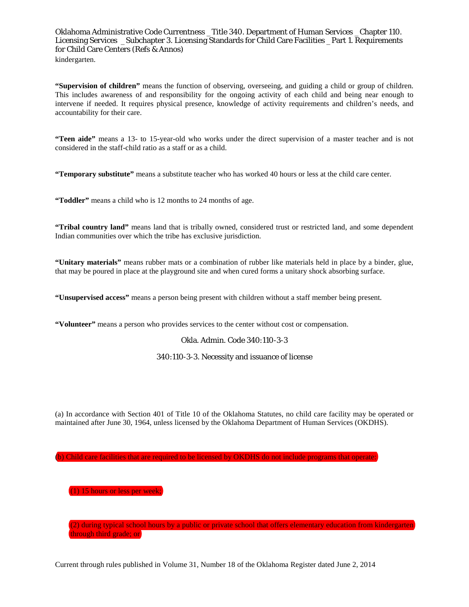**"Supervision of children"** means the function of observing, overseeing, and guiding a child or group of children. This includes awareness of and responsibility for the ongoing activity of each child and being near enough to intervene if needed. It requires physical presence, knowledge of activity requirements and children's needs, and accountability for their care.

**"Teen aide"** means a 13- to 15-year-old who works under the direct supervision of a master teacher and is not considered in the staff-child ratio as a staff or as a child.

**"Temporary substitute"** means a substitute teacher who has worked 40 hours or less at the child care center.

**"Toddler"** means a child who is 12 months to 24 months of age.

**"Tribal country land"** means land that is tribally owned, considered trust or restricted land, and some dependent Indian communities over which the tribe has exclusive jurisdiction.

**"Unitary materials"** means rubber mats or a combination of rubber like materials held in place by a binder, glue, that may be poured in place at the playground site and when cured forms a unitary shock absorbing surface.

**"Unsupervised access"** means a person being present with children without a staff member being present.

**"Volunteer"** means a person who provides services to the center without cost or compensation.

#### Okla. Admin. Code 340:110-3-3

#### 340:110-3-3. Necessity and issuance of license

(a) In accordance with Section 401 of Title 10 of the Oklahoma Statutes, no child care facility may be operated or maintained after June 30, 1964, unless licensed by the Oklahoma Department of Human Services (OKDHS).

(b) Child care facilities that are required to be licensed by OKDHS do not include programs that operate:

(1) 15 hours or less per week;

(2) during typical school hours by a public or private school that offers elementary education from kindergarten through third grade; or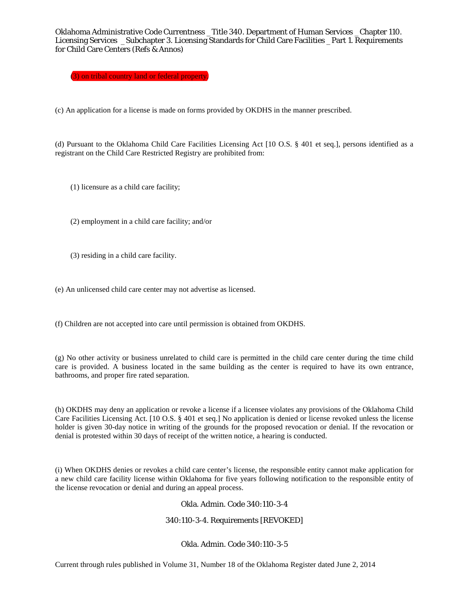(3) on tribal country land or federal property.

(c) An application for a license is made on forms provided by OKDHS in the manner prescribed.

(d) Pursuant to the Oklahoma Child Care Facilities Licensing Act [10 O.S. § 401 et seq.], persons identified as a registrant on the Child Care Restricted Registry are prohibited from:

(1) licensure as a child care facility;

(2) employment in a child care facility; and/or

(3) residing in a child care facility.

(e) An unlicensed child care center may not advertise as licensed.

(f) Children are not accepted into care until permission is obtained from OKDHS.

(g) No other activity or business unrelated to child care is permitted in the child care center during the time child care is provided. A business located in the same building as the center is required to have its own entrance, bathrooms, and proper fire rated separation.

(h) OKDHS may deny an application or revoke a license if a licensee violates any provisions of the Oklahoma Child Care Facilities Licensing Act. [10 O.S. § 401 et seq.] No application is denied or license revoked unless the license holder is given 30-day notice in writing of the grounds for the proposed revocation or denial. If the revocation or denial is protested within 30 days of receipt of the written notice, a hearing is conducted.

(i) When OKDHS denies or revokes a child care center's license, the responsible entity cannot make application for a new child care facility license within Oklahoma for five years following notification to the responsible entity of the license revocation or denial and during an appeal process.

Okla. Admin. Code 340:110-3-4

340:110-3-4. Requirements [REVOKED]

Okla. Admin. Code 340:110-3-5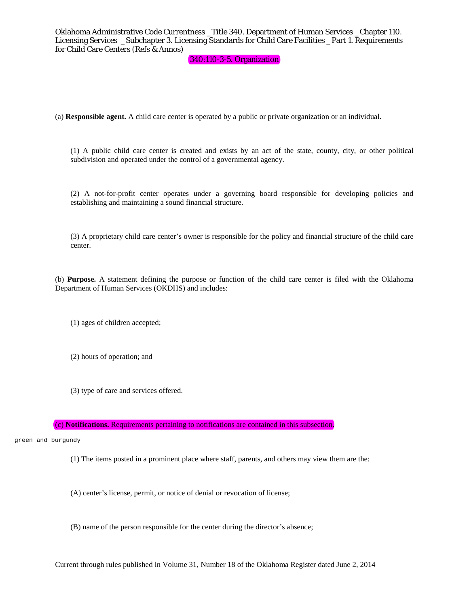## 340:110-3-5. Organization

(a) **Responsible agent.** A child care center is operated by a public or private organization or an individual.

(1) A public child care center is created and exists by an act of the state, county, city, or other political subdivision and operated under the control of a governmental agency.

(2) A not-for-profit center operates under a governing board responsible for developing policies and establishing and maintaining a sound financial structure.

(3) A proprietary child care center's owner is responsible for the policy and financial structure of the child care center.

(b) **Purpose.** A statement defining the purpose or function of the child care center is filed with the Oklahoma Department of Human Services (OKDHS) and includes:

(1) ages of children accepted;

(2) hours of operation; and

(3) type of care and services offered.

(c) **Notifications.** Requirements pertaining to notifications are contained in this subsection.

green and burgundy

(1) The items posted in a prominent place where staff, parents, and others may view them are the:

(A) center's license, permit, or notice of denial or revocation of license;

(B) name of the person responsible for the center during the director's absence;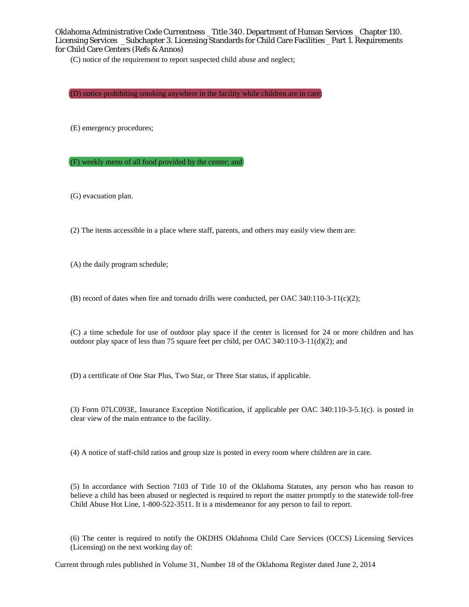(C) notice of the requirement to report suspected child abuse and neglect;

(D) notice prohibiting smoking anywhere in the facility while children are in care;

(E) emergency procedures;

(F) weekly menu of all food provided by the center; and

(G) evacuation plan.

(2) The items accessible in a place where staff, parents, and others may easily view them are:

(A) the daily program schedule;

(B) record of dates when fire and tornado drills were conducted, per OAC 340:110-3-11(c)(2);

(C) a time schedule for use of outdoor play space if the center is licensed for 24 or more children and has outdoor play space of less than 75 square feet per child, per OAC 340:110-3-11(d)(2); and

(D) a certificate of One Star Plus, Two Star, or Three Star status, if applicable.

(3) Form 07LC093E, Insurance Exception Notification, if applicable per OAC 340:110-3-5.1(c). is posted in clear view of the main entrance to the facility.

(4) A notice of staff-child ratios and group size is posted in every room where children are in care.

(5) In accordance with Section 7103 of Title 10 of the Oklahoma Statutes, any person who has reason to believe a child has been abused or neglected is required to report the matter promptly to the statewide toll-free Child Abuse Hot Line, 1-800-522-3511. It is a misdemeanor for any person to fail to report.

(6) The center is required to notify the OKDHS Oklahoma Child Care Services (OCCS) Licensing Services (Licensing) on the next working day of: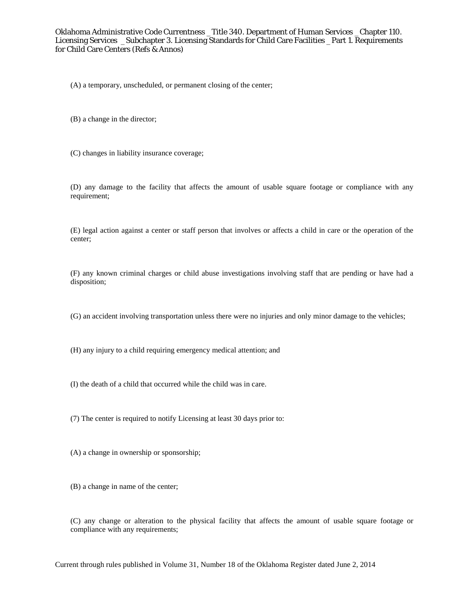(A) a temporary, unscheduled, or permanent closing of the center;

(B) a change in the director;

(C) changes in liability insurance coverage;

(D) any damage to the facility that affects the amount of usable square footage or compliance with any requirement;

(E) legal action against a center or staff person that involves or affects a child in care or the operation of the center;

(F) any known criminal charges or child abuse investigations involving staff that are pending or have had a disposition;

(G) an accident involving transportation unless there were no injuries and only minor damage to the vehicles;

(H) any injury to a child requiring emergency medical attention; and

(I) the death of a child that occurred while the child was in care.

(7) The center is required to notify Licensing at least 30 days prior to:

(A) a change in ownership or sponsorship;

(B) a change in name of the center;

(C) any change or alteration to the physical facility that affects the amount of usable square footage or compliance with any requirements;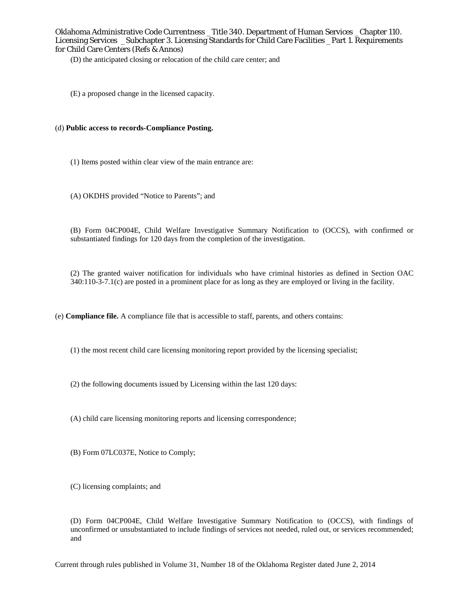(D) the anticipated closing or relocation of the child care center; and

(E) a proposed change in the licensed capacity.

## (d) **Public access to records-Compliance Posting.**

- (1) Items posted within clear view of the main entrance are:
- (A) OKDHS provided "Notice to Parents"; and

(B) Form 04CP004E, Child Welfare Investigative Summary Notification to (OCCS), with confirmed or substantiated findings for 120 days from the completion of the investigation.

(2) The granted waiver notification for individuals who have criminal histories as defined in Section OAC 340:110-3-7.1(c) are posted in a prominent place for as long as they are employed or living in the facility.

(e) **Compliance file.** A compliance file that is accessible to staff, parents, and others contains:

(1) the most recent child care licensing monitoring report provided by the licensing specialist;

(2) the following documents issued by Licensing within the last 120 days:

(A) child care licensing monitoring reports and licensing correspondence;

(B) Form 07LC037E, Notice to Comply;

(C) licensing complaints; and

(D) Form 04CP004E, Child Welfare Investigative Summary Notification to (OCCS), with findings of unconfirmed or unsubstantiated to include findings of services not needed, ruled out, or services recommended; and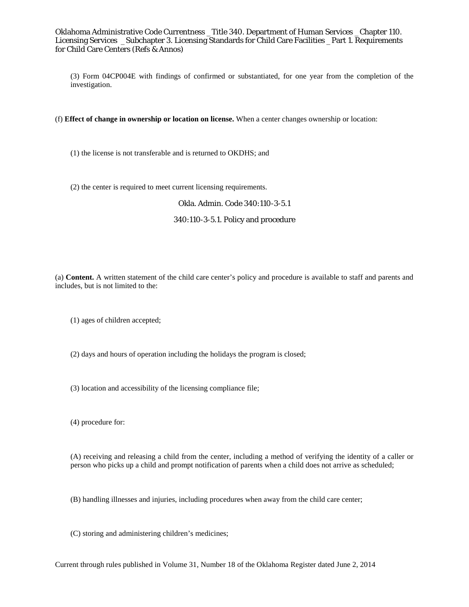(3) Form 04CP004E with findings of confirmed or substantiated, for one year from the completion of the investigation.

(f) **Effect of change in ownership or location on license.** When a center changes ownership or location:

(1) the license is not transferable and is returned to OKDHS; and

(2) the center is required to meet current licensing requirements.

#### Okla. Admin. Code 340:110-3-5.1

## 340:110-3-5.1. Policy and procedure

(a) **Content.** A written statement of the child care center's policy and procedure is available to staff and parents and includes, but is not limited to the:

(1) ages of children accepted;

(2) days and hours of operation including the holidays the program is closed;

(3) location and accessibility of the licensing compliance file;

(4) procedure for:

(A) receiving and releasing a child from the center, including a method of verifying the identity of a caller or person who picks up a child and prompt notification of parents when a child does not arrive as scheduled;

(B) handling illnesses and injuries, including procedures when away from the child care center;

(C) storing and administering children's medicines;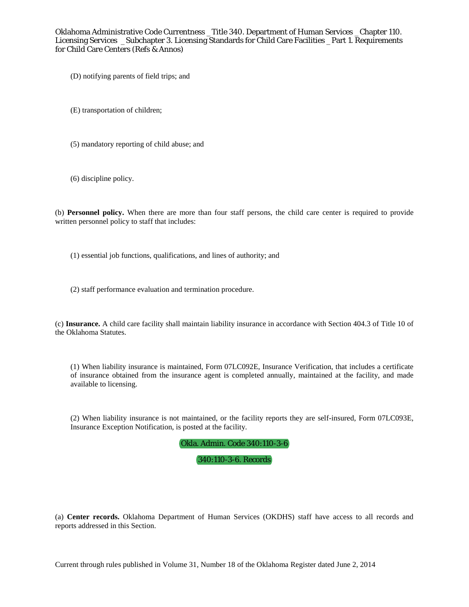(D) notifying parents of field trips; and

(E) transportation of children;

(5) mandatory reporting of child abuse; and

(6) discipline policy.

(b) **Personnel policy.** When there are more than four staff persons, the child care center is required to provide written personnel policy to staff that includes:

(1) essential job functions, qualifications, and lines of authority; and

(2) staff performance evaluation and termination procedure.

(c) **Insurance.** A child care facility shall maintain liability insurance in accordance with Section 404.3 of Title 10 of the Oklahoma Statutes.

(1) When liability insurance is maintained, Form 07LC092E, Insurance Verification, that includes a certificate of insurance obtained from the insurance agent is completed annually, maintained at the facility, and made available to licensing.

(2) When liability insurance is not maintained, or the facility reports they are self-insured, Form 07LC093E, Insurance Exception Notification, is posted at the facility.

Okla. Admin. Code 340:110-3-6

## 340:110-3-6. Records

(a) **Center records.** Oklahoma Department of Human Services (OKDHS) staff have access to all records and reports addressed in this Section.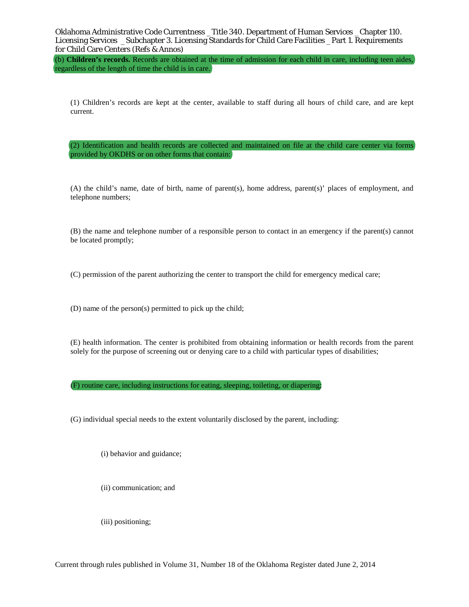(b) **Children's records.** Records are obtained at the time of admission for each child in care, including teen aides, regardless of the length of time the child is in care.

(1) Children's records are kept at the center, available to staff during all hours of child care, and are kept current.

(2) Identification and health records are collected and maintained on file at the child care center via forms provided by OKDHS or on other forms that contain:

(A) the child's name, date of birth, name of parent(s), home address, parent(s)' places of employment, and telephone numbers;

(B) the name and telephone number of a responsible person to contact in an emergency if the parent(s) cannot be located promptly;

(C) permission of the parent authorizing the center to transport the child for emergency medical care;

(D) name of the person(s) permitted to pick up the child;

(E) health information. The center is prohibited from obtaining information or health records from the parent solely for the purpose of screening out or denying care to a child with particular types of disabilities;

(F) routine care, including instructions for eating, sleeping, toileting, or diapering;

(G) individual special needs to the extent voluntarily disclosed by the parent, including:

(i) behavior and guidance;

(ii) communication; and

(iii) positioning;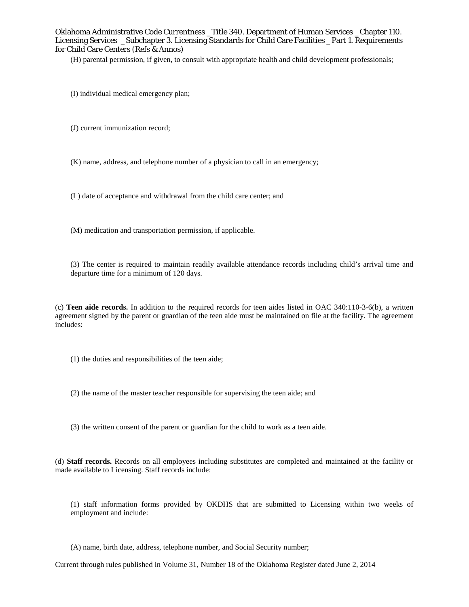(H) parental permission, if given, to consult with appropriate health and child development professionals;

- (I) individual medical emergency plan;
- (J) current immunization record;
- (K) name, address, and telephone number of a physician to call in an emergency;
- (L) date of acceptance and withdrawal from the child care center; and
- (M) medication and transportation permission, if applicable.

(3) The center is required to maintain readily available attendance records including child's arrival time and departure time for a minimum of 120 days.

(c) **Teen aide records.** In addition to the required records for teen aides listed in OAC 340:110-3-6(b), a written agreement signed by the parent or guardian of the teen aide must be maintained on file at the facility. The agreement includes:

(1) the duties and responsibilities of the teen aide;

- (2) the name of the master teacher responsible for supervising the teen aide; and
- (3) the written consent of the parent or guardian for the child to work as a teen aide.

(d) **Staff records.** Records on all employees including substitutes are completed and maintained at the facility or made available to Licensing. Staff records include:

(1) staff information forms provided by OKDHS that are submitted to Licensing within two weeks of employment and include:

(A) name, birth date, address, telephone number, and Social Security number;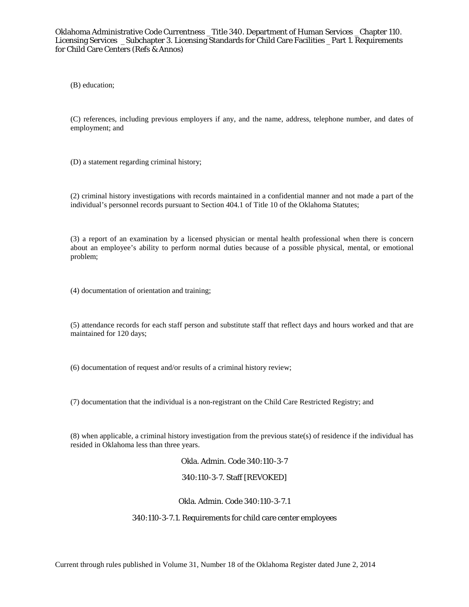(B) education;

(C) references, including previous employers if any, and the name, address, telephone number, and dates of employment; and

(D) a statement regarding criminal history;

(2) criminal history investigations with records maintained in a confidential manner and not made a part of the individual's personnel records pursuant to Section 404.1 of Title 10 of the Oklahoma Statutes;

(3) a report of an examination by a licensed physician or mental health professional when there is concern about an employee's ability to perform normal duties because of a possible physical, mental, or emotional problem;

(4) documentation of orientation and training;

(5) attendance records for each staff person and substitute staff that reflect days and hours worked and that are maintained for 120 days;

(6) documentation of request and/or results of a criminal history review;

(7) documentation that the individual is a non-registrant on the Child Care Restricted Registry; and

(8) when applicable, a criminal history investigation from the previous state(s) of residence if the individual has resided in Oklahoma less than three years.

Okla. Admin. Code 340:110-3-7

340:110-3-7. Staff [REVOKED]

Okla. Admin. Code 340:110-3-7.1

## 340:110-3-7.1. Requirements for child care center employees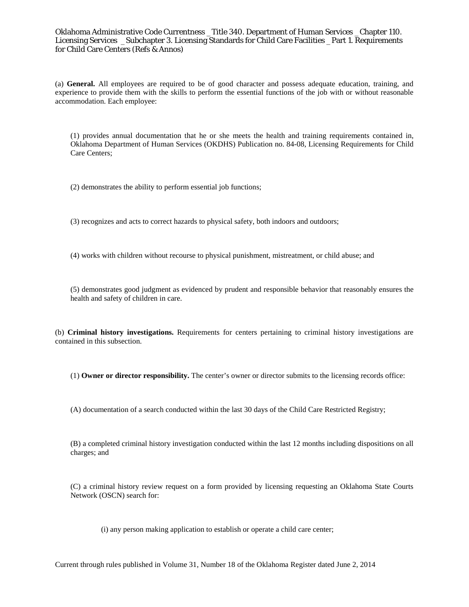(a) **General.** All employees are required to be of good character and possess adequate education, training, and experience to provide them with the skills to perform the essential functions of the job with or without reasonable accommodation. Each employee:

(1) provides annual documentation that he or she meets the health and training requirements contained in, Oklahoma Department of Human Services (OKDHS) Publication no. 84-08, Licensing Requirements for Child Care Centers;

(2) demonstrates the ability to perform essential job functions;

(3) recognizes and acts to correct hazards to physical safety, both indoors and outdoors;

(4) works with children without recourse to physical punishment, mistreatment, or child abuse; and

(5) demonstrates good judgment as evidenced by prudent and responsible behavior that reasonably ensures the health and safety of children in care.

(b) **Criminal history investigations.** Requirements for centers pertaining to criminal history investigations are contained in this subsection.

(1) **Owner or director responsibility.** The center's owner or director submits to the licensing records office:

(A) documentation of a search conducted within the last 30 days of the Child Care Restricted Registry;

(B) a completed criminal history investigation conducted within the last 12 months including dispositions on all charges; and

(C) a criminal history review request on a form provided by licensing requesting an Oklahoma State Courts Network (OSCN) search for:

(i) any person making application to establish or operate a child care center;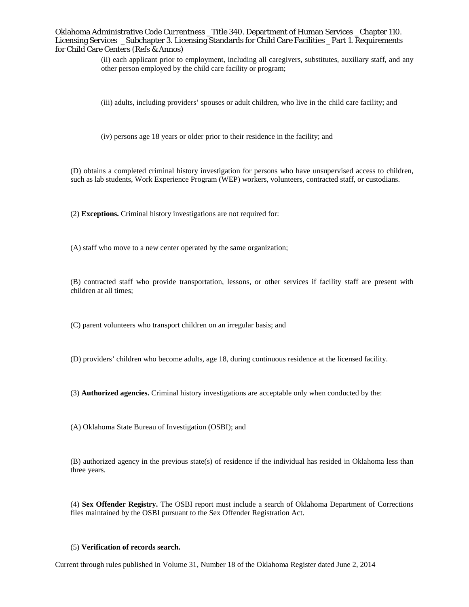> (ii) each applicant prior to employment, including all caregivers, substitutes, auxiliary staff, and any other person employed by the child care facility or program;

(iii) adults, including providers' spouses or adult children, who live in the child care facility; and

(iv) persons age 18 years or older prior to their residence in the facility; and

(D) obtains a completed criminal history investigation for persons who have unsupervised access to children, such as lab students, Work Experience Program (WEP) workers, volunteers, contracted staff, or custodians.

(2) **Exceptions.** Criminal history investigations are not required for:

(A) staff who move to a new center operated by the same organization;

(B) contracted staff who provide transportation, lessons, or other services if facility staff are present with children at all times;

(C) parent volunteers who transport children on an irregular basis; and

(D) providers' children who become adults, age 18, during continuous residence at the licensed facility.

(3) **Authorized agencies.** Criminal history investigations are acceptable only when conducted by the:

(A) Oklahoma State Bureau of Investigation (OSBI); and

(B) authorized agency in the previous state(s) of residence if the individual has resided in Oklahoma less than three years.

(4) **Sex Offender Registry.** The OSBI report must include a search of Oklahoma Department of Corrections files maintained by the OSBI pursuant to the Sex Offender Registration Act.

#### (5) **Verification of records search.**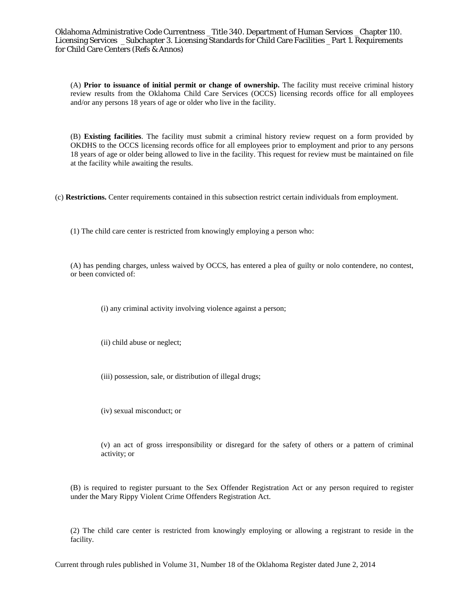(A) **Prior to issuance of initial permit or change of ownership.** The facility must receive criminal history review results from the Oklahoma Child Care Services (OCCS) licensing records office for all employees and/or any persons 18 years of age or older who live in the facility.

(B) **Existing facilities**. The facility must submit a criminal history review request on a form provided by OKDHS to the OCCS licensing records office for all employees prior to employment and prior to any persons 18 years of age or older being allowed to live in the facility. This request for review must be maintained on file at the facility while awaiting the results.

(c) **Restrictions.** Center requirements contained in this subsection restrict certain individuals from employment.

(1) The child care center is restricted from knowingly employing a person who:

(A) has pending charges, unless waived by OCCS, has entered a plea of guilty or nolo contendere, no contest, or been convicted of:

(i) any criminal activity involving violence against a person;

(ii) child abuse or neglect;

(iii) possession, sale, or distribution of illegal drugs;

(iv) sexual misconduct; or

(v) an act of gross irresponsibility or disregard for the safety of others or a pattern of criminal activity; or

(B) is required to register pursuant to the Sex Offender Registration Act or any person required to register under the Mary Rippy Violent Crime Offenders Registration Act.

(2) The child care center is restricted from knowingly employing or allowing a registrant to reside in the facility.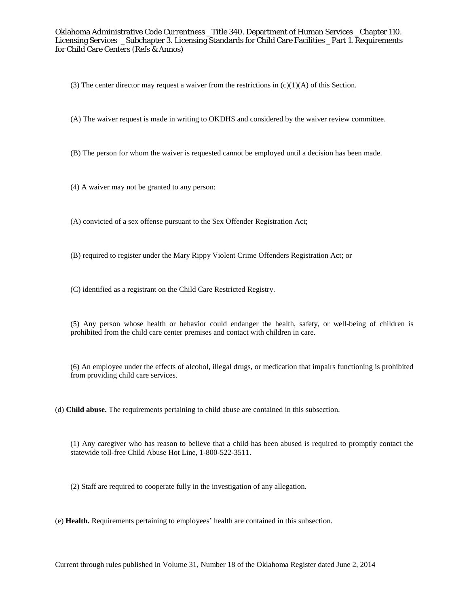(3) The center director may request a waiver from the restrictions in  $(c)(1)(A)$  of this Section.

(A) The waiver request is made in writing to OKDHS and considered by the waiver review committee.

(B) The person for whom the waiver is requested cannot be employed until a decision has been made.

(4) A waiver may not be granted to any person:

(A) convicted of a sex offense pursuant to the Sex Offender Registration Act;

(B) required to register under the Mary Rippy Violent Crime Offenders Registration Act; or

(C) identified as a registrant on the Child Care Restricted Registry.

(5) Any person whose health or behavior could endanger the health, safety, or well-being of children is prohibited from the child care center premises and contact with children in care.

(6) An employee under the effects of alcohol, illegal drugs, or medication that impairs functioning is prohibited from providing child care services.

(d) **Child abuse.** The requirements pertaining to child abuse are contained in this subsection.

(1) Any caregiver who has reason to believe that a child has been abused is required to promptly contact the statewide toll-free Child Abuse Hot Line, 1-800-522-3511.

(2) Staff are required to cooperate fully in the investigation of any allegation.

(e) **Health.** Requirements pertaining to employees' health are contained in this subsection.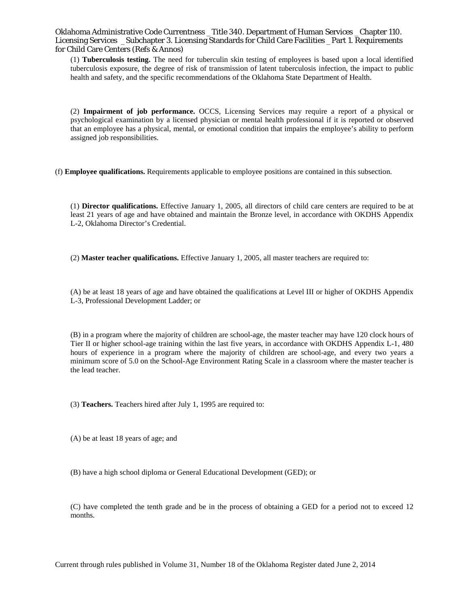(1) **Tuberculosis testing.** The need for tuberculin skin testing of employees is based upon a local identified tuberculosis exposure, the degree of risk of transmission of latent tuberculosis infection, the impact to public health and safety, and the specific recommendations of the Oklahoma State Department of Health.

(2) **Impairment of job performance.** OCCS, Licensing Services may require a report of a physical or psychological examination by a licensed physician or mental health professional if it is reported or observed that an employee has a physical, mental, or emotional condition that impairs the employee's ability to perform assigned job responsibilities.

(f) **Employee qualifications.** Requirements applicable to employee positions are contained in this subsection.

(1) **Director qualifications.** Effective January 1, 2005, all directors of child care centers are required to be at least 21 years of age and have obtained and maintain the Bronze level, in accordance with OKDHS Appendix L-2, Oklahoma Director's Credential.

(2) **Master teacher qualifications.** Effective January 1, 2005, all master teachers are required to:

(A) be at least 18 years of age and have obtained the qualifications at Level III or higher of OKDHS Appendix L-3, Professional Development Ladder; or

(B) in a program where the majority of children are school-age, the master teacher may have 120 clock hours of Tier II or higher school-age training within the last five years, in accordance with OKDHS Appendix L-1, 480 hours of experience in a program where the majority of children are school-age, and every two years a minimum score of 5.0 on the School-Age Environment Rating Scale in a classroom where the master teacher is the lead teacher.

(3) **Teachers.** Teachers hired after July 1, 1995 are required to:

(A) be at least 18 years of age; and

(B) have a high school diploma or General Educational Development (GED); or

(C) have completed the tenth grade and be in the process of obtaining a GED for a period not to exceed 12 months.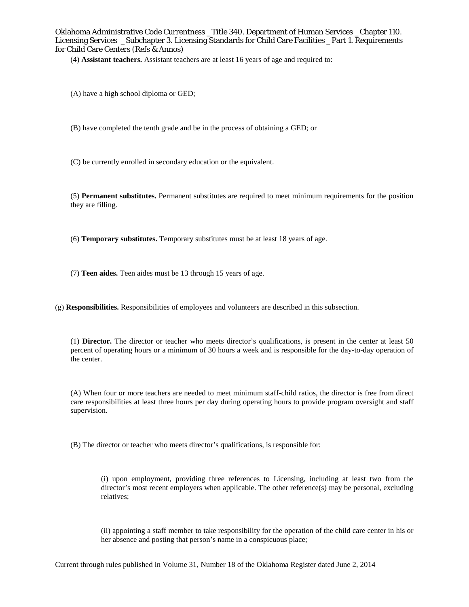(4) **Assistant teachers.** Assistant teachers are at least 16 years of age and required to:

- (A) have a high school diploma or GED;
- (B) have completed the tenth grade and be in the process of obtaining a GED; or
- (C) be currently enrolled in secondary education or the equivalent.

(5) **Permanent substitutes.** Permanent substitutes are required to meet minimum requirements for the position they are filling.

(6) **Temporary substitutes.** Temporary substitutes must be at least 18 years of age.

- (7) **Teen aides.** Teen aides must be 13 through 15 years of age.
- (g) **Responsibilities.** Responsibilities of employees and volunteers are described in this subsection.

(1) **Director.** The director or teacher who meets director's qualifications, is present in the center at least 50 percent of operating hours or a minimum of 30 hours a week and is responsible for the day-to-day operation of the center.

(A) When four or more teachers are needed to meet minimum staff-child ratios, the director is free from direct care responsibilities at least three hours per day during operating hours to provide program oversight and staff supervision.

(B) The director or teacher who meets director's qualifications, is responsible for:

(i) upon employment, providing three references to Licensing, including at least two from the director's most recent employers when applicable. The other reference(s) may be personal, excluding relatives;

(ii) appointing a staff member to take responsibility for the operation of the child care center in his or her absence and posting that person's name in a conspicuous place;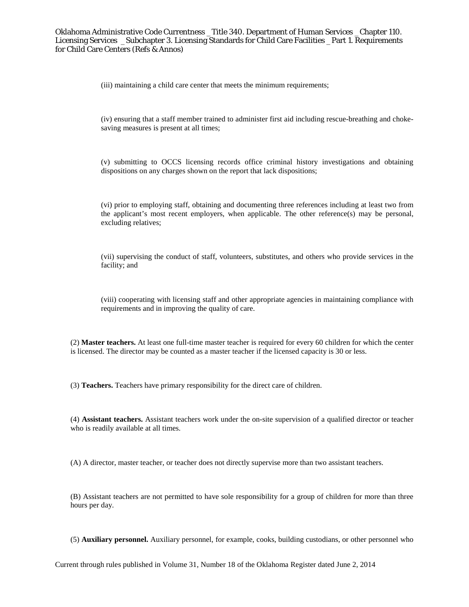(iii) maintaining a child care center that meets the minimum requirements;

(iv) ensuring that a staff member trained to administer first aid including rescue-breathing and chokesaving measures is present at all times;

(v) submitting to OCCS licensing records office criminal history investigations and obtaining dispositions on any charges shown on the report that lack dispositions;

(vi) prior to employing staff, obtaining and documenting three references including at least two from the applicant's most recent employers, when applicable. The other reference(s) may be personal, excluding relatives;

(vii) supervising the conduct of staff, volunteers, substitutes, and others who provide services in the facility; and

(viii) cooperating with licensing staff and other appropriate agencies in maintaining compliance with requirements and in improving the quality of care.

(2) **Master teachers.** At least one full-time master teacher is required for every 60 children for which the center is licensed. The director may be counted as a master teacher if the licensed capacity is 30 or less.

(3) **Teachers.** Teachers have primary responsibility for the direct care of children.

(4) **Assistant teachers.** Assistant teachers work under the on-site supervision of a qualified director or teacher who is readily available at all times.

(A) A director, master teacher, or teacher does not directly supervise more than two assistant teachers.

(B) Assistant teachers are not permitted to have sole responsibility for a group of children for more than three hours per day.

(5) **Auxiliary personnel.** Auxiliary personnel, for example, cooks, building custodians, or other personnel who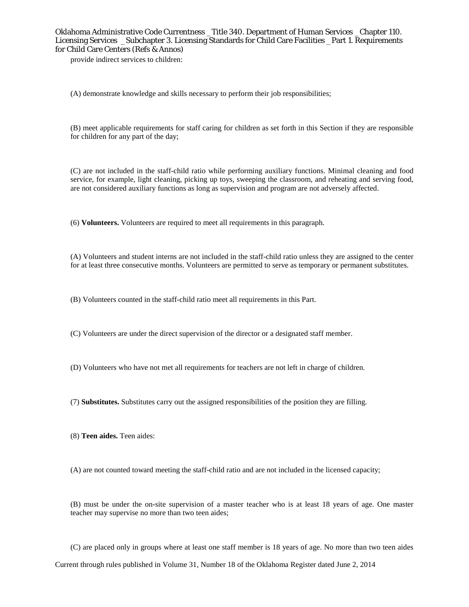provide indirect services to children:

(A) demonstrate knowledge and skills necessary to perform their job responsibilities;

(B) meet applicable requirements for staff caring for children as set forth in this Section if they are responsible for children for any part of the day;

(C) are not included in the staff-child ratio while performing auxiliary functions. Minimal cleaning and food service, for example, light cleaning, picking up toys, sweeping the classroom, and reheating and serving food, are not considered auxiliary functions as long as supervision and program are not adversely affected.

(6) **Volunteers.** Volunteers are required to meet all requirements in this paragraph.

(A) Volunteers and student interns are not included in the staff-child ratio unless they are assigned to the center for at least three consecutive months. Volunteers are permitted to serve as temporary or permanent substitutes.

(B) Volunteers counted in the staff-child ratio meet all requirements in this Part.

(C) Volunteers are under the direct supervision of the director or a designated staff member.

(D) Volunteers who have not met all requirements for teachers are not left in charge of children.

(7) **Substitutes.** Substitutes carry out the assigned responsibilities of the position they are filling.

(8) **Teen aides.** Teen aides:

(A) are not counted toward meeting the staff-child ratio and are not included in the licensed capacity;

(B) must be under the on-site supervision of a master teacher who is at least 18 years of age. One master teacher may supervise no more than two teen aides;

(C) are placed only in groups where at least one staff member is 18 years of age. No more than two teen aides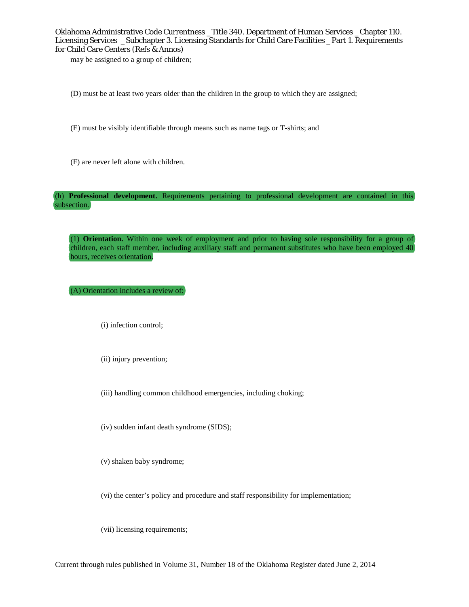may be assigned to a group of children;

- (D) must be at least two years older than the children in the group to which they are assigned;
- (E) must be visibly identifiable through means such as name tags or T-shirts; and
- (F) are never left alone with children.

(h) **Professional development.** Requirements pertaining to professional development are contained in this subsection.

(1) **Orientation.** Within one week of employment and prior to having sole responsibility for a group of children, each staff member, including auxiliary staff and permanent substitutes who have been employed 40 hours, receives orientation.

(A) Orientation includes a review of:

(i) infection control;

(ii) injury prevention;

(iii) handling common childhood emergencies, including choking;

(iv) sudden infant death syndrome (SIDS);

(v) shaken baby syndrome;

(vi) the center's policy and procedure and staff responsibility for implementation;

(vii) licensing requirements;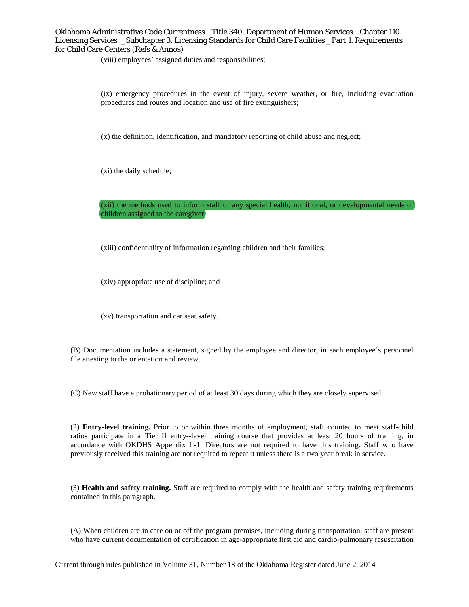(viii) employees' assigned duties and responsibilities;

(ix) emergency procedures in the event of injury, severe weather, or fire, including evacuation procedures and routes and location and use of fire extinguishers;

(x) the definition, identification, and mandatory reporting of child abuse and neglect;

(xi) the daily schedule;

(xii) the methods used to inform staff of any special health, nutritional, or developmental needs of children assigned to the caregiver;

(xiii) confidentiality of information regarding children and their families;

(xiv) appropriate use of discipline; and

(xv) transportation and car seat safety.

(B) Documentation includes a statement, signed by the employee and director, in each employee's personnel file attesting to the orientation and review.

(C) New staff have a probationary period of at least 30 days during which they are closely supervised.

(2) **Entry-level training.** Prior to or within three months of employment, staff counted to meet staff-child ratios participate in a Tier II entry--level training course that provides at least 20 hours of training, in accordance with OKDHS Appendix L-1. Directors are not required to have this training. Staff who have previously received this training are not required to repeat it unless there is a two year break in service.

(3) **Health and safety training.** Staff are required to comply with the health and safety training requirements contained in this paragraph.

(A) When children are in care on or off the program premises, including during transportation, staff are present who have current documentation of certification in age-appropriate first aid and cardio-pulmonary resuscitation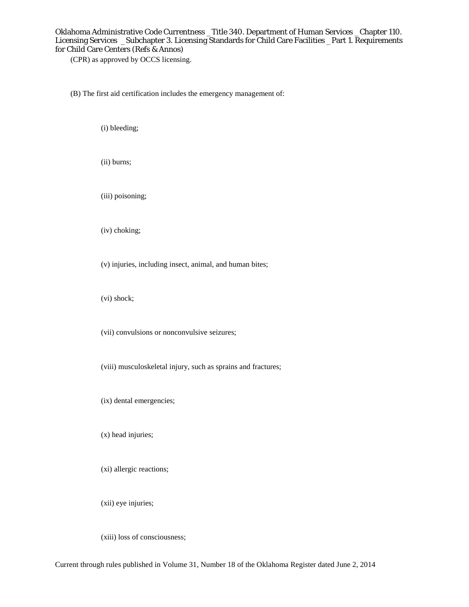(CPR) as approved by OCCS licensing.

(B) The first aid certification includes the emergency management of:

(i) bleeding;

(ii) burns;

(iii) poisoning;

(iv) choking;

(v) injuries, including insect, animal, and human bites;

(vi) shock;

(vii) convulsions or nonconvulsive seizures;

(viii) musculoskeletal injury, such as sprains and fractures;

(ix) dental emergencies;

(x) head injuries;

(xi) allergic reactions;

(xii) eye injuries;

(xiii) loss of consciousness;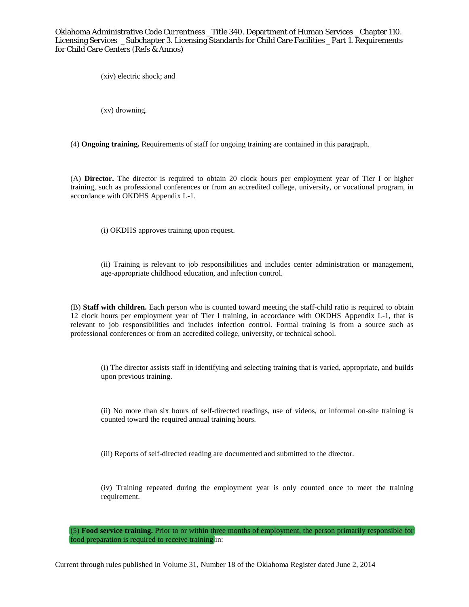(xiv) electric shock; and

(xv) drowning.

(4) **Ongoing training.** Requirements of staff for ongoing training are contained in this paragraph.

(A) **Director.** The director is required to obtain 20 clock hours per employment year of Tier I or higher training, such as professional conferences or from an accredited college, university, or vocational program, in accordance with OKDHS Appendix L-1.

(i) OKDHS approves training upon request.

(ii) Training is relevant to job responsibilities and includes center administration or management, age-appropriate childhood education, and infection control.

(B) **Staff with children.** Each person who is counted toward meeting the staff-child ratio is required to obtain 12 clock hours per employment year of Tier I training, in accordance with OKDHS Appendix L-1, that is relevant to job responsibilities and includes infection control. Formal training is from a source such as professional conferences or from an accredited college, university, or technical school.

(i) The director assists staff in identifying and selecting training that is varied, appropriate, and builds upon previous training.

(ii) No more than six hours of self-directed readings, use of videos, or informal on-site training is counted toward the required annual training hours.

(iii) Reports of self-directed reading are documented and submitted to the director.

(iv) Training repeated during the employment year is only counted once to meet the training requirement.

(5) **Food service training.** Prior to or within three months of employment, the person primarily responsible for food preparation is required to receive training in: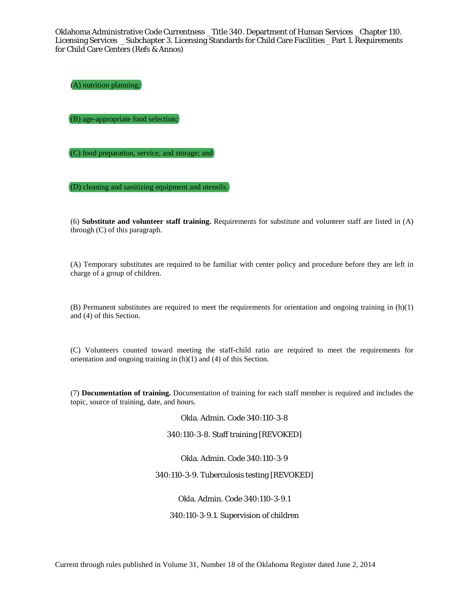(A) nutrition planning;

(B) age-appropriate food selection;

(C) food preparation, service, and storage; and

(D) cleaning and sanitizing equipment and utensils.

(6) **Substitute and volunteer staff training.** Requirements for substitute and volunteer staff are listed in (A) through (C) of this paragraph.

(A) Temporary substitutes are required to be familiar with center policy and procedure before they are left in charge of a group of children.

(B) Permanent substitutes are required to meet the requirements for orientation and ongoing training in  $(h)(1)$ and (4) of this Section.

(C) Volunteers counted toward meeting the staff-child ratio are required to meet the requirements for orientation and ongoing training in (h)(1) and (4) of this Section.

(7) **Documentation of training.** Documentation of training for each staff member is required and includes the topic, source of training, date, and hours.

Okla. Admin. Code 340:110-3-8

340:110-3-8. Staff training [REVOKED]

Okla. Admin. Code 340:110-3-9

340:110-3-9. Tuberculosis testing [REVOKED]

Okla. Admin. Code 340:110-3-9.1

340:110-3-9.1. Supervision of children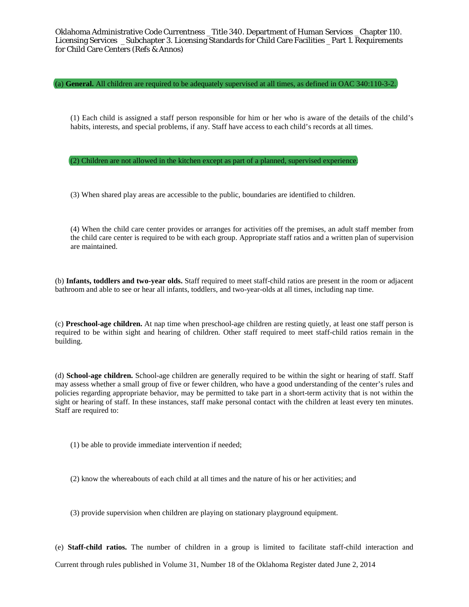(a) **General.** All children are required to be adequately supervised at all times, as defined in OAC 340:110-3-2.

(1) Each child is assigned a staff person responsible for him or her who is aware of the details of the child's habits, interests, and special problems, if any. Staff have access to each child's records at all times.

(2) Children are not allowed in the kitchen except as part of a planned, supervised experience.

(3) When shared play areas are accessible to the public, boundaries are identified to children.

(4) When the child care center provides or arranges for activities off the premises, an adult staff member from the child care center is required to be with each group. Appropriate staff ratios and a written plan of supervision are maintained.

(b) **Infants, toddlers and two-year olds.** Staff required to meet staff-child ratios are present in the room or adjacent bathroom and able to see or hear all infants, toddlers, and two-year-olds at all times, including nap time.

(c) **Preschool-age children.** At nap time when preschool-age children are resting quietly, at least one staff person is required to be within sight and hearing of children. Other staff required to meet staff-child ratios remain in the building.

(d) **School-age children.** School-age children are generally required to be within the sight or hearing of staff. Staff may assess whether a small group of five or fewer children, who have a good understanding of the center's rules and policies regarding appropriate behavior, may be permitted to take part in a short-term activity that is not within the sight or hearing of staff. In these instances, staff make personal contact with the children at least every ten minutes. Staff are required to:

(1) be able to provide immediate intervention if needed;

(2) know the whereabouts of each child at all times and the nature of his or her activities; and

(3) provide supervision when children are playing on stationary playground equipment.

(e) **Staff-child ratios.** The number of children in a group is limited to facilitate staff-child interaction and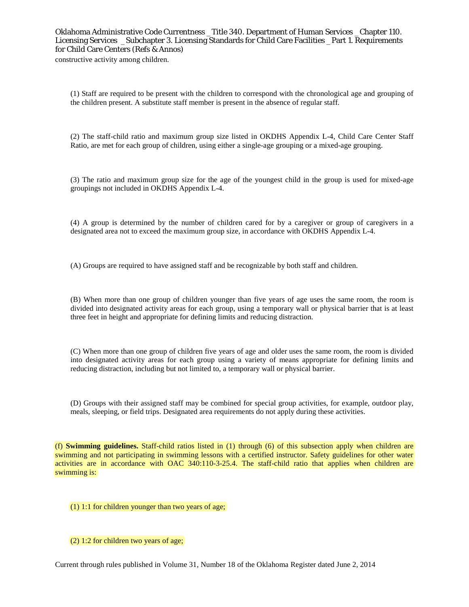constructive activity among children.

(1) Staff are required to be present with the children to correspond with the chronological age and grouping of the children present. A substitute staff member is present in the absence of regular staff.

(2) The staff-child ratio and maximum group size listed in OKDHS Appendix L-4, Child Care Center Staff Ratio, are met for each group of children, using either a single-age grouping or a mixed-age grouping.

(3) The ratio and maximum group size for the age of the youngest child in the group is used for mixed-age groupings not included in OKDHS Appendix L-4.

(4) A group is determined by the number of children cared for by a caregiver or group of caregivers in a designated area not to exceed the maximum group size, in accordance with OKDHS Appendix L-4.

(A) Groups are required to have assigned staff and be recognizable by both staff and children.

(B) When more than one group of children younger than five years of age uses the same room, the room is divided into designated activity areas for each group, using a temporary wall or physical barrier that is at least three feet in height and appropriate for defining limits and reducing distraction.

(C) When more than one group of children five years of age and older uses the same room, the room is divided into designated activity areas for each group using a variety of means appropriate for defining limits and reducing distraction, including but not limited to, a temporary wall or physical barrier.

(D) Groups with their assigned staff may be combined for special group activities, for example, outdoor play, meals, sleeping, or field trips. Designated area requirements do not apply during these activities.

(f) **Swimming guidelines.** Staff-child ratios listed in (1) through (6) of this subsection apply when children are swimming and not participating in swimming lessons with a certified instructor. Safety guidelines for other water activities are in accordance with OAC 340:110-3-25.4. The staff-child ratio that applies when children are swimming is:

(1) 1:1 for children younger than two years of age;

(2) 1:2 for children two years of age;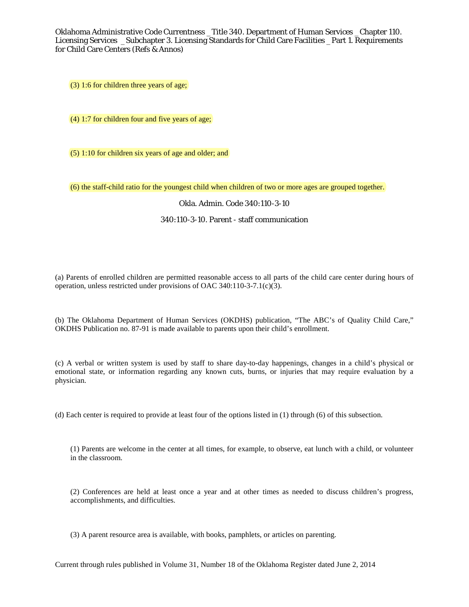(3) 1:6 for children three years of age;

(4) 1:7 for children four and five years of age;

(5) 1:10 for children six years of age and older; and

(6) the staff-child ratio for the youngest child when children of two or more ages are grouped together.

## Okla. Admin. Code 340:110-3-10

# 340:110-3-10. Parent - staff communication

(a) Parents of enrolled children are permitted reasonable access to all parts of the child care center during hours of operation, unless restricted under provisions of OAC 340:110-3-7.1(c)(3).

(b) The Oklahoma Department of Human Services (OKDHS) publication, "The ABC's of Quality Child Care," OKDHS Publication no. 87-91 is made available to parents upon their child's enrollment.

(c) A verbal or written system is used by staff to share day-to-day happenings, changes in a child's physical or emotional state, or information regarding any known cuts, burns, or injuries that may require evaluation by a physician.

(d) Each center is required to provide at least four of the options listed in (1) through (6) of this subsection.

(1) Parents are welcome in the center at all times, for example, to observe, eat lunch with a child, or volunteer in the classroom.

(2) Conferences are held at least once a year and at other times as needed to discuss children's progress, accomplishments, and difficulties.

(3) A parent resource area is available, with books, pamphlets, or articles on parenting.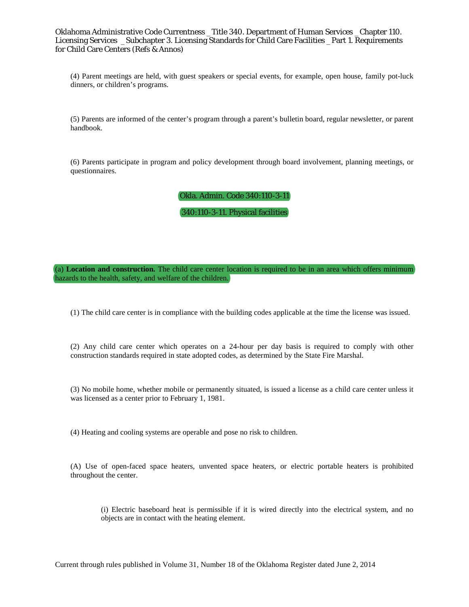(4) Parent meetings are held, with guest speakers or special events, for example, open house, family pot-luck dinners, or children's programs.

(5) Parents are informed of the center's program through a parent's bulletin board, regular newsletter, or parent handbook.

(6) Parents participate in program and policy development through board involvement, planning meetings, or questionnaires.

Okla. Admin. Code 340:110-3-11

340:110-3-11. Physical facilities

(a) **Location and construction.** The child care center location is required to be in an area which offers minimum hazards to the health, safety, and welfare of the children.

(1) The child care center is in compliance with the building codes applicable at the time the license was issued.

(2) Any child care center which operates on a 24-hour per day basis is required to comply with other construction standards required in state adopted codes, as determined by the State Fire Marshal.

(3) No mobile home, whether mobile or permanently situated, is issued a license as a child care center unless it was licensed as a center prior to February 1, 1981.

(4) Heating and cooling systems are operable and pose no risk to children.

(A) Use of open-faced space heaters, unvented space heaters, or electric portable heaters is prohibited throughout the center.

(i) Electric baseboard heat is permissible if it is wired directly into the electrical system, and no objects are in contact with the heating element.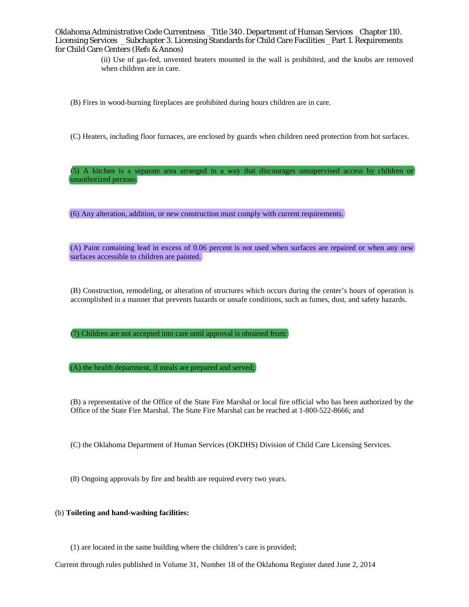> (ii) Use of gas-fed, unvented heaters mounted in the wall is prohibited, and the knobs are removed when children are in care.

(B) Fires in wood-burning fireplaces are prohibited during hours children are in care.

(C) Heaters, including floor furnaces, are enclosed by guards when children need protection from hot surfaces.

(5) A kitchen is a separate area arranged in a way that discourages unsupervised access by children or unauthorized persons.

(6) Any alteration, addition, or new construction must comply with current requirements.

(A) Paint containing lead in excess of 0.06 percent is not used when surfaces are repaired or when any new surfaces accessible to children are painted.

(B) Construction, remodeling, or alteration of structures which occurs during the center's hours of operation is accomplished in a manner that prevents hazards or unsafe conditions, such as fumes, dust, and safety hazards.

(7) Children are not accepted into care until approval is obtained from:

(A) the health department, if meals are prepared and served;

(B) a representative of the Office of the State Fire Marshal or local fire official who has been authorized by the Office of the State Fire Marshal. The State Fire Marshal can be reached at 1-800-522-8666; and

(C) the Oklahoma Department of Human Services (OKDHS) Division of Child Care Licensing Services.

(8) Ongoing approvals by fire and health are required every two years.

## (b) **Toileting and hand-washing facilities:**

(1) are located in the same building where the children's care is provided;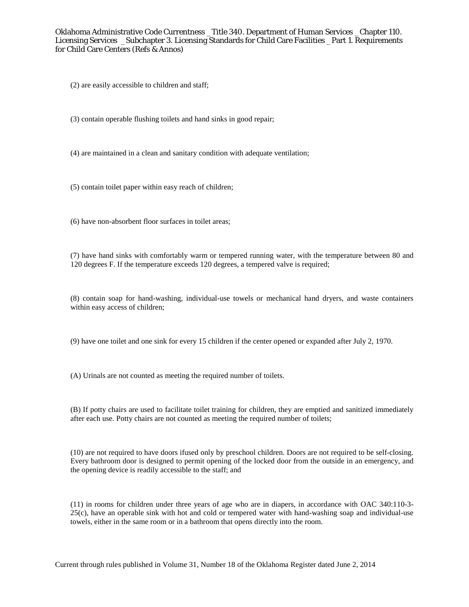(2) are easily accessible to children and staff;

(3) contain operable flushing toilets and hand sinks in good repair;

(4) are maintained in a clean and sanitary condition with adequate ventilation;

(5) contain toilet paper within easy reach of children;

(6) have non-absorbent floor surfaces in toilet areas;

(7) have hand sinks with comfortably warm or tempered running water, with the temperature between 80 and 120 degrees F. If the temperature exceeds 120 degrees, a tempered valve is required;

(8) contain soap for hand-washing, individual-use towels or mechanical hand dryers, and waste containers within easy access of children;

(9) have one toilet and one sink for every 15 children if the center opened or expanded after July 2, 1970.

(A) Urinals are not counted as meeting the required number of toilets.

(B) If potty chairs are used to facilitate toilet training for children, they are emptied and sanitized immediately after each use. Potty chairs are not counted as meeting the required number of toilets;

(10) are not required to have doors ifused only by preschool children. Doors are not required to be self-closing. Every bathroom door is designed to permit opening of the locked door from the outside in an emergency, and the opening device is readily accessible to the staff; and

(11) in rooms for children under three years of age who are in diapers, in accordance with OAC 340:110-3- 25(c), have an operable sink with hot and cold or tempered water with hand-washing soap and individual-use towels, either in the same room or in a bathroom that opens directly into the room.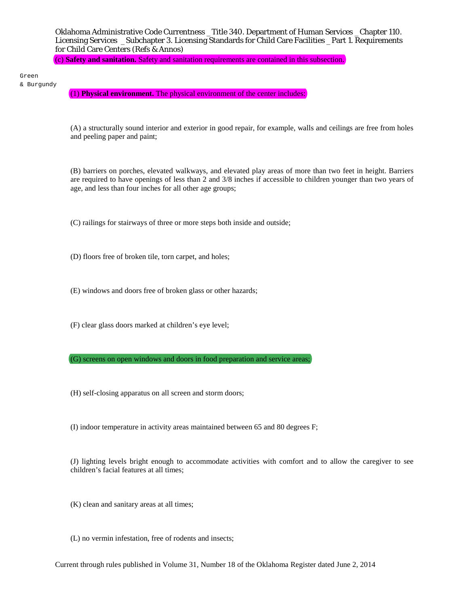(c) **Safety and sanitation.** Safety and sanitation requirements are contained in this subsection.

Green & Burgundy

(1) **Physical environment.** The physical environment of the center includes:

(A) a structurally sound interior and exterior in good repair, for example, walls and ceilings are free from holes and peeling paper and paint;

(B) barriers on porches, elevated walkways, and elevated play areas of more than two feet in height. Barriers are required to have openings of less than 2 and 3/8 inches if accessible to children younger than two years of age, and less than four inches for all other age groups;

(C) railings for stairways of three or more steps both inside and outside;

- (D) floors free of broken tile, torn carpet, and holes;
- (E) windows and doors free of broken glass or other hazards;
- (F) clear glass doors marked at children's eye level;

(G) screens on open windows and doors in food preparation and service areas;

- (H) self-closing apparatus on all screen and storm doors;
- (I) indoor temperature in activity areas maintained between 65 and 80 degrees F;

(J) lighting levels bright enough to accommodate activities with comfort and to allow the caregiver to see children's facial features at all times;

- (K) clean and sanitary areas at all times;
- (L) no vermin infestation, free of rodents and insects;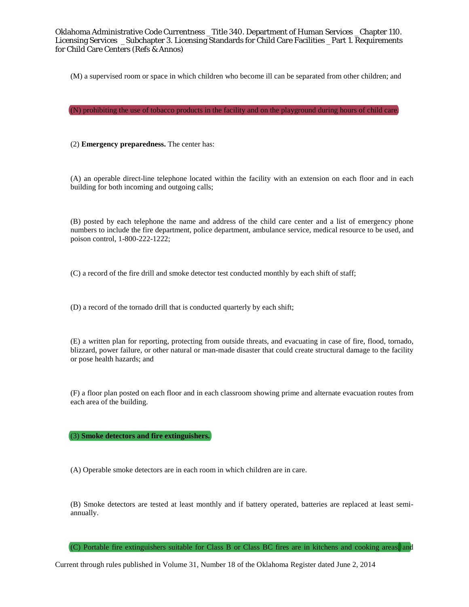(M) a supervised room or space in which children who become ill can be separated from other children; and

(N) prohibiting the use of tobacco products in the facility and on the playground during hours of child care.

(2) **Emergency preparedness.** The center has:

(A) an operable direct-line telephone located within the facility with an extension on each floor and in each building for both incoming and outgoing calls;

(B) posted by each telephone the name and address of the child care center and a list of emergency phone numbers to include the fire department, police department, ambulance service, medical resource to be used, and poison control, 1-800-222-1222;

(C) a record of the fire drill and smoke detector test conducted monthly by each shift of staff;

(D) a record of the tornado drill that is conducted quarterly by each shift;

(E) a written plan for reporting, protecting from outside threats, and evacuating in case of fire, flood, tornado, blizzard, power failure, or other natural or man-made disaster that could create structural damage to the facility or pose health hazards; and

(F) a floor plan posted on each floor and in each classroom showing prime and alternate evacuation routes from each area of the building.

(3) **Smoke detectors and fire extinguishers.**

(A) Operable smoke detectors are in each room in which children are in care.

(B) Smoke detectors are tested at least monthly and if battery operated, batteries are replaced at least semiannually.

(C) Portable fire extinguishers suitable for Class B or Class BC fires are in kitchens and cooking areas, and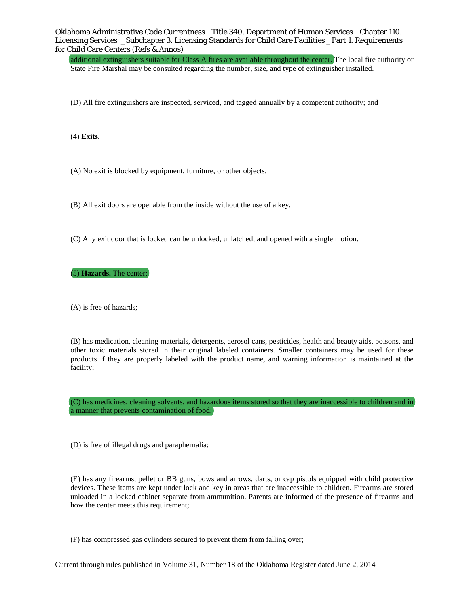additional extinguishers suitable for Class A fires are available throughout the center. The local fire authority or State Fire Marshal may be consulted regarding the number, size, and type of extinguisher installed.

(D) All fire extinguishers are inspected, serviced, and tagged annually by a competent authority; and

(4) **Exits.**

(A) No exit is blocked by equipment, furniture, or other objects.

(B) All exit doors are openable from the inside without the use of a key.

(C) Any exit door that is locked can be unlocked, unlatched, and opened with a single motion.

(5) **Hazards.** The center:

(A) is free of hazards;

(B) has medication, cleaning materials, detergents, aerosol cans, pesticides, health and beauty aids, poisons, and other toxic materials stored in their original labeled containers. Smaller containers may be used for these products if they are properly labeled with the product name, and warning information is maintained at the facility;

(C) has medicines, cleaning solvents, and hazardous items stored so that they are inaccessible to children and in a manner that prevents contamination of food;

(D) is free of illegal drugs and paraphernalia;

(E) has any firearms, pellet or BB guns, bows and arrows, darts, or cap pistols equipped with child protective devices. These items are kept under lock and key in areas that are inaccessible to children. Firearms are stored unloaded in a locked cabinet separate from ammunition. Parents are informed of the presence of firearms and how the center meets this requirement;

(F) has compressed gas cylinders secured to prevent them from falling over;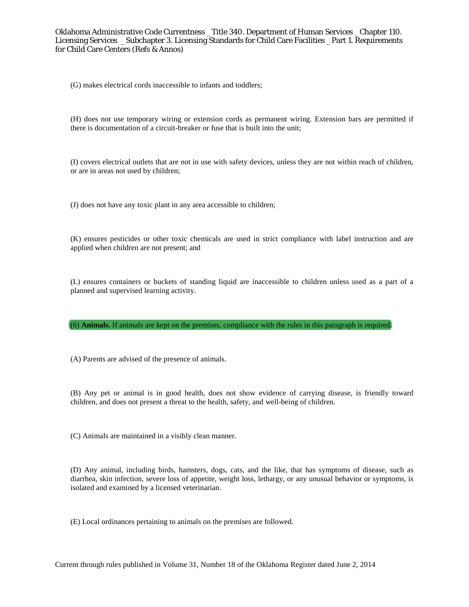(G) makes electrical cords inaccessible to infants and toddlers;

(H) does not use temporary wiring or extension cords as permanent wiring. Extension bars are permitted if there is documentation of a circuit-breaker or fuse that is built into the unit;

(I) covers electrical outlets that are not in use with safety devices, unless they are not within reach of children, or are in areas not used by children;

(J) does not have any toxic plant in any area accessible to children;

(K) ensures pesticides or other toxic chemicals are used in strict compliance with label instruction and are applied when children are not present; and

(L) ensures containers or buckets of standing liquid are inaccessible to children unless used as a part of a planned and supervised learning activity.

(6) **Animals.** If animals are kept on the premises, compliance with the rules in this paragraph is required.

(A) Parents are advised of the presence of animals.

(B) Any pet or animal is in good health, does not show evidence of carrying disease, is friendly toward children, and does not present a threat to the health, safety, and well-being of children.

(C) Animals are maintained in a visibly clean manner.

(D) Any animal, including birds, hamsters, dogs, cats, and the like, that has symptoms of disease, such as diarrhea, skin infection, severe loss of appetite, weight loss, lethargy, or any unusual behavior or symptoms, is isolated and examined by a licensed veterinarian.

(E) Local ordinances pertaining to animals on the premises are followed.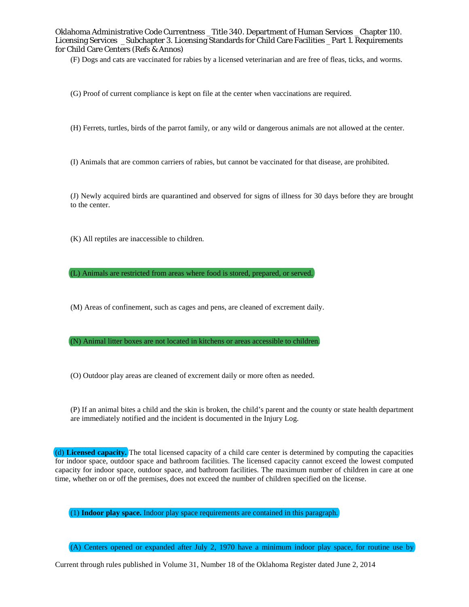(F) Dogs and cats are vaccinated for rabies by a licensed veterinarian and are free of fleas, ticks, and worms.

- (G) Proof of current compliance is kept on file at the center when vaccinations are required.
- (H) Ferrets, turtles, birds of the parrot family, or any wild or dangerous animals are not allowed at the center.
- (I) Animals that are common carriers of rabies, but cannot be vaccinated for that disease, are prohibited.

(J) Newly acquired birds are quarantined and observed for signs of illness for 30 days before they are brought to the center.

(K) All reptiles are inaccessible to children.

(L) Animals are restricted from areas where food is stored, prepared, or served.

(M) Areas of confinement, such as cages and pens, are cleaned of excrement daily.

(N) Animal litter boxes are not located in kitchens or areas accessible to children.

(O) Outdoor play areas are cleaned of excrement daily or more often as needed.

(P) If an animal bites a child and the skin is broken, the child's parent and the county or state health department are immediately notified and the incident is documented in the Injury Log.

(d) **Licensed capacity.** The total licensed capacity of a child care center is determined by computing the capacities for indoor space, outdoor space and bathroom facilities. The licensed capacity cannot exceed the lowest computed capacity for indoor space, outdoor space, and bathroom facilities. The maximum number of children in care at one time, whether on or off the premises, does not exceed the number of children specified on the license.

(1) **Indoor play space.** Indoor play space requirements are contained in this paragraph.

(A) Centers opened or expanded after July 2, 1970 have a minimum indoor play space, for routine use by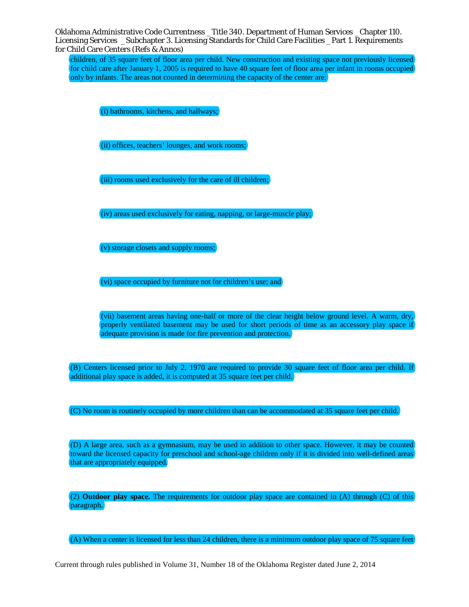children, of 35 square feet of floor area per child. New construction and existing space not previously licensed for child care after January 1, 2005 is required to have 40 square feet of floor area per infant in rooms occupied only by infants. The areas not counted in determining the capacity of the center are:

(i) bathrooms, kitchens, and hallways;

(ii) offices, teachers' lounges, and work rooms;

(iii) rooms used exclusively for the care of ill children;

(iv) areas used exclusively for eating, napping, or large-muscle play;

(v) storage closets and supply rooms;

(vi) space occupied by furniture not for children's use; and

(vii) basement areas having one-half or more of the clear height below ground level. A warm, dry, properly ventilated basement may be used for short periods of time as an accessory play space if adequate provision is made for fire prevention and protection.

(B) Centers licensed prior to July 2, 1970 are required to provide 30 square feet of floor area per child. If additional play space is added, it is computed at 35 square feet per child.

(C) No room is routinely occupied by more children than can be accommodated at 35 square feet per child.

(D) A large area, such as a gymnasium, may be used in addition to other space. However, it may be counted toward the licensed capacity for preschool and school-age children only if it is divided into well-defined areas that are appropriately equipped.

(2) **Outdoor play space.** The requirements for outdoor play space are contained in (A) through (C) of this paragraph.

(A) When a center is licensed for less than 24 children, there is a minimum outdoor play space of 75 square feet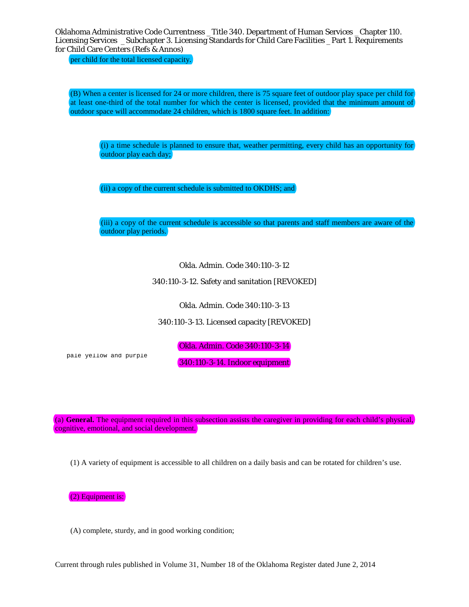per child for the total licensed capacity.

(B) When a center is licensed for 24 or more children, there is 75 square feet of outdoor play space per child for at least one-third of the total number for which the center is licensed, provided that the minimum amount of outdoor space will accommodate 24 children, which is 1800 square feet. In addition:

(i) a time schedule is planned to ensure that, weather permitting, every child has an opportunity for outdoor play each day;

(ii) a copy of the current schedule is submitted to OKDHS; and

(iii) a copy of the current schedule is accessible so that parents and staff members are aware of the outdoor play periods.

Okla. Admin. Code 340:110-3-12

340:110-3-12. Safety and sanitation [REVOKED]

Okla. Admin. Code 340:110-3-13

340:110-3-13. Licensed capacity [REVOKED]

Okla. Admin. Code 340:110-3-14

pale yellow and purple

340:110-3-14. Indoor equipment

(a) **General.** The equipment required in this subsection assists the caregiver in providing for each child's physical, cognitive, emotional, and social development.

(1) A variety of equipment is accessible to all children on a daily basis and can be rotated for children's use.

(2) Equipment is:

(A) complete, sturdy, and in good working condition;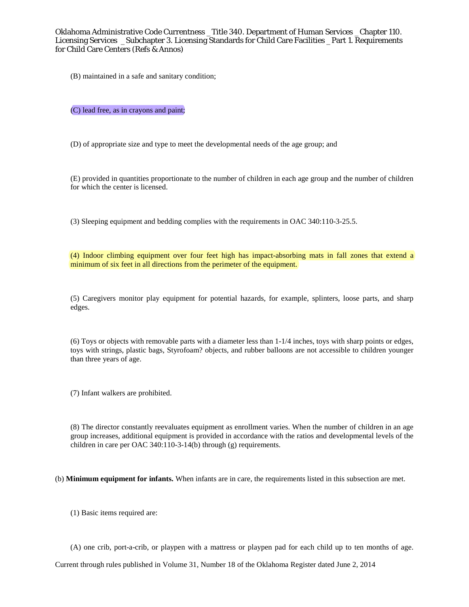(B) maintained in a safe and sanitary condition;

(C) lead free, as in crayons and paint;

(D) of appropriate size and type to meet the developmental needs of the age group; and

(E) provided in quantities proportionate to the number of children in each age group and the number of children for which the center is licensed.

(3) Sleeping equipment and bedding complies with the requirements in OAC 340:110-3-25.5.

(4) Indoor climbing equipment over four feet high has impact-absorbing mats in fall zones that extend a minimum of six feet in all directions from the perimeter of the equipment.

(5) Caregivers monitor play equipment for potential hazards, for example, splinters, loose parts, and sharp edges.

(6) Toys or objects with removable parts with a diameter less than 1-1/4 inches, toys with sharp points or edges, toys with strings, plastic bags, Styrofoam? objects, and rubber balloons are not accessible to children younger than three years of age.

(7) Infant walkers are prohibited.

(8) The director constantly reevaluates equipment as enrollment varies. When the number of children in an age group increases, additional equipment is provided in accordance with the ratios and developmental levels of the children in care per OAC 340:110-3-14(b) through (g) requirements.

(b) **Minimum equipment for infants.** When infants are in care, the requirements listed in this subsection are met.

(1) Basic items required are:

(A) one crib, port-a-crib, or playpen with a mattress or playpen pad for each child up to ten months of age.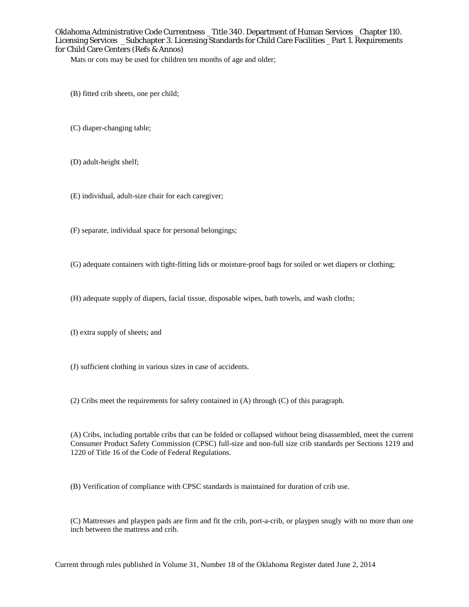Mats or cots may be used for children ten months of age and older;

- (B) fitted crib sheets, one per child;
- (C) diaper-changing table;
- (D) adult-height shelf;
- (E) individual, adult-size chair for each caregiver;
- (F) separate, individual space for personal belongings;
- (G) adequate containers with tight-fitting lids or moisture-proof bags for soiled or wet diapers or clothing;
- (H) adequate supply of diapers, facial tissue, disposable wipes, bath towels, and wash cloths;
- (I) extra supply of sheets; and
- (J) sufficient clothing in various sizes in case of accidents.
- (2) Cribs meet the requirements for safety contained in (A) through (C) of this paragraph.

(A) Cribs, including portable cribs that can be folded or collapsed without being disassembled, meet the current Consumer Product Safety Commission (CPSC) full-size and non-full size crib standards per Sections 1219 and 1220 of Title 16 of the Code of Federal Regulations.

(B) Verification of compliance with CPSC standards is maintained for duration of crib use.

(C) Mattresses and playpen pads are firm and fit the crib, port-a-crib, or playpen snugly with no more than one inch between the mattress and crib.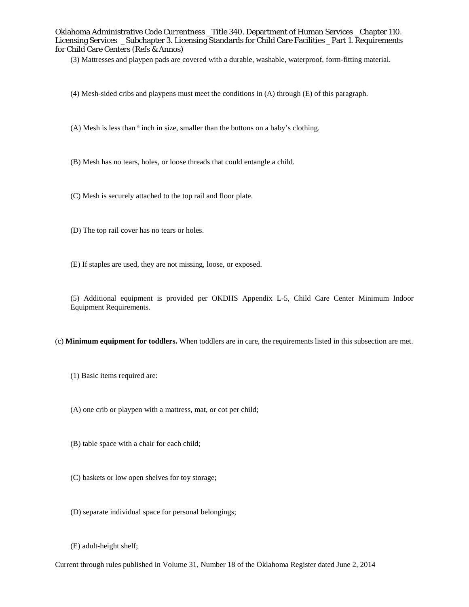(3) Mattresses and playpen pads are covered with a durable, washable, waterproof, form-fitting material.

- (4) Mesh-sided cribs and playpens must meet the conditions in (A) through (E) of this paragraph.
- (A) Mesh is less than ª inch in size, smaller than the buttons on a baby's clothing.
- (B) Mesh has no tears, holes, or loose threads that could entangle a child.
- (C) Mesh is securely attached to the top rail and floor plate.
- (D) The top rail cover has no tears or holes.
- (E) If staples are used, they are not missing, loose, or exposed.

(5) Additional equipment is provided per OKDHS Appendix L-5, Child Care Center Minimum Indoor Equipment Requirements.

- (c) **Minimum equipment for toddlers.** When toddlers are in care, the requirements listed in this subsection are met.
	- (1) Basic items required are:
	- (A) one crib or playpen with a mattress, mat, or cot per child;
	- (B) table space with a chair for each child;
	- (C) baskets or low open shelves for toy storage;
	- (D) separate individual space for personal belongings;
	- (E) adult-height shelf;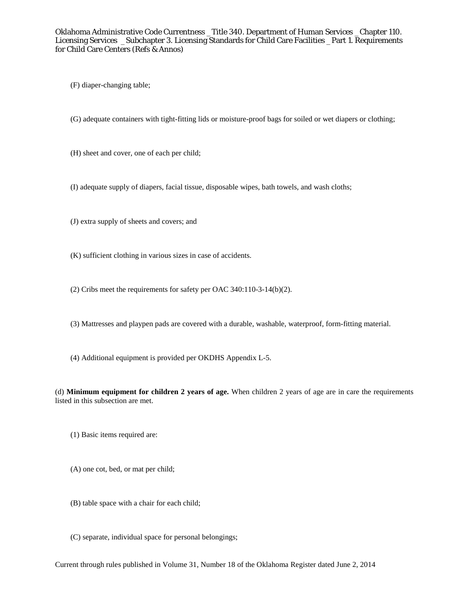(F) diaper-changing table;

(G) adequate containers with tight-fitting lids or moisture-proof bags for soiled or wet diapers or clothing;

(H) sheet and cover, one of each per child;

(I) adequate supply of diapers, facial tissue, disposable wipes, bath towels, and wash cloths;

(J) extra supply of sheets and covers; and

(K) sufficient clothing in various sizes in case of accidents.

(2) Cribs meet the requirements for safety per OAC 340:110-3-14(b)(2).

(3) Mattresses and playpen pads are covered with a durable, washable, waterproof, form-fitting material.

(4) Additional equipment is provided per OKDHS Appendix L-5.

(d) **Minimum equipment for children 2 years of age.** When children 2 years of age are in care the requirements listed in this subsection are met.

- (1) Basic items required are:
- (A) one cot, bed, or mat per child;
- (B) table space with a chair for each child;
- (C) separate, individual space for personal belongings;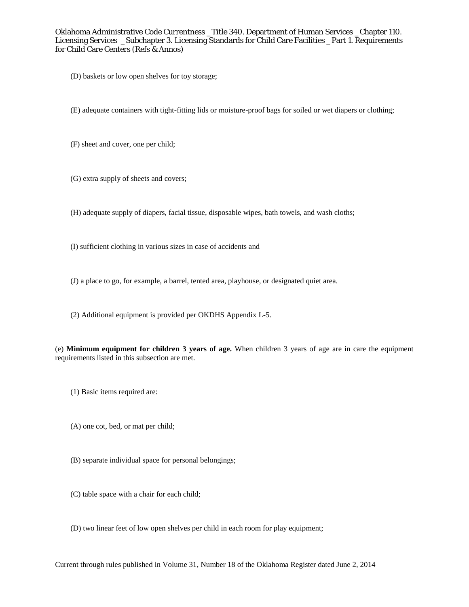- (D) baskets or low open shelves for toy storage;
- (E) adequate containers with tight-fitting lids or moisture-proof bags for soiled or wet diapers or clothing;
- (F) sheet and cover, one per child;
- (G) extra supply of sheets and covers;
- (H) adequate supply of diapers, facial tissue, disposable wipes, bath towels, and wash cloths;
- (I) sufficient clothing in various sizes in case of accidents and
- (J) a place to go, for example, a barrel, tented area, playhouse, or designated quiet area.
- (2) Additional equipment is provided per OKDHS Appendix L-5.

(e) **Minimum equipment for children 3 years of age.** When children 3 years of age are in care the equipment requirements listed in this subsection are met.

- (1) Basic items required are:
- (A) one cot, bed, or mat per child;
- (B) separate individual space for personal belongings;
- (C) table space with a chair for each child;
- (D) two linear feet of low open shelves per child in each room for play equipment;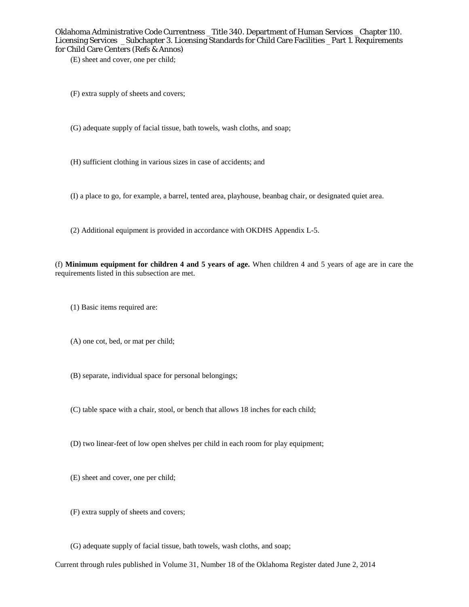(E) sheet and cover, one per child;

- (F) extra supply of sheets and covers;
- (G) adequate supply of facial tissue, bath towels, wash cloths, and soap;
- (H) sufficient clothing in various sizes in case of accidents; and
- (I) a place to go, for example, a barrel, tented area, playhouse, beanbag chair, or designated quiet area.
- (2) Additional equipment is provided in accordance with OKDHS Appendix L-5.

(f) **Minimum equipment for children 4 and 5 years of age.** When children 4 and 5 years of age are in care the requirements listed in this subsection are met.

- (1) Basic items required are:
- (A) one cot, bed, or mat per child;
- (B) separate, individual space for personal belongings;
- (C) table space with a chair, stool, or bench that allows 18 inches for each child;
- (D) two linear-feet of low open shelves per child in each room for play equipment;
- (E) sheet and cover, one per child;
- (F) extra supply of sheets and covers;
- (G) adequate supply of facial tissue, bath towels, wash cloths, and soap;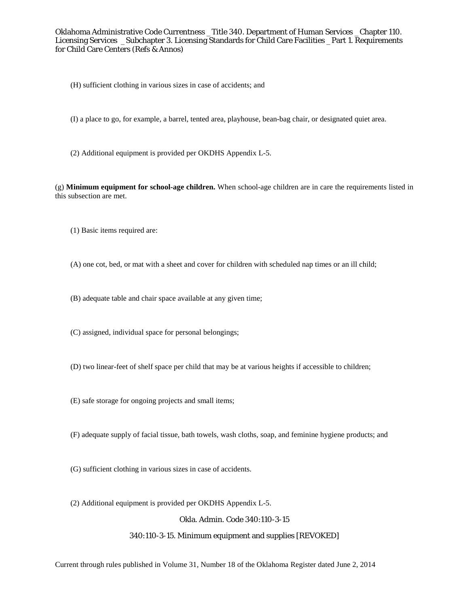- (H) sufficient clothing in various sizes in case of accidents; and
- (I) a place to go, for example, a barrel, tented area, playhouse, bean-bag chair, or designated quiet area.
- (2) Additional equipment is provided per OKDHS Appendix L-5.

(g) **Minimum equipment for school-age children.** When school-age children are in care the requirements listed in this subsection are met.

- (1) Basic items required are:
- (A) one cot, bed, or mat with a sheet and cover for children with scheduled nap times or an ill child;
- (B) adequate table and chair space available at any given time;
- (C) assigned, individual space for personal belongings;
- (D) two linear-feet of shelf space per child that may be at various heights if accessible to children;
- (E) safe storage for ongoing projects and small items;
- (F) adequate supply of facial tissue, bath towels, wash cloths, soap, and feminine hygiene products; and
- (G) sufficient clothing in various sizes in case of accidents.
- (2) Additional equipment is provided per OKDHS Appendix L-5.

Okla. Admin. Code 340:110-3-15

# 340:110-3-15. Minimum equipment and supplies [REVOKED]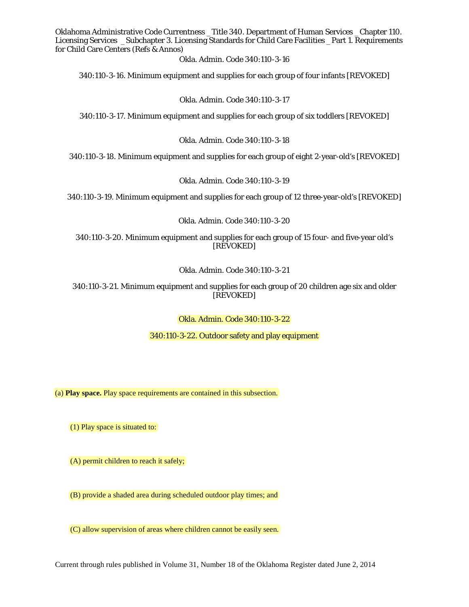Okla. Admin. Code 340:110-3-16

340:110-3-16. Minimum equipment and supplies for each group of four infants [REVOKED]

Okla. Admin. Code 340:110-3-17

340:110-3-17. Minimum equipment and supplies for each group of six toddlers [REVOKED]

Okla. Admin. Code 340:110-3-18

340:110-3-18. Minimum equipment and supplies for each group of eight 2-year-old's [REVOKED]

Okla. Admin. Code 340:110-3-19

340:110-3-19. Minimum equipment and supplies for each group of 12 three-year-old's [REVOKED]

Okla. Admin. Code 340:110-3-20

340:110-3-20. Minimum equipment and supplies for each group of 15 four- and five-year old's [REVOKED]

Okla. Admin. Code 340:110-3-21

340:110-3-21. Minimum equipment and supplies for each group of 20 children age six and older [REVOKED]

Okla. Admin. Code 340:110-3-22

340:110-3-22. Outdoor safety and play equipment

(a) **Play space.** Play space requirements are contained in this subsection.

(1) Play space is situated to:

(A) permit children to reach it safely;

(B) provide a shaded area during scheduled outdoor play times; and

(C) allow supervision of areas where children cannot be easily seen.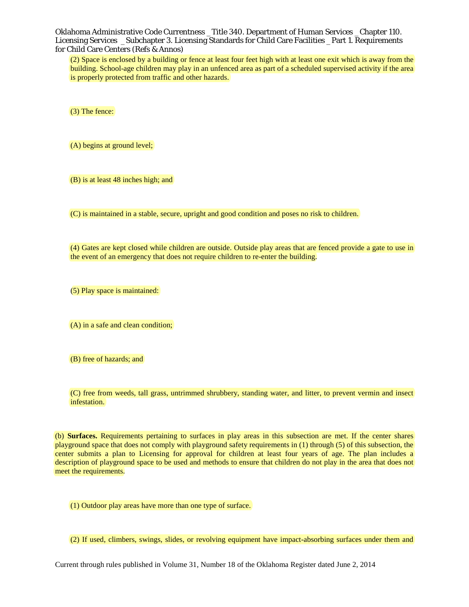(2) Space is enclosed by a building or fence at least four feet high with at least one exit which is away from the building. School-age children may play in an unfenced area as part of a scheduled supervised activity if the area is properly protected from traffic and other hazards.

(3) The fence:

(A) begins at ground level;

(B) is at least 48 inches high; and

(C) is maintained in a stable, secure, upright and good condition and poses no risk to children.

(4) Gates are kept closed while children are outside. Outside play areas that are fenced provide a gate to use in the event of an emergency that does not require children to re-enter the building.

(5) Play space is maintained:

(A) in a safe and clean condition;

(B) free of hazards; and

(C) free from weeds, tall grass, untrimmed shrubbery, standing water, and litter, to prevent vermin and insect infestation.

(b) **Surfaces.** Requirements pertaining to surfaces in play areas in this subsection are met. If the center shares playground space that does not comply with playground safety requirements in (1) through (5) of this subsection, the center submits a plan to Licensing for approval for children at least four years of age. The plan includes a description of playground space to be used and methods to ensure that children do not play in the area that does not meet the requirements.

(1) Outdoor play areas have more than one type of surface.

(2) If used, climbers, swings, slides, or revolving equipment have impact-absorbing surfaces under them and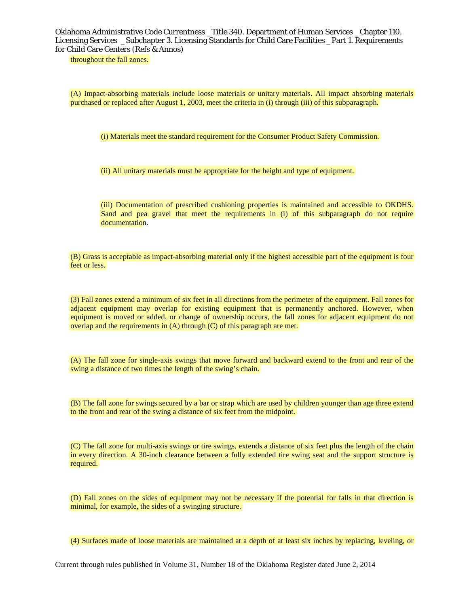throughout the fall zones.

(A) Impact-absorbing materials include loose materials or unitary materials. All impact absorbing materials purchased or replaced after August 1, 2003, meet the criteria in (i) through (iii) of this subparagraph.

(i) Materials meet the standard requirement for the Consumer Product Safety Commission.

(ii) All unitary materials must be appropriate for the height and type of equipment.

(iii) Documentation of prescribed cushioning properties is maintained and accessible to OKDHS. Sand and pea gravel that meet the requirements in (i) of this subparagraph do not require documentation.

(B) Grass is acceptable as impact-absorbing material only if the highest accessible part of the equipment is four feet or less.

(3) Fall zones extend a minimum of six feet in all directions from the perimeter of the equipment. Fall zones for adjacent equipment may overlap for existing equipment that is permanently anchored. However, when equipment is moved or added, or change of ownership occurs, the fall zones for adjacent equipment do not overlap and the requirements in (A) through (C) of this paragraph are met.

(A) The fall zone for single-axis swings that move forward and backward extend to the front and rear of the swing a distance of two times the length of the swing's chain.

(B) The fall zone for swings secured by a bar or strap which are used by children younger than age three extend to the front and rear of the swing a distance of six feet from the midpoint.

(C) The fall zone for multi-axis swings or tire swings, extends a distance of six feet plus the length of the chain in every direction. A 30-inch clearance between a fully extended tire swing seat and the support structure is required.

(D) Fall zones on the sides of equipment may not be necessary if the potential for falls in that direction is minimal, for example, the sides of a swinging structure.

(4) Surfaces made of loose materials are maintained at a depth of at least six inches by replacing, leveling, or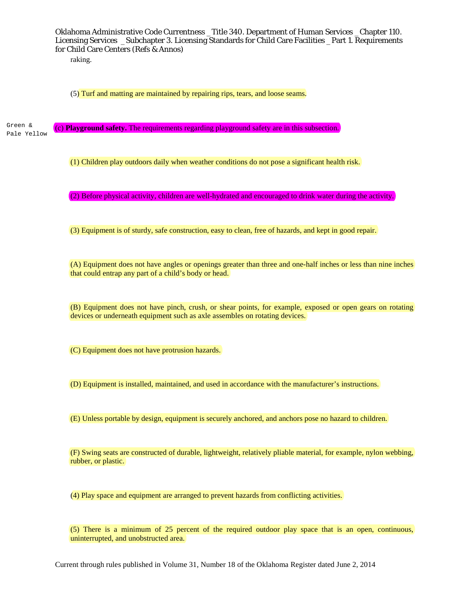raking.

(5) Turf and matting are maintained by repairing rips, tears, and loose seams.

(c) **Playground safety.** The requirements regarding playground safety are in this subsection. Green & Pale Yellow

(1) Children play outdoors daily when weather conditions do not pose a significant health risk.

(2) Before physical activity, children are well-hydrated and encouraged to drink water during the activity.

(3) Equipment is of sturdy, safe construction, easy to clean, free of hazards, and kept in good repair.

(A) Equipment does not have angles or openings greater than three and one-half inches or less than nine inches that could entrap any part of a child's body or head.

(B) Equipment does not have pinch, crush, or shear points, for example, exposed or open gears on rotating devices or underneath equipment such as axle assembles on rotating devices.

(C) Equipment does not have protrusion hazards.

(D) Equipment is installed, maintained, and used in accordance with the manufacturer's instructions.

(E) Unless portable by design, equipment is securely anchored, and anchors pose no hazard to children.

(F) Swing seats are constructed of durable, lightweight, relatively pliable material, for example, nylon webbing, rubber, or plastic.

(4) Play space and equipment are arranged to prevent hazards from conflicting activities.

(5) There is a minimum of 25 percent of the required outdoor play space that is an open, continuous, uninterrupted, and unobstructed area.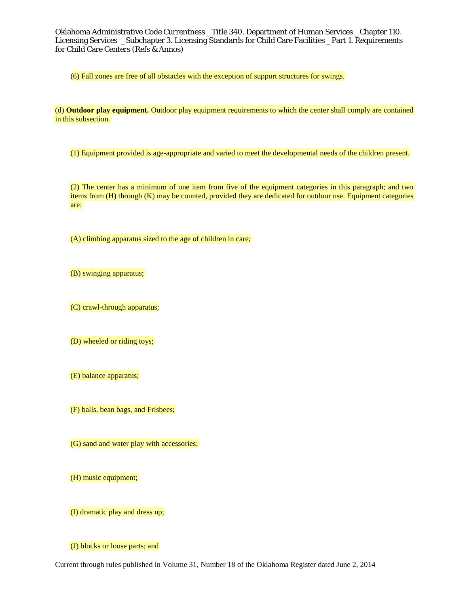(6) Fall zones are free of all obstacles with the exception of support structures for swings.

(d) **Outdoor play equipment.** Outdoor play equipment requirements to which the center shall comply are contained in this subsection.

(1) Equipment provided is age-appropriate and varied to meet the developmental needs of the children present.

(2) The center has a minimum of one item from five of the equipment categories in this paragraph; and two items from (H) through (K) may be counted, provided they are dedicated for outdoor use. Equipment categories are:

(A) climbing apparatus sized to the age of children in care;

(B) swinging apparatus;

(C) crawl-through apparatus;

(D) wheeled or riding toys;

(E) balance apparatus;

(F) balls, bean bags, and Frisbees;

(G) sand and water play with accessories;

(H) music equipment;

(I) dramatic play and dress up;

(J) blocks or loose parts; and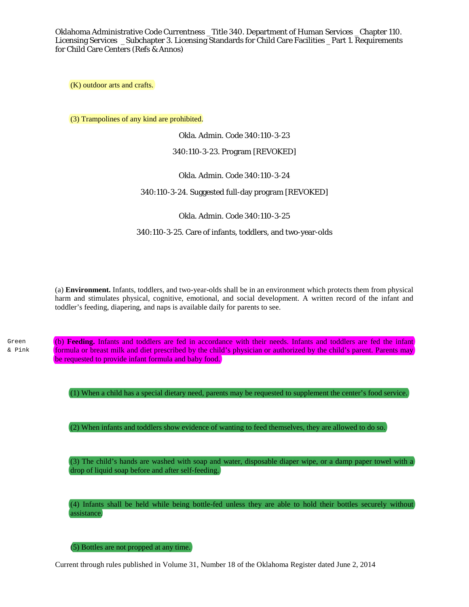(K) outdoor arts and crafts.

(3) Trampolines of any kind are prohibited.

Okla. Admin. Code 340:110-3-23

340:110-3-23. Program [REVOKED]

Okla. Admin. Code 340:110-3-24

340:110-3-24. Suggested full-day program [REVOKED]

Okla. Admin. Code 340:110-3-25

340:110-3-25. Care of infants, toddlers, and two-year-olds

(a) **Environment.** Infants, toddlers, and two-year-olds shall be in an environment which protects them from physical harm and stimulates physical, cognitive, emotional, and social development. A written record of the infant and toddler's feeding, diapering, and naps is available daily for parents to see.

Green & Pink (b) **Feeding.** Infants and toddlers are fed in accordance with their needs. Infants and toddlers are fed the infant formula or breast milk and diet prescribed by the child's physician or authorized by the child's parent. Parents may be requested to provide infant formula and baby food.

(1) When a child has a special dietary need, parents may be requested to supplement the center's food service.

(2) When infants and toddlers show evidence of wanting to feed themselves, they are allowed to do so.

(3) The child's hands are washed with soap and water, disposable diaper wipe, or a damp paper towel with a drop of liquid soap before and after self-feeding.

(4) Infants shall be held while being bottle-fed unless they are able to hold their bottles securely without assistance.

(5) Bottles are not propped at any time.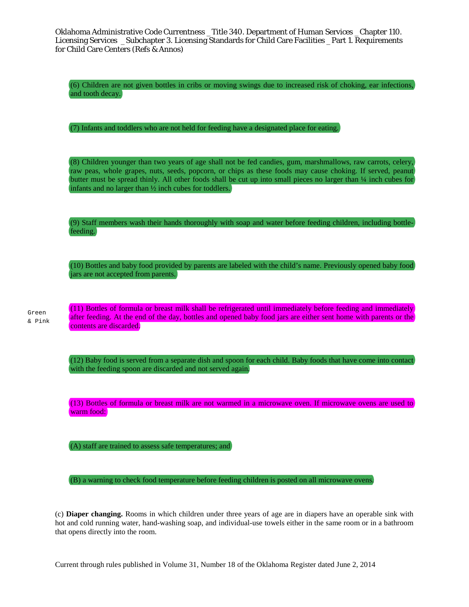(6) Children are not given bottles in cribs or moving swings due to increased risk of choking, ear infections, and tooth decay.

(7) Infants and toddlers who are not held for feeding have a designated place for eating.

(8) Children younger than two years of age shall not be fed candies, gum, marshmallows, raw carrots, celery, raw peas, whole grapes, nuts, seeds, popcorn, or chips as these foods may cause choking. If served, peanut butter must be spread thinly. All other foods shall be cut up into small pieces no larger than ¼ inch cubes for infants and no larger than ½ inch cubes for toddlers.

(9) Staff members wash their hands thoroughly with soap and water before feeding children, including bottlefeeding.

(10) Bottles and baby food provided by parents are labeled with the child's name. Previously opened baby food jars are not accepted from parents.

Green & Pink (11) Bottles of formula or breast milk shall be refrigerated until immediately before feeding and immediately after feeding. At the end of the day, bottles and opened baby food jars are either sent home with parents or the contents are discarded.

(12) Baby food is served from a separate dish and spoon for each child. Baby foods that have come into contact with the feeding spoon are discarded and not served again.

(13) Bottles of formula or breast milk are not warmed in a microwave oven. If microwave ovens are used to warm food:

(A) staff are trained to assess safe temperatures; and

(B) a warning to check food temperature before feeding children is posted on all microwave ovens.

(c) **Diaper changing.** Rooms in which children under three years of age are in diapers have an operable sink with hot and cold running water, hand-washing soap, and individual-use towels either in the same room or in a bathroom that opens directly into the room.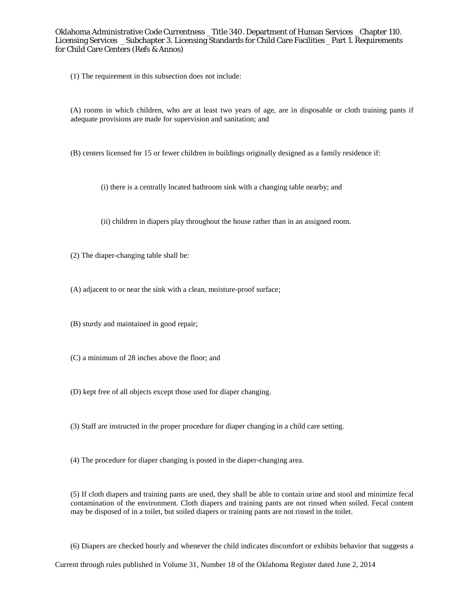(1) The requirement in this subsection does not include:

(A) rooms in which children, who are at least two years of age, are in disposable or cloth training pants if adequate provisions are made for supervision and sanitation; and

(B) centers licensed for 15 or fewer children in buildings originally designed as a family residence if:

(i) there is a centrally located bathroom sink with a changing table nearby; and

(ii) children in diapers play throughout the house rather than in an assigned room.

(2) The diaper-changing table shall be:

(A) adjacent to or near the sink with a clean, moisture-proof surface;

(B) sturdy and maintained in good repair;

(C) a minimum of 28 inches above the floor; and

(D) kept free of all objects except those used for diaper changing.

(3) Staff are instructed in the proper procedure for diaper changing in a child care setting.

(4) The procedure for diaper changing is posted in the diaper-changing area.

(5) If cloth diapers and training pants are used, they shall be able to contain urine and stool and minimize fecal contamination of the environment. Cloth diapers and training pants are not rinsed when soiled. Fecal content may be disposed of in a toilet, but soiled diapers or training pants are not rinsed in the toilet.

(6) Diapers are checked hourly and whenever the child indicates discomfort or exhibits behavior that suggests a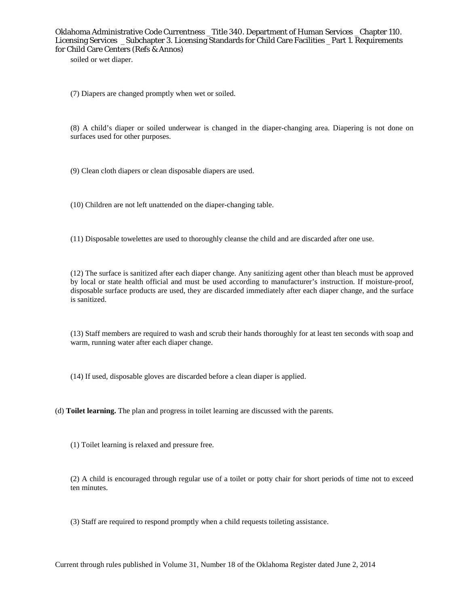soiled or wet diaper.

(7) Diapers are changed promptly when wet or soiled.

(8) A child's diaper or soiled underwear is changed in the diaper-changing area. Diapering is not done on surfaces used for other purposes.

(9) Clean cloth diapers or clean disposable diapers are used.

(10) Children are not left unattended on the diaper-changing table.

(11) Disposable towelettes are used to thoroughly cleanse the child and are discarded after one use.

(12) The surface is sanitized after each diaper change. Any sanitizing agent other than bleach must be approved by local or state health official and must be used according to manufacturer's instruction. If moisture-proof, disposable surface products are used, they are discarded immediately after each diaper change, and the surface is sanitized.

(13) Staff members are required to wash and scrub their hands thoroughly for at least ten seconds with soap and warm, running water after each diaper change.

(14) If used, disposable gloves are discarded before a clean diaper is applied.

(d) **Toilet learning.** The plan and progress in toilet learning are discussed with the parents.

(1) Toilet learning is relaxed and pressure free.

(2) A child is encouraged through regular use of a toilet or potty chair for short periods of time not to exceed ten minutes.

(3) Staff are required to respond promptly when a child requests toileting assistance.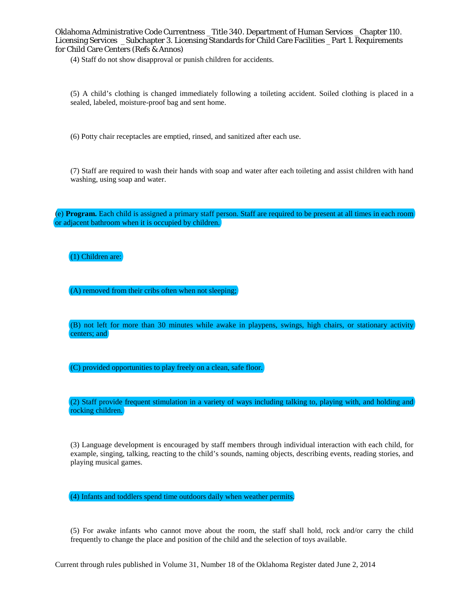(4) Staff do not show disapproval or punish children for accidents.

(5) A child's clothing is changed immediately following a toileting accident. Soiled clothing is placed in a sealed, labeled, moisture-proof bag and sent home.

(6) Potty chair receptacles are emptied, rinsed, and sanitized after each use.

(7) Staff are required to wash their hands with soap and water after each toileting and assist children with hand washing, using soap and water.

(e) **Program.** Each child is assigned a primary staff person. Staff are required to be present at all times in each room or adjacent bathroom when it is occupied by children.

# (1) Children are:

(A) removed from their cribs often when not sleeping;

(B) not left for more than 30 minutes while awake in playpens, swings, high chairs, or stationary activity centers; and

(C) provided opportunities to play freely on a clean, safe floor.

(2) Staff provide frequent stimulation in a variety of ways including talking to, playing with, and holding and rocking children.

(3) Language development is encouraged by staff members through individual interaction with each child, for example, singing, talking, reacting to the child's sounds, naming objects, describing events, reading stories, and playing musical games.

(4) Infants and toddlers spend time outdoors daily when weather permits.

(5) For awake infants who cannot move about the room, the staff shall hold, rock and/or carry the child frequently to change the place and position of the child and the selection of toys available.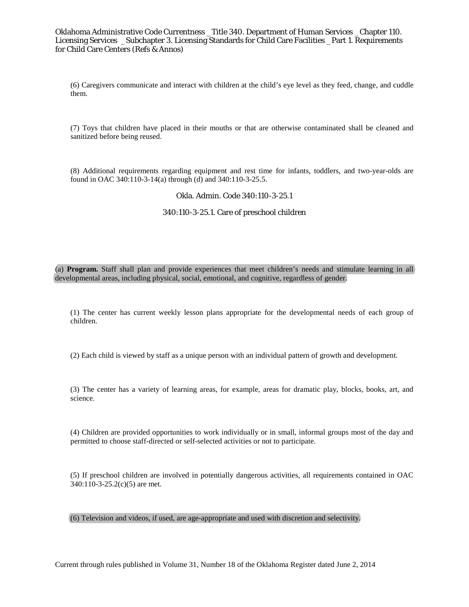(6) Caregivers communicate and interact with children at the child's eye level as they feed, change, and cuddle them.

(7) Toys that children have placed in their mouths or that are otherwise contaminated shall be cleaned and sanitized before being reused.

(8) Additional requirements regarding equipment and rest time for infants, toddlers, and two-year-olds are found in OAC 340:110-3-14(a) through (d) and 340:110-3-25.5.

#### Okla. Admin. Code 340:110-3-25.1

#### 340:110-3-25.1. Care of preschool children

(a) **Program.** Staff shall plan and provide experiences that meet children's needs and stimulate learning in all developmental areas, including physical, social, emotional, and cognitive, regardless of gender.

(1) The center has current weekly lesson plans appropriate for the developmental needs of each group of children.

(2) Each child is viewed by staff as a unique person with an individual pattern of growth and development.

(3) The center has a variety of learning areas, for example, areas for dramatic play, blocks, books, art, and science.

(4) Children are provided opportunities to work individually or in small, informal groups most of the day and permitted to choose staff-directed or self-selected activities or not to participate.

(5) If preschool children are involved in potentially dangerous activities, all requirements contained in OAC 340:110-3-25.2(c)(5) are met.

# (6) Television and videos, if used, are age-appropriate and used with discretion and selectivity.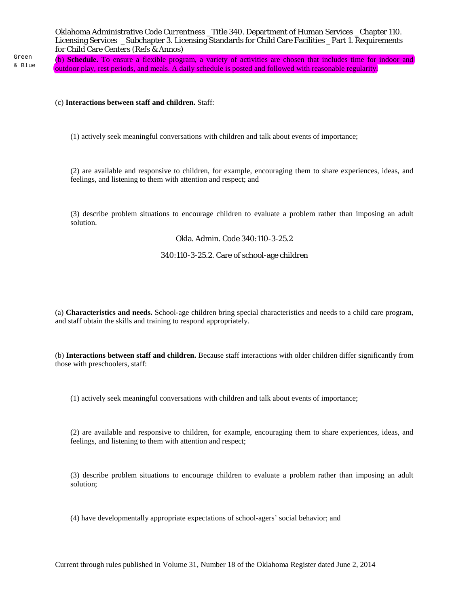Green & Blue

(b) **Schedule.** To ensure a flexible program, a variety of activities are chosen that includes time for indoor and outdoor play, rest periods, and meals. A daily schedule is posted and followed with reasonable regularity.

#### (c) **Interactions between staff and children.** Staff:

(1) actively seek meaningful conversations with children and talk about events of importance;

(2) are available and responsive to children, for example, encouraging them to share experiences, ideas, and feelings, and listening to them with attention and respect; and

(3) describe problem situations to encourage children to evaluate a problem rather than imposing an adult solution.

# Okla. Admin. Code 340:110-3-25.2

# 340:110-3-25.2. Care of school-age children

(a) **Characteristics and needs.** School-age children bring special characteristics and needs to a child care program, and staff obtain the skills and training to respond appropriately.

(b) **Interactions between staff and children.** Because staff interactions with older children differ significantly from those with preschoolers, staff:

(1) actively seek meaningful conversations with children and talk about events of importance;

(2) are available and responsive to children, for example, encouraging them to share experiences, ideas, and feelings, and listening to them with attention and respect;

(3) describe problem situations to encourage children to evaluate a problem rather than imposing an adult solution;

(4) have developmentally appropriate expectations of school-agers' social behavior; and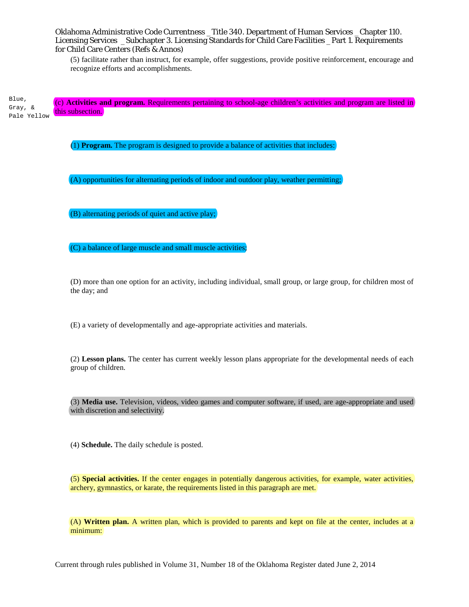(5) facilitate rather than instruct, for example, offer suggestions, provide positive reinforcement, encourage and recognize efforts and accomplishments.

(c) **Activities and program.** Requirements pertaining to school-age children's activities and program are listed in this subsection. Blue, Gray, & Pale Yellow

(1) **Program.** The program is designed to provide a balance of activities that includes:

(A) opportunities for alternating periods of indoor and outdoor play, weather permitting;

(B) alternating periods of quiet and active play;

(C) a balance of large muscle and small muscle activities;

(D) more than one option for an activity, including individual, small group, or large group, for children most of the day; and

(E) a variety of developmentally and age-appropriate activities and materials.

(2) **Lesson plans.** The center has current weekly lesson plans appropriate for the developmental needs of each group of children.

(3) **Media use.** Television, videos, video games and computer software, if used, are age-appropriate and used with discretion and selectivity.

(4) **Schedule.** The daily schedule is posted.

(5) **Special activities.** If the center engages in potentially dangerous activities, for example, water activities, archery, gymnastics, or karate, the requirements listed in this paragraph are met.

(A) **Written plan.** A written plan, which is provided to parents and kept on file at the center, includes at a minimum: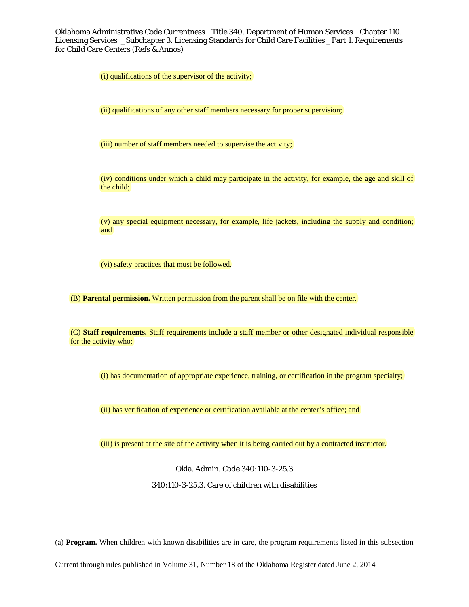(i) qualifications of the supervisor of the activity;

(ii) qualifications of any other staff members necessary for proper supervision;

(iii) number of staff members needed to supervise the activity;

(iv) conditions under which a child may participate in the activity, for example, the age and skill of the child;

(v) any special equipment necessary, for example, life jackets, including the supply and condition; and

(vi) safety practices that must be followed.

(B) **Parental permission.** Written permission from the parent shall be on file with the center.

(C) **Staff requirements.** Staff requirements include a staff member or other designated individual responsible for the activity who:

(i) has documentation of appropriate experience, training, or certification in the program specialty;

(ii) has verification of experience or certification available at the center's office; and

(iii) is present at the site of the activity when it is being carried out by a contracted instructor.

Okla. Admin. Code 340:110-3-25.3

340:110-3-25.3. Care of children with disabilities

(a) **Program.** When children with known disabilities are in care, the program requirements listed in this subsection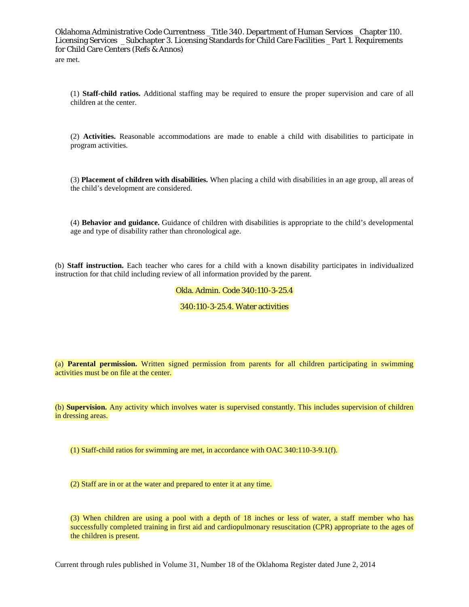(1) **Staff-child ratios.** Additional staffing may be required to ensure the proper supervision and care of all children at the center.

(2) **Activities.** Reasonable accommodations are made to enable a child with disabilities to participate in program activities.

(3) **Placement of children with disabilities.** When placing a child with disabilities in an age group, all areas of the child's development are considered.

(4) **Behavior and guidance.** Guidance of children with disabilities is appropriate to the child's developmental age and type of disability rather than chronological age.

(b) **Staff instruction.** Each teacher who cares for a child with a known disability participates in individualized instruction for that child including review of all information provided by the parent.

# Okla. Admin. Code 340:110-3-25.4

#### 340:110-3-25.4. Water activities

(a) **Parental permission.** Written signed permission from parents for all children participating in swimming activities must be on file at the center.

(b) **Supervision.** Any activity which involves water is supervised constantly. This includes supervision of children in dressing areas.

(1) Staff-child ratios for swimming are met, in accordance with OAC 340:110-3-9.1(f).

(2) Staff are in or at the water and prepared to enter it at any time.

(3) When children are using a pool with a depth of 18 inches or less of water, a staff member who has successfully completed training in first aid and cardiopulmonary resuscitation (CPR) appropriate to the ages of the children is present.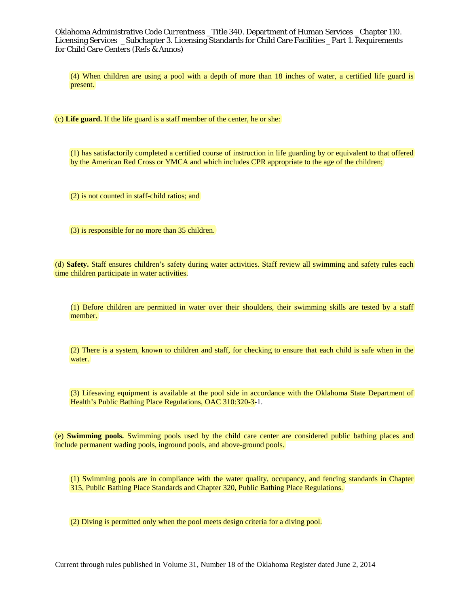(4) When children are using a pool with a depth of more than 18 inches of water, a certified life guard is present.

(c) **Life guard.** If the life guard is a staff member of the center, he or she:

(1) has satisfactorily completed a certified course of instruction in life guarding by or equivalent to that offered by the American Red Cross or YMCA and which includes CPR appropriate to the age of the children;

(2) is not counted in staff-child ratios; and

(3) is responsible for no more than 35 children.

(d) **Safety.** Staff ensures children's safety during water activities. Staff review all swimming and safety rules each time children participate in water activities.

(1) Before children are permitted in water over their shoulders, their swimming skills are tested by a staff member.

(2) There is a system, known to children and staff, for checking to ensure that each child is safe when in the water.

(3) Lifesaving equipment is available at the pool side in accordance with the Oklahoma State Department of Health's Public Bathing Place Regulations, OAC 310:320-3-1.

(e) **Swimming pools.** Swimming pools used by the child care center are considered public bathing places and include permanent wading pools, inground pools, and above-ground pools.

(1) Swimming pools are in compliance with the water quality, occupancy, and fencing standards in Chapter 315, Public Bathing Place Standards and Chapter 320, Public Bathing Place Regulations.

(2) Diving is permitted only when the pool meets design criteria for a diving pool.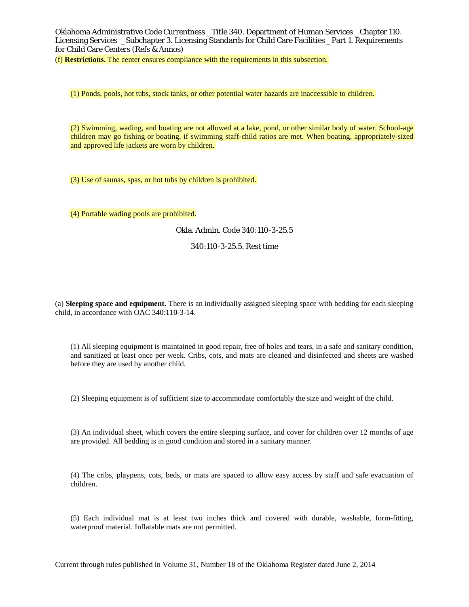(f) **Restrictions.** The center ensures compliance with the requirements in this subsection.

(1) Ponds, pools, hot tubs, stock tanks, or other potential water hazards are inaccessible to children.

(2) Swimming, wading, and boating are not allowed at a lake, pond, or other similar body of water. School-age children may go fishing or boating, if swimming staff-child ratios are met. When boating, appropriately-sized and approved life jackets are worn by children.

(3) Use of saunas, spas, or hot tubs by children is prohibited.

(4) Portable wading pools are prohibited.

Okla. Admin. Code 340:110-3-25.5

340:110-3-25.5. Rest time

(a) **Sleeping space and equipment.** There is an individually assigned sleeping space with bedding for each sleeping child, in accordance with OAC 340:110-3-14.

(1) All sleeping equipment is maintained in good repair, free of holes and tears, in a safe and sanitary condition, and sanitized at least once per week. Cribs, cots, and mats are cleaned and disinfected and sheets are washed before they are used by another child.

(2) Sleeping equipment is of sufficient size to accommodate comfortably the size and weight of the child.

(3) An individual sheet, which covers the entire sleeping surface, and cover for children over 12 months of age are provided. All bedding is in good condition and stored in a sanitary manner.

(4) The cribs, playpens, cots, beds, or mats are spaced to allow easy access by staff and safe evacuation of children.

(5) Each individual mat is at least two inches thick and covered with durable, washable, form-fitting, waterproof material. Inflatable mats are not permitted.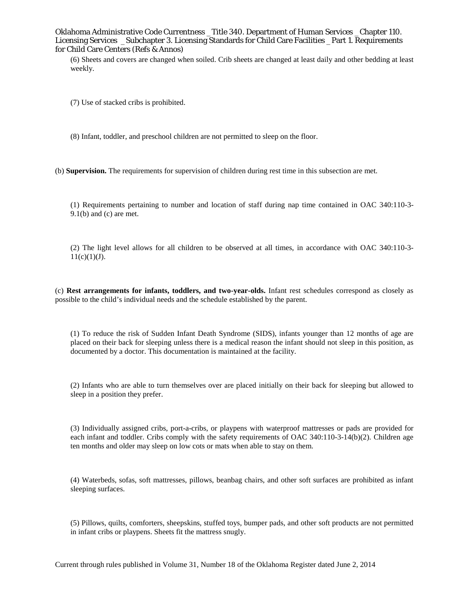(6) Sheets and covers are changed when soiled. Crib sheets are changed at least daily and other bedding at least weekly.

(7) Use of stacked cribs is prohibited.

(8) Infant, toddler, and preschool children are not permitted to sleep on the floor.

(b) **Supervision.** The requirements for supervision of children during rest time in this subsection are met.

(1) Requirements pertaining to number and location of staff during nap time contained in OAC 340:110-3-  $9.1(b)$  and (c) are met.

(2) The light level allows for all children to be observed at all times, in accordance with OAC 340:110-3-  $11(c)(1)(J).$ 

(c) **Rest arrangements for infants, toddlers, and two-year-olds.** Infant rest schedules correspond as closely as possible to the child's individual needs and the schedule established by the parent.

(1) To reduce the risk of Sudden Infant Death Syndrome (SIDS), infants younger than 12 months of age are placed on their back for sleeping unless there is a medical reason the infant should not sleep in this position, as documented by a doctor. This documentation is maintained at the facility.

(2) Infants who are able to turn themselves over are placed initially on their back for sleeping but allowed to sleep in a position they prefer.

(3) Individually assigned cribs, port-a-cribs, or playpens with waterproof mattresses or pads are provided for each infant and toddler. Cribs comply with the safety requirements of OAC 340:110-3-14(b)(2). Children age ten months and older may sleep on low cots or mats when able to stay on them.

(4) Waterbeds, sofas, soft mattresses, pillows, beanbag chairs, and other soft surfaces are prohibited as infant sleeping surfaces.

(5) Pillows, quilts, comforters, sheepskins, stuffed toys, bumper pads, and other soft products are not permitted in infant cribs or playpens. Sheets fit the mattress snugly.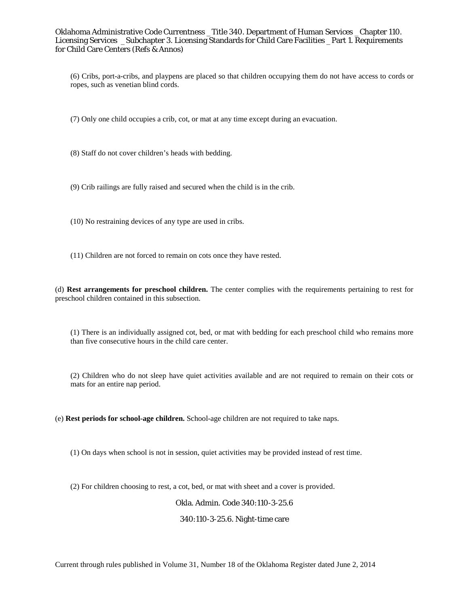(6) Cribs, port-a-cribs, and playpens are placed so that children occupying them do not have access to cords or ropes, such as venetian blind cords.

(7) Only one child occupies a crib, cot, or mat at any time except during an evacuation.

(8) Staff do not cover children's heads with bedding.

(9) Crib railings are fully raised and secured when the child is in the crib.

- (10) No restraining devices of any type are used in cribs.
- (11) Children are not forced to remain on cots once they have rested.

(d) **Rest arrangements for preschool children.** The center complies with the requirements pertaining to rest for preschool children contained in this subsection.

(1) There is an individually assigned cot, bed, or mat with bedding for each preschool child who remains more than five consecutive hours in the child care center.

(2) Children who do not sleep have quiet activities available and are not required to remain on their cots or mats for an entire nap period.

(e) **Rest periods for school-age children.** School-age children are not required to take naps.

(1) On days when school is not in session, quiet activities may be provided instead of rest time.

(2) For children choosing to rest, a cot, bed, or mat with sheet and a cover is provided.

# Okla. Admin. Code 340:110-3-25.6

#### 340:110-3-25.6. Night-time care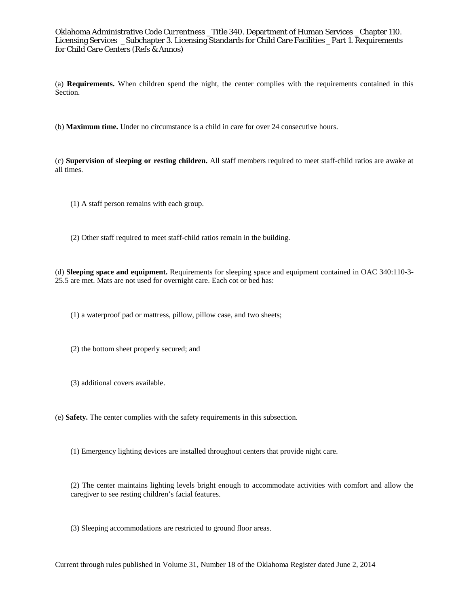(a) **Requirements.** When children spend the night, the center complies with the requirements contained in this Section.

(b) **Maximum time.** Under no circumstance is a child in care for over 24 consecutive hours.

(c) **Supervision of sleeping or resting children.** All staff members required to meet staff-child ratios are awake at all times.

- (1) A staff person remains with each group.
- (2) Other staff required to meet staff-child ratios remain in the building.

(d) **Sleeping space and equipment.** Requirements for sleeping space and equipment contained in OAC 340:110-3- 25.5 are met. Mats are not used for overnight care. Each cot or bed has:

(1) a waterproof pad or mattress, pillow, pillow case, and two sheets;

- (2) the bottom sheet properly secured; and
- (3) additional covers available.
- (e) **Safety.** The center complies with the safety requirements in this subsection.
	- (1) Emergency lighting devices are installed throughout centers that provide night care.

(2) The center maintains lighting levels bright enough to accommodate activities with comfort and allow the caregiver to see resting children's facial features.

(3) Sleeping accommodations are restricted to ground floor areas.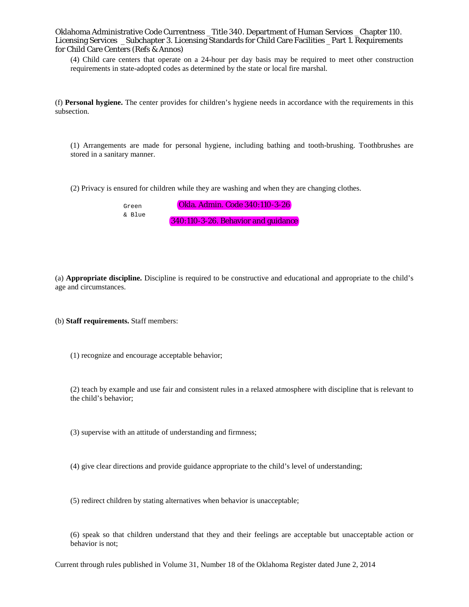(4) Child care centers that operate on a 24-hour per day basis may be required to meet other construction requirements in state-adopted codes as determined by the state or local fire marshal.

(f) **Personal hygiene.** The center provides for children's hygiene needs in accordance with the requirements in this subsection.

(1) Arrangements are made for personal hygiene, including bathing and tooth-brushing. Toothbrushes are stored in a sanitary manner.

(2) Privacy is ensured for children while they are washing and when they are changing clothes.

Okla. Admin. Code 340:110-3-26 340:110-3-26. Behavior and guidance Green & Blue

(a) **Appropriate discipline.** Discipline is required to be constructive and educational and appropriate to the child's age and circumstances.

(b) **Staff requirements.** Staff members:

(1) recognize and encourage acceptable behavior;

(2) teach by example and use fair and consistent rules in a relaxed atmosphere with discipline that is relevant to the child's behavior;

(3) supervise with an attitude of understanding and firmness;

(4) give clear directions and provide guidance appropriate to the child's level of understanding;

(5) redirect children by stating alternatives when behavior is unacceptable;

(6) speak so that children understand that they and their feelings are acceptable but unacceptable action or behavior is not;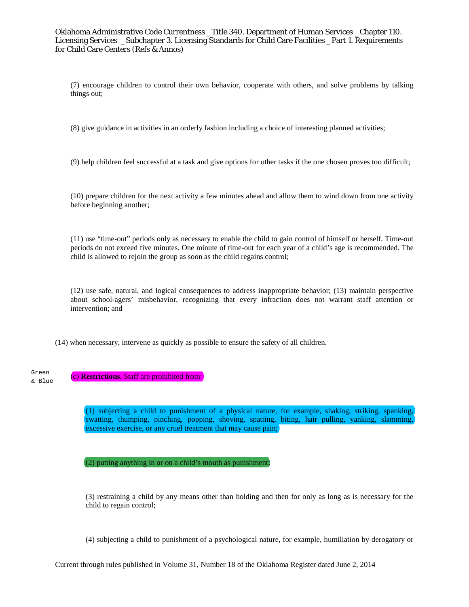(7) encourage children to control their own behavior, cooperate with others, and solve problems by talking things out;

(8) give guidance in activities in an orderly fashion including a choice of interesting planned activities;

(9) help children feel successful at a task and give options for other tasks if the one chosen proves too difficult;

(10) prepare children for the next activity a few minutes ahead and allow them to wind down from one activity before beginning another;

(11) use "time-out" periods only as necessary to enable the child to gain control of himself or herself. Time-out periods do not exceed five minutes. One minute of time-out for each year of a child's age is recommended. The child is allowed to rejoin the group as soon as the child regains control;

(12) use safe, natural, and logical consequences to address inappropriate behavior; (13) maintain perspective about school-agers' misbehavior, recognizing that every infraction does not warrant staff attention or intervention; and

(14) when necessary, intervene as quickly as possible to ensure the safety of all children.

(c) **Restrictions.** Staff are prohibited from: Green & Blue

> (1) subjecting a child to punishment of a physical nature, for example, shaking, striking, spanking, swatting, thumping, pinching, popping, shoving, spatting, biting, hair pulling, yanking, slamming, excessive exercise, or any cruel treatment that may cause pain;

(2) putting anything in or on a child's mouth as punishment;

(3) restraining a child by any means other than holding and then for only as long as is necessary for the child to regain control;

(4) subjecting a child to punishment of a psychological nature, for example, humiliation by derogatory or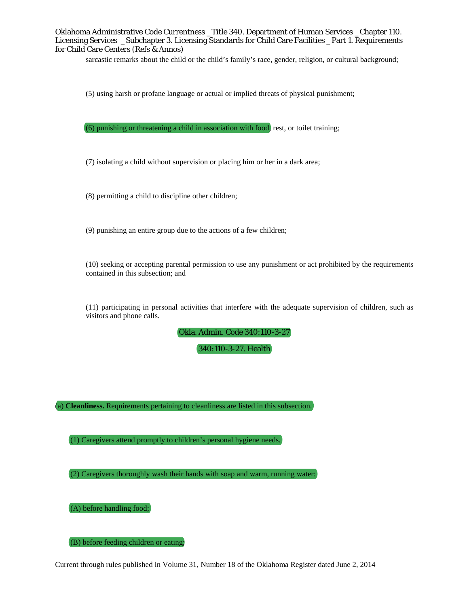sarcastic remarks about the child or the child's family's race, gender, religion, or cultural background;

(5) using harsh or profane language or actual or implied threats of physical punishment;

(6) punishing or threatening a child in association with food, rest, or toilet training;

(7) isolating a child without supervision or placing him or her in a dark area;

(8) permitting a child to discipline other children;

(9) punishing an entire group due to the actions of a few children;

(10) seeking or accepting parental permission to use any punishment or act prohibited by the requirements contained in this subsection; and

(11) participating in personal activities that interfere with the adequate supervision of children, such as visitors and phone calls.

Okla. Admin. Code 340:110-3-27

340:110-3-27. Health

(a) **Cleanliness.** Requirements pertaining to cleanliness are listed in this subsection.

(1) Caregivers attend promptly to children's personal hygiene needs.

(2) Caregivers thoroughly wash their hands with soap and warm, running water:

(A) before handling food;

(B) before feeding children or eating;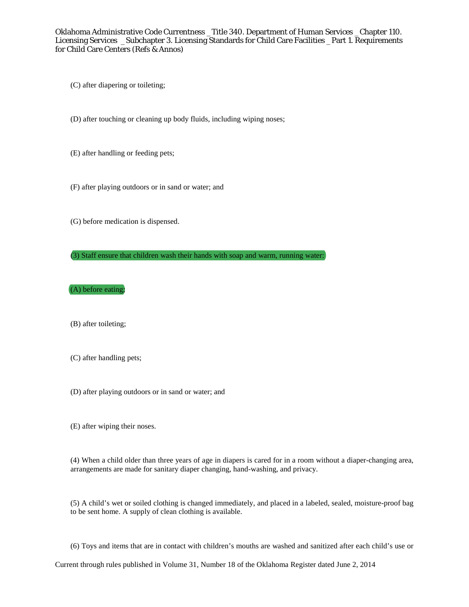(C) after diapering or toileting;

(D) after touching or cleaning up body fluids, including wiping noses;

(E) after handling or feeding pets;

(F) after playing outdoors or in sand or water; and

(G) before medication is dispensed.

(3) Staff ensure that children wash their hands with soap and warm, running water:

(A) before eating;

(B) after toileting;

(C) after handling pets;

(D) after playing outdoors or in sand or water; and

(E) after wiping their noses.

(4) When a child older than three years of age in diapers is cared for in a room without a diaper-changing area, arrangements are made for sanitary diaper changing, hand-washing, and privacy.

(5) A child's wet or soiled clothing is changed immediately, and placed in a labeled, sealed, moisture-proof bag to be sent home. A supply of clean clothing is available.

(6) Toys and items that are in contact with children's mouths are washed and sanitized after each child's use or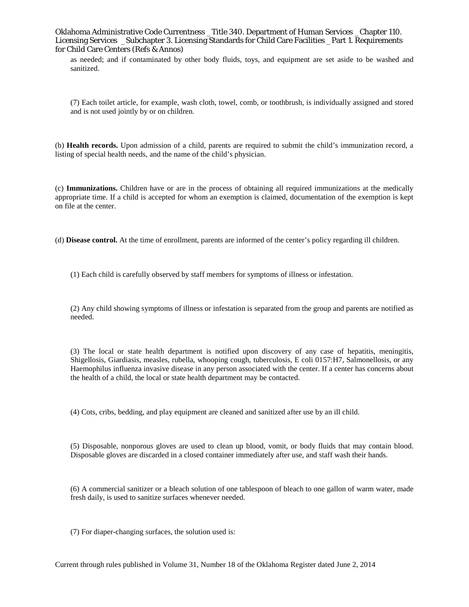as needed; and if contaminated by other body fluids, toys, and equipment are set aside to be washed and sanitized.

(7) Each toilet article, for example, wash cloth, towel, comb, or toothbrush, is individually assigned and stored and is not used jointly by or on children.

(b) **Health records.** Upon admission of a child, parents are required to submit the child's immunization record, a listing of special health needs, and the name of the child's physician.

(c) **Immunizations.** Children have or are in the process of obtaining all required immunizations at the medically appropriate time. If a child is accepted for whom an exemption is claimed, documentation of the exemption is kept on file at the center.

(d) **Disease control.** At the time of enrollment, parents are informed of the center's policy regarding ill children.

(1) Each child is carefully observed by staff members for symptoms of illness or infestation.

(2) Any child showing symptoms of illness or infestation is separated from the group and parents are notified as needed.

(3) The local or state health department is notified upon discovery of any case of hepatitis, meningitis, Shigellosis, Giardiasis, measles, rubella, whooping cough, tuberculosis, E coli 0157:H7, Salmonellosis, or any Haemophilus influenza invasive disease in any person associated with the center. If a center has concerns about the health of a child, the local or state health department may be contacted.

(4) Cots, cribs, bedding, and play equipment are cleaned and sanitized after use by an ill child.

(5) Disposable, nonporous gloves are used to clean up blood, vomit, or body fluids that may contain blood. Disposable gloves are discarded in a closed container immediately after use, and staff wash their hands.

(6) A commercial sanitizer or a bleach solution of one tablespoon of bleach to one gallon of warm water, made fresh daily, is used to sanitize surfaces whenever needed.

(7) For diaper-changing surfaces, the solution used is: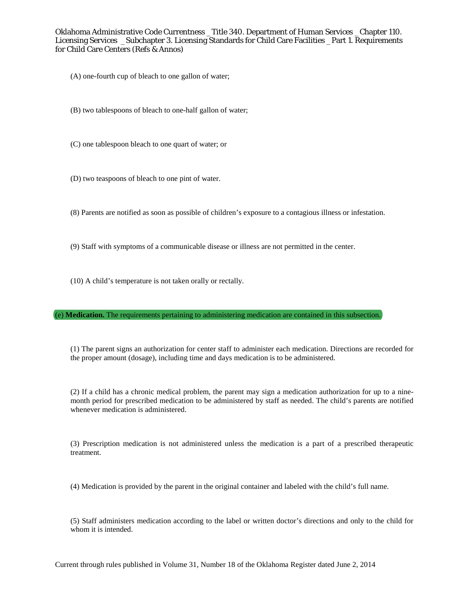(A) one-fourth cup of bleach to one gallon of water;

(B) two tablespoons of bleach to one-half gallon of water;

(C) one tablespoon bleach to one quart of water; or

(D) two teaspoons of bleach to one pint of water.

(8) Parents are notified as soon as possible of children's exposure to a contagious illness or infestation.

(9) Staff with symptoms of a communicable disease or illness are not permitted in the center.

(10) A child's temperature is not taken orally or rectally.

(e) **Medication.** The requirements pertaining to administering medication are contained in this subsection.

(1) The parent signs an authorization for center staff to administer each medication. Directions are recorded for the proper amount (dosage), including time and days medication is to be administered.

(2) If a child has a chronic medical problem, the parent may sign a medication authorization for up to a ninemonth period for prescribed medication to be administered by staff as needed. The child's parents are notified whenever medication is administered.

(3) Prescription medication is not administered unless the medication is a part of a prescribed therapeutic treatment.

(4) Medication is provided by the parent in the original container and labeled with the child's full name.

(5) Staff administers medication according to the label or written doctor's directions and only to the child for whom it is intended.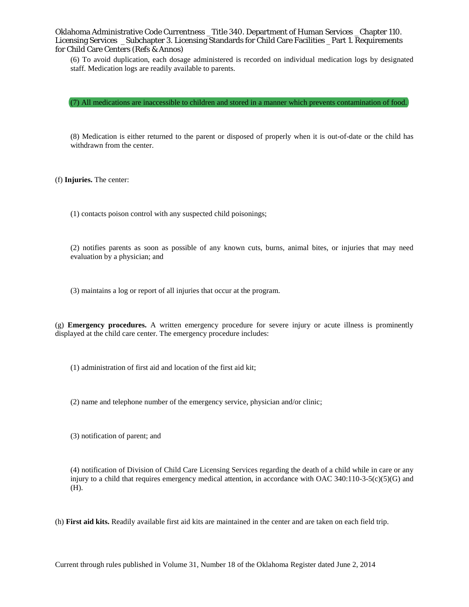(6) To avoid duplication, each dosage administered is recorded on individual medication logs by designated staff. Medication logs are readily available to parents.

(7) All medications are inaccessible to children and stored in a manner which prevents contamination of food.

(8) Medication is either returned to the parent or disposed of properly when it is out-of-date or the child has withdrawn from the center.

(f) **Injuries.** The center:

(1) contacts poison control with any suspected child poisonings;

(2) notifies parents as soon as possible of any known cuts, burns, animal bites, or injuries that may need evaluation by a physician; and

(3) maintains a log or report of all injuries that occur at the program.

(g) **Emergency procedures.** A written emergency procedure for severe injury or acute illness is prominently displayed at the child care center. The emergency procedure includes:

(1) administration of first aid and location of the first aid kit;

(2) name and telephone number of the emergency service, physician and/or clinic;

(3) notification of parent; and

(4) notification of Division of Child Care Licensing Services regarding the death of a child while in care or any injury to a child that requires emergency medical attention, in accordance with OAC 340:110-3-5(c)(5)(G) and (H).

(h) **First aid kits.** Readily available first aid kits are maintained in the center and are taken on each field trip.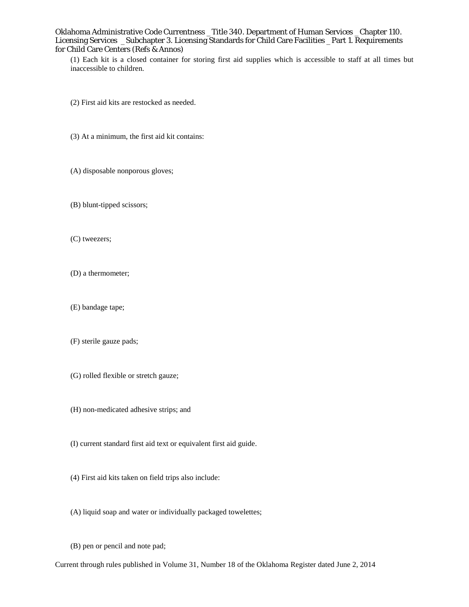(1) Each kit is a closed container for storing first aid supplies which is accessible to staff at all times but inaccessible to children.

- (2) First aid kits are restocked as needed.
- (3) At a minimum, the first aid kit contains:
- (A) disposable nonporous gloves;
- (B) blunt-tipped scissors;
- (C) tweezers;
- (D) a thermometer;
- (E) bandage tape;
- (F) sterile gauze pads;
- (G) rolled flexible or stretch gauze;
- (H) non-medicated adhesive strips; and
- (I) current standard first aid text or equivalent first aid guide.
- (4) First aid kits taken on field trips also include:
- (A) liquid soap and water or individually packaged towelettes;
- (B) pen or pencil and note pad;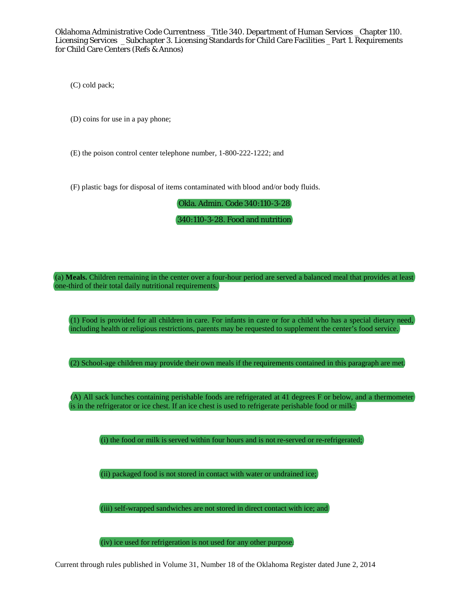(C) cold pack;

(D) coins for use in a pay phone;

(E) the poison control center telephone number, 1-800-222-1222; and

(F) plastic bags for disposal of items contaminated with blood and/or body fluids.

Okla. Admin. Code 340:110-3-28

340:110-3-28. Food and nutrition

(a) **Meals.** Children remaining in the center over a four-hour period are served a balanced meal that provides at least one-third of their total daily nutritional requirements.

(1) Food is provided for all children in care. For infants in care or for a child who has a special dietary need, including health or religious restrictions, parents may be requested to supplement the center's food service.

(2) School-age children may provide their own meals if the requirements contained in this paragraph are met.

(A) All sack lunches containing perishable foods are refrigerated at 41 degrees F or below, and a thermometer is in the refrigerator or ice chest. If an ice chest is used to refrigerate perishable food or milk:

(i) the food or milk is served within four hours and is not re-served or re-refrigerated;

(ii) packaged food is not stored in contact with water or undrained ice;

(iii) self-wrapped sandwiches are not stored in direct contact with ice; and

(iv) ice used for refrigeration is not used for any other purpose.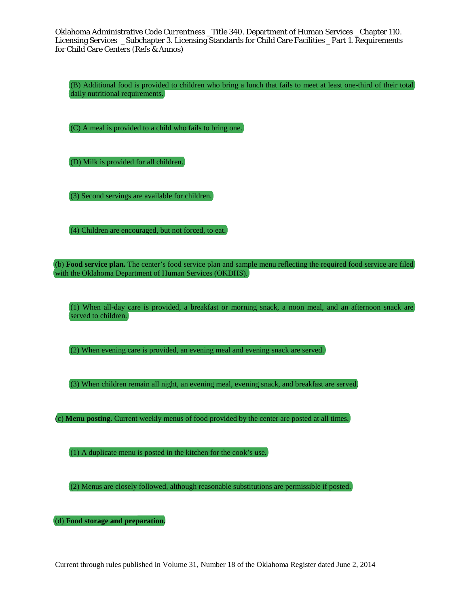(B) Additional food is provided to children who bring a lunch that fails to meet at least one-third of their total daily nutritional requirements.

(C) A meal is provided to a child who fails to bring one.

(D) Milk is provided for all children.

(3) Second servings are available for children.

(4) Children are encouraged, but not forced, to eat.

(b) **Food service plan.** The center's food service plan and sample menu reflecting the required food service are filed with the Oklahoma Department of Human Services (OKDHS).

(1) When all-day care is provided, a breakfast or morning snack, a noon meal, and an afternoon snack are served to children.

(2) When evening care is provided, an evening meal and evening snack are served.

(3) When children remain all night, an evening meal, evening snack, and breakfast are served.

(c) **Menu posting.** Current weekly menus of food provided by the center are posted at all times.

(1) A duplicate menu is posted in the kitchen for the cook's use.

(2) Menus are closely followed, although reasonable substitutions are permissible if posted.

(d) **Food storage and preparation.**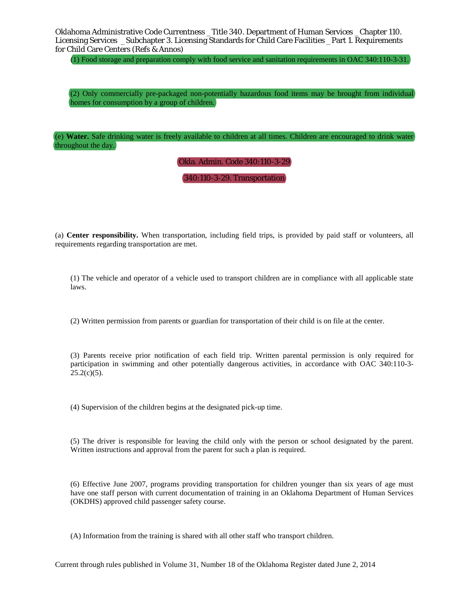(1) Food storage and preparation comply with food service and sanitation requirements in OAC 340:110-3-31.

(2) Only commercially pre-packaged non-potentially hazardous food items may be brought from individual homes for consumption by a group of children.

(e) **Water.** Safe drinking water is freely available to children at all times. Children are encouraged to drink water throughout the day.

Okla. Admin. Code 340:110-3-29

340:110-3-29. Transportation

(a) **Center responsibility.** When transportation, including field trips, is provided by paid staff or volunteers, all requirements regarding transportation are met.

(1) The vehicle and operator of a vehicle used to transport children are in compliance with all applicable state laws.

(2) Written permission from parents or guardian for transportation of their child is on file at the center.

(3) Parents receive prior notification of each field trip. Written parental permission is only required for participation in swimming and other potentially dangerous activities, in accordance with OAC 340:110-3-  $25.2(c)(5)$ .

(4) Supervision of the children begins at the designated pick-up time.

(5) The driver is responsible for leaving the child only with the person or school designated by the parent. Written instructions and approval from the parent for such a plan is required.

(6) Effective June 2007, programs providing transportation for children younger than six years of age must have one staff person with current documentation of training in an Oklahoma Department of Human Services (OKDHS) approved child passenger safety course.

(A) Information from the training is shared with all other staff who transport children.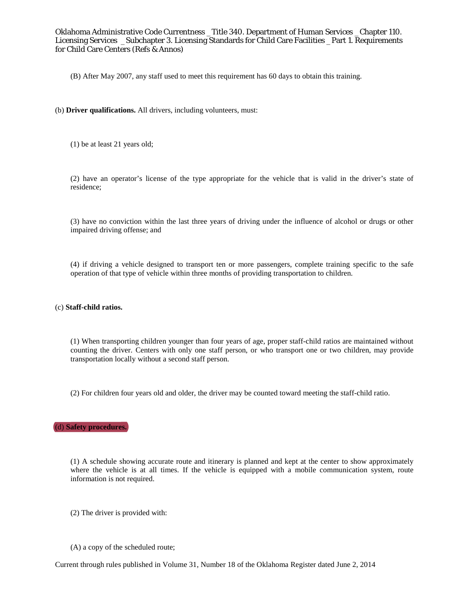(B) After May 2007, any staff used to meet this requirement has 60 days to obtain this training.

- (b) **Driver qualifications.** All drivers, including volunteers, must:
	- (1) be at least 21 years old;

(2) have an operator's license of the type appropriate for the vehicle that is valid in the driver's state of residence;

(3) have no conviction within the last three years of driving under the influence of alcohol or drugs or other impaired driving offense; and

(4) if driving a vehicle designed to transport ten or more passengers, complete training specific to the safe operation of that type of vehicle within three months of providing transportation to children.

#### (c) **Staff-child ratios.**

(1) When transporting children younger than four years of age, proper staff-child ratios are maintained without counting the driver. Centers with only one staff person, or who transport one or two children, may provide transportation locally without a second staff person.

(2) For children four years old and older, the driver may be counted toward meeting the staff-child ratio.

## (d) **Safety procedures.**

(1) A schedule showing accurate route and itinerary is planned and kept at the center to show approximately where the vehicle is at all times. If the vehicle is equipped with a mobile communication system, route information is not required.

- (2) The driver is provided with:
- (A) a copy of the scheduled route;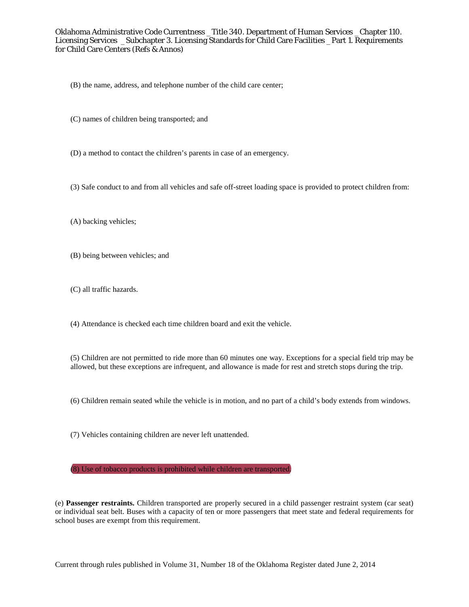- (B) the name, address, and telephone number of the child care center;
- (C) names of children being transported; and
- (D) a method to contact the children's parents in case of an emergency.
- (3) Safe conduct to and from all vehicles and safe off-street loading space is provided to protect children from:
- (A) backing vehicles;
- (B) being between vehicles; and
- (C) all traffic hazards.
- (4) Attendance is checked each time children board and exit the vehicle.

(5) Children are not permitted to ride more than 60 minutes one way. Exceptions for a special field trip may be allowed, but these exceptions are infrequent, and allowance is made for rest and stretch stops during the trip.

- (6) Children remain seated while the vehicle is in motion, and no part of a child's body extends from windows.
- (7) Vehicles containing children are never left unattended.

### (8) Use of tobacco products is prohibited while children are transported.

(e) **Passenger restraints.** Children transported are properly secured in a child passenger restraint system (car seat) or individual seat belt. Buses with a capacity of ten or more passengers that meet state and federal requirements for school buses are exempt from this requirement.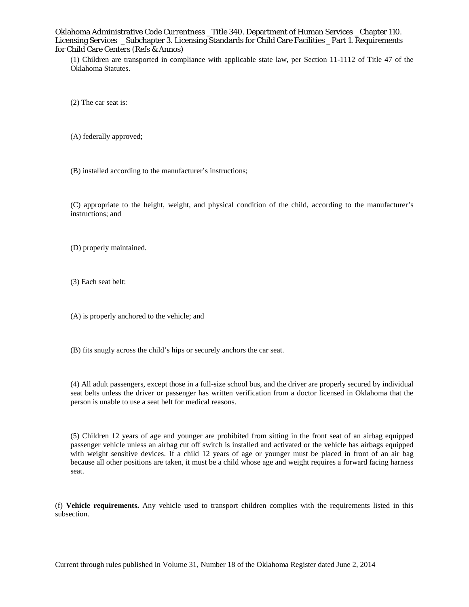(1) Children are transported in compliance with applicable state law, per Section 11-1112 of Title 47 of the Oklahoma Statutes.

(2) The car seat is:

(A) federally approved;

(B) installed according to the manufacturer's instructions;

(C) appropriate to the height, weight, and physical condition of the child, according to the manufacturer's instructions; and

(D) properly maintained.

(3) Each seat belt:

(A) is properly anchored to the vehicle; and

(B) fits snugly across the child's hips or securely anchors the car seat.

(4) All adult passengers, except those in a full-size school bus, and the driver are properly secured by individual seat belts unless the driver or passenger has written verification from a doctor licensed in Oklahoma that the person is unable to use a seat belt for medical reasons.

(5) Children 12 years of age and younger are prohibited from sitting in the front seat of an airbag equipped passenger vehicle unless an airbag cut off switch is installed and activated or the vehicle has airbags equipped with weight sensitive devices. If a child 12 years of age or younger must be placed in front of an air bag because all other positions are taken, it must be a child whose age and weight requires a forward facing harness seat.

(f) **Vehicle requirements.** Any vehicle used to transport children complies with the requirements listed in this subsection.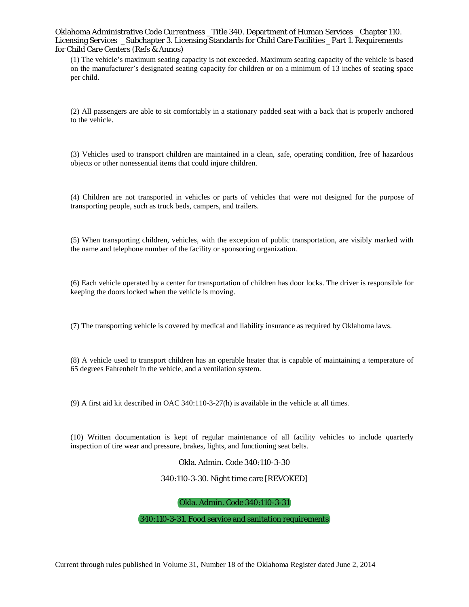(1) The vehicle's maximum seating capacity is not exceeded. Maximum seating capacity of the vehicle is based on the manufacturer's designated seating capacity for children or on a minimum of 13 inches of seating space per child.

(2) All passengers are able to sit comfortably in a stationary padded seat with a back that is properly anchored to the vehicle.

(3) Vehicles used to transport children are maintained in a clean, safe, operating condition, free of hazardous objects or other nonessential items that could injure children.

(4) Children are not transported in vehicles or parts of vehicles that were not designed for the purpose of transporting people, such as truck beds, campers, and trailers.

(5) When transporting children, vehicles, with the exception of public transportation, are visibly marked with the name and telephone number of the facility or sponsoring organization.

(6) Each vehicle operated by a center for transportation of children has door locks. The driver is responsible for keeping the doors locked when the vehicle is moving.

(7) The transporting vehicle is covered by medical and liability insurance as required by Oklahoma laws.

(8) A vehicle used to transport children has an operable heater that is capable of maintaining a temperature of 65 degrees Fahrenheit in the vehicle, and a ventilation system.

(9) A first aid kit described in OAC 340:110-3-27(h) is available in the vehicle at all times.

(10) Written documentation is kept of regular maintenance of all facility vehicles to include quarterly inspection of tire wear and pressure, brakes, lights, and functioning seat belts.

Okla. Admin. Code 340:110-3-30

340:110-3-30. Night time care [REVOKED]

Okla. Admin. Code 340:110-3-31

340:110-3-31. Food service and sanitation requirements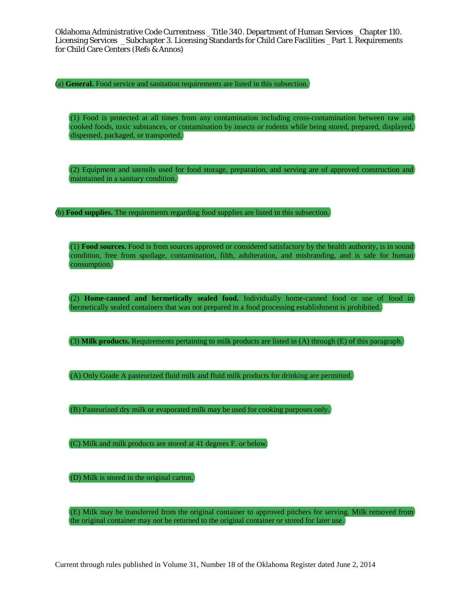(a) **General.** Food service and sanitation requirements are listed in this subsection.

(1) Food is protected at all times from any contamination including cross-contamination between raw and cooked foods, toxic substances, or contamination by insects or rodents while being stored, prepared, displayed, dispensed, packaged, or transported.

(2) Equipment and utensils used for food storage, preparation, and serving are of approved construction and maintained in a sanitary condition.

(b) **Food supplies.** The requirements regarding food supplies are listed in this subsection.

(1) **Food sources.** Food is from sources approved or considered satisfactory by the health authority, is in sound condition, free from spoilage, contamination, filth, adulteration, and misbranding, and is safe for human consumption.

(2) **Home-canned and hermetically sealed food.** Individually home-canned food or use of food in hermetically sealed containers that was not prepared in a food processing establishment is prohibited.

(3) **Milk products.** Requirements pertaining to milk products are listed in (A) through (E) of this paragraph.

(A) Only Grade A pasteurized fluid milk and fluid milk products for drinking are permitted.

(B) Pasteurized dry milk or evaporated milk may be used for cooking purposes only.

(C) Milk and milk products are stored at 41 degrees F. or below.

(D) Milk is stored in the original carton.

(E) Milk may be transferred from the original container to approved pitchers for serving. Milk removed from the original container may not be returned to the original container or stored for later use.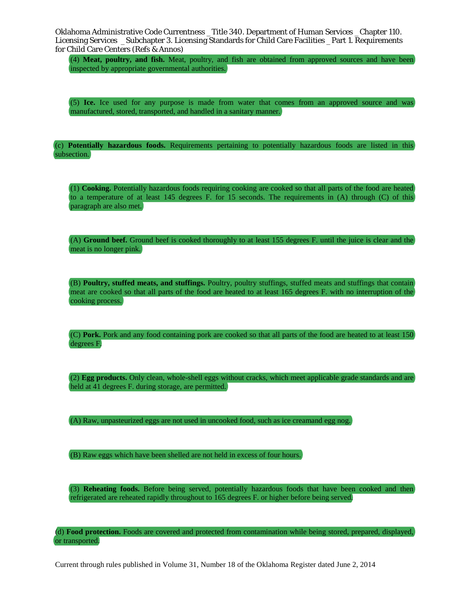(4) **Meat, poultry, and fish.** Meat, poultry, and fish are obtained from approved sources and have been inspected by appropriate governmental authorities.

(5) **Ice.** Ice used for any purpose is made from water that comes from an approved source and was manufactured, stored, transported, and handled in a sanitary manner.

(c) **Potentially hazardous foods.** Requirements pertaining to potentially hazardous foods are listed in this subsection.

(1) **Cooking.** Potentially hazardous foods requiring cooking are cooked so that all parts of the food are heated to a temperature of at least 145 degrees F. for 15 seconds. The requirements in (A) through (C) of this paragraph are also met.

(A) **Ground beef.** Ground beef is cooked thoroughly to at least 155 degrees F. until the juice is clear and the meat is no longer pink.

(B) **Poultry, stuffed meats, and stuffings.** Poultry, poultry stuffings, stuffed meats and stuffings that contain meat are cooked so that all parts of the food are heated to at least 165 degrees F. with no interruption of the cooking process.

(C) **Pork.** Pork and any food containing pork are cooked so that all parts of the food are heated to at least 150 degrees F.

(2) **Egg products.** Only clean, whole-shell eggs without cracks, which meet applicable grade standards and are held at 41 degrees F. during storage, are permitted.

(A) Raw, unpasteurized eggs are not used in uncooked food, such as ice creamand egg nog.

(B) Raw eggs which have been shelled are not held in excess of four hours.

(3) **Reheating foods.** Before being served, potentially hazardous foods that have been cooked and then refrigerated are reheated rapidly throughout to 165 degrees F. or higher before being served.

(d) **Food protection.** Foods are covered and protected from contamination while being stored, prepared, displayed, or transported.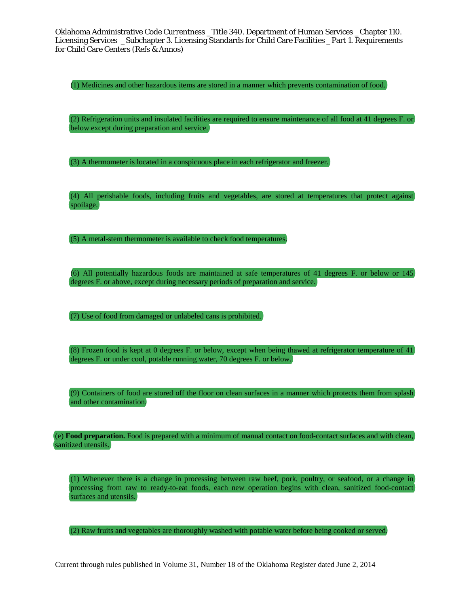(1) Medicines and other hazardous items are stored in a manner which prevents contamination of food.

(2) Refrigeration units and insulated facilities are required to ensure maintenance of all food at 41 degrees F. or below except during preparation and service.

(3) A thermometer is located in a conspicuous place in each refrigerator and freezer.

(4) All perishable foods, including fruits and vegetables, are stored at temperatures that protect against spoilage.

(5) A metal-stem thermometer is available to check food temperatures.

(6) All potentially hazardous foods are maintained at safe temperatures of 41 degrees F. or below or 145 degrees F. or above, except during necessary periods of preparation and service.

(7) Use of food from damaged or unlabeled cans is prohibited.

(8) Frozen food is kept at 0 degrees F. or below, except when being thawed at refrigerator temperature of 41 degrees F. or under cool, potable running water, 70 degrees F. or below.

(9) Containers of food are stored off the floor on clean surfaces in a manner which protects them from splash and other contamination.

(e) **Food preparation.** Food is prepared with a minimum of manual contact on food-contact surfaces and with clean, sanitized utensils.

(1) Whenever there is a change in processing between raw beef, pork, poultry, or seafood, or a change in processing from raw to ready-to-eat foods, each new operation begins with clean, sanitized food-contact surfaces and utensils.

(2) Raw fruits and vegetables are thoroughly washed with potable water before being cooked or served.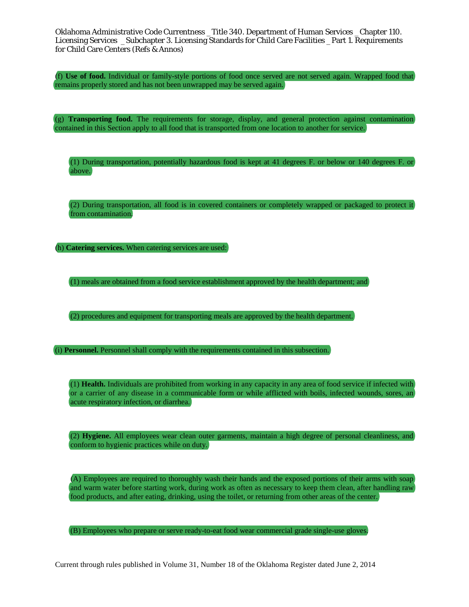(f) **Use of food.** Individual or family-style portions of food once served are not served again. Wrapped food that remains properly stored and has not been unwrapped may be served again.

(g) **Transporting food.** The requirements for storage, display, and general protection against contamination contained in this Section apply to all food that is transported from one location to another for service.

(1) During transportation, potentially hazardous food is kept at 41 degrees F. or below or 140 degrees F. or above.

(2) During transportation, all food is in covered containers or completely wrapped or packaged to protect it from contamination.

(h) **Catering services.** When catering services are used:

(1) meals are obtained from a food service establishment approved by the health department; and

(2) procedures and equipment for transporting meals are approved by the health department.

(i) **Personnel.** Personnel shall comply with the requirements contained in this subsection.

(1) **Health.** Individuals are prohibited from working in any capacity in any area of food service if infected with or a carrier of any disease in a communicable form or while afflicted with boils, infected wounds, sores, an acute respiratory infection, or diarrhea.

(2) **Hygiene.** All employees wear clean outer garments, maintain a high degree of personal cleanliness, and conform to hygienic practices while on duty.

(A) Employees are required to thoroughly wash their hands and the exposed portions of their arms with soap and warm water before starting work, during work as often as necessary to keep them clean, after handling raw food products, and after eating, drinking, using the toilet, or returning from other areas of the center.

(B) Employees who prepare or serve ready-to-eat food wear commercial grade single-use gloves.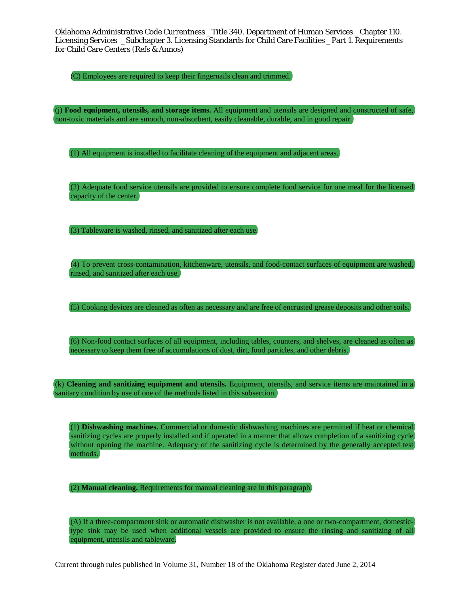(C) Employees are required to keep their fingernails clean and trimmed.

(j) **Food equipment, utensils, and storage items.** All equipment and utensils are designed and constructed of safe, non-toxic materials and are smooth, non-absorbent, easily cleanable, durable, and in good repair.

(1) All equipment is installed to facilitate cleaning of the equipment and adjacent areas.

(2) Adequate food service utensils are provided to ensure complete food service for one meal for the licensed capacity of the center.

(3) Tableware is washed, rinsed, and sanitized after each use.

(4) To prevent cross-contamination, kitchenware, utensils, and food-contact surfaces of equipment are washed, rinsed, and sanitized after each use.

(5) Cooking devices are cleaned as often as necessary and are free of encrusted grease deposits and other soils.

(6) Non-food contact surfaces of all equipment, including tables, counters, and shelves, are cleaned as often as necessary to keep them free of accumulations of dust, dirt, food particles, and other debris.

(k) **Cleaning and sanitizing equipment and utensils.** Equipment, utensils, and service items are maintained in a sanitary condition by use of one of the methods listed in this subsection.

(1) **Dishwashing machines.** Commercial or domestic dishwashing machines are permitted if heat or chemical sanitizing cycles are properly installed and if operated in a manner that allows completion of a sanitizing cycle without opening the machine. Adequacy of the sanitizing cycle is determined by the generally accepted test methods.

(2) **Manual cleaning.** Requirements for manual cleaning are in this paragraph.

(A) If a three-compartment sink or automatic dishwasher is not available, a one or two-compartment, domestictype sink may be used when additional vessels are provided to ensure the rinsing and sanitizing of all equipment, utensils and tableware.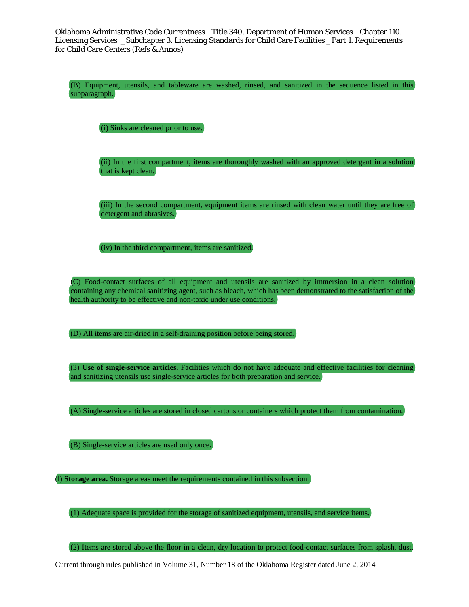(B) Equipment, utensils, and tableware are washed, rinsed, and sanitized in the sequence listed in this subparagraph.

(i) Sinks are cleaned prior to use.

(ii) In the first compartment, items are thoroughly washed with an approved detergent in a solution that is kept clean.

(iii) In the second compartment, equipment items are rinsed with clean water until they are free of detergent and abrasives.

(iv) In the third compartment, items are sanitized.

(C) Food-contact surfaces of all equipment and utensils are sanitized by immersion in a clean solution containing any chemical sanitizing agent, such as bleach, which has been demonstrated to the satisfaction of the health authority to be effective and non-toxic under use conditions.

(D) All items are air-dried in a self-draining position before being stored.

(3) **Use of single-service articles.** Facilities which do not have adequate and effective facilities for cleaning and sanitizing utensils use single-service articles for both preparation and service.

(A) Single-service articles are stored in closed cartons or containers which protect them from contamination.

(B) Single-service articles are used only once.

(l) **Storage area.** Storage areas meet the requirements contained in this subsection.

(1) Adequate space is provided for the storage of sanitized equipment, utensils, and service items.

(2) Items are stored above the floor in a clean, dry location to protect food-contact surfaces from splash, dust,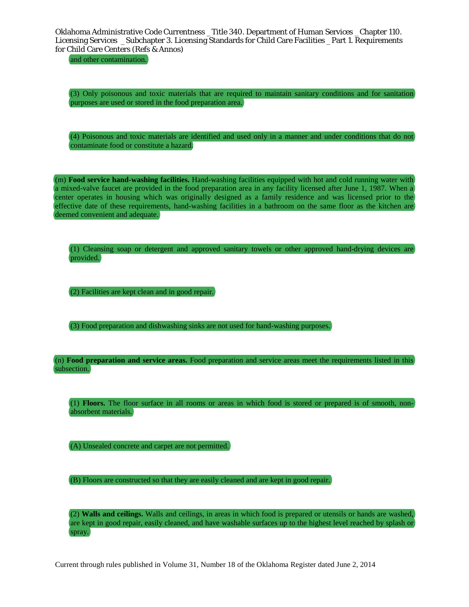and other contamination.

(3) Only poisonous and toxic materials that are required to maintain sanitary conditions and for sanitation purposes are used or stored in the food preparation area.

(4) Poisonous and toxic materials are identified and used only in a manner and under conditions that do not contaminate food or constitute a hazard.

(m) **Food service hand-washing facilities.** Hand-washing facilities equipped with hot and cold running water with a mixed-valve faucet are provided in the food preparation area in any facility licensed after June 1, 1987. When a center operates in housing which was originally designed as a family residence and was licensed prior to the effective date of these requirements, hand-washing facilities in a bathroom on the same floor as the kitchen are deemed convenient and adequate.

(1) Cleansing soap or detergent and approved sanitary towels or other approved hand-drying devices are provided.

(2) Facilities are kept clean and in good repair.

(3) Food preparation and dishwashing sinks are not used for hand-washing purposes.

(n) **Food preparation and service areas.** Food preparation and service areas meet the requirements listed in this subsection.

(1) **Floors.** The floor surface in all rooms or areas in which food is stored or prepared is of smooth, nonabsorbent materials.

(A) Unsealed concrete and carpet are not permitted.

(B) Floors are constructed so that they are easily cleaned and are kept in good repair.

(2) **Walls and ceilings.** Walls and ceilings, in areas in which food is prepared or utensils or hands are washed, are kept in good repair, easily cleaned, and have washable surfaces up to the highest level reached by splash or spray.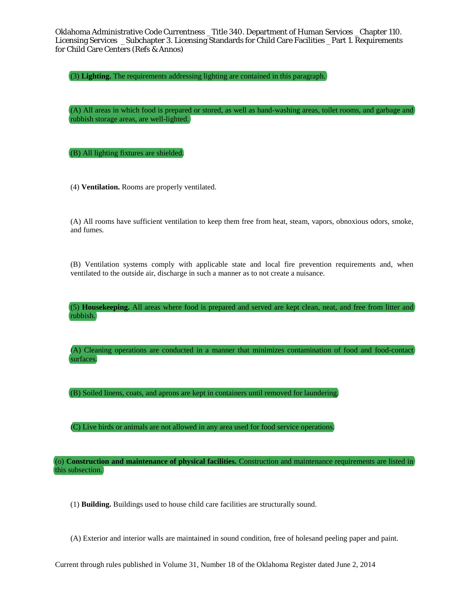(3) **Lighting.** The requirements addressing lighting are contained in this paragraph.

(A) All areas in which food is prepared or stored, as well as hand-washing areas, toilet rooms, and garbage and rubbish storage areas, are well-lighted.

(B) All lighting fixtures are shielded.

(4) **Ventilation.** Rooms are properly ventilated.

(A) All rooms have sufficient ventilation to keep them free from heat, steam, vapors, obnoxious odors, smoke, and fumes.

(B) Ventilation systems comply with applicable state and local fire prevention requirements and, when ventilated to the outside air, discharge in such a manner as to not create a nuisance.

(5) **Housekeeping.** All areas where food is prepared and served are kept clean, neat, and free from litter and rubbish.

(A) Cleaning operations are conducted in a manner that minimizes contamination of food and food-contact surfaces.

(B) Soiled linens, coats, and aprons are kept in containers until removed for laundering.

(C) Live birds or animals are not allowed in any area used for food service operations.

(o) **Construction and maintenance of physical facilities.** Construction and maintenance requirements are listed in this subsection.

(1) **Building.** Buildings used to house child care facilities are structurally sound.

(A) Exterior and interior walls are maintained in sound condition, free of holesand peeling paper and paint.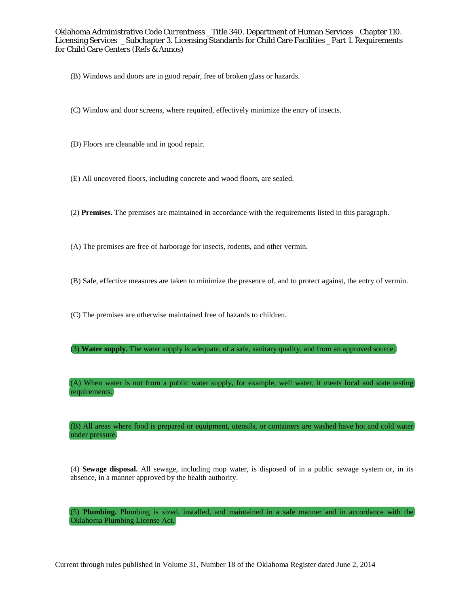- (B) Windows and doors are in good repair, free of broken glass or hazards.
- (C) Window and door screens, where required, effectively minimize the entry of insects.
- (D) Floors are cleanable and in good repair.
- (E) All uncovered floors, including concrete and wood floors, are sealed.
- (2) **Premises.** The premises are maintained in accordance with the requirements listed in this paragraph.
- (A) The premises are free of harborage for insects, rodents, and other vermin.
- (B) Safe, effective measures are taken to minimize the presence of, and to protect against, the entry of vermin.
- (C) The premises are otherwise maintained free of hazards to children.
- (3) **Water supply.** The water supply is adequate, of a safe, sanitary quality, and from an approved source.

(A) When water is not from a public water supply, for example, well water, it meets local and state testing requirements.

(B) All areas where food is prepared or equipment, utensils, or containers are washed have hot and cold water under pressure.

(4) **Sewage disposal.** All sewage, including mop water, is disposed of in a public sewage system or, in its absence, in a manner approved by the health authority.

(5) **Plumbing.** Plumbing is sized, installed, and maintained in a safe manner and in accordance with the Oklahoma Plumbing License Act.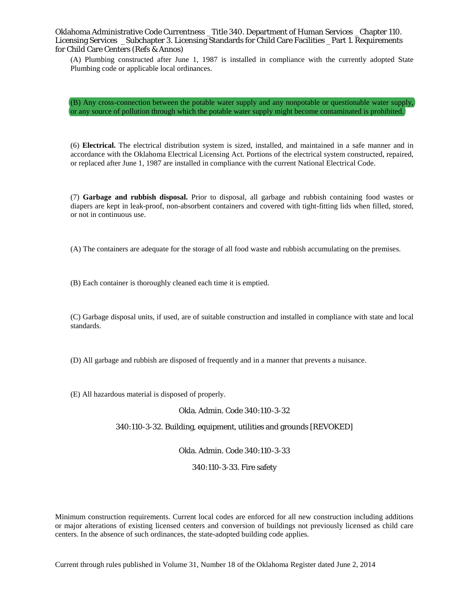(A) Plumbing constructed after June 1, 1987 is installed in compliance with the currently adopted State Plumbing code or applicable local ordinances.

(B) Any cross-connection between the potable water supply and any nonpotable or questionable water supply, or any source of pollution through which the potable water supply might become contaminated is prohibited.

(6) **Electrical.** The electrical distribution system is sized, installed, and maintained in a safe manner and in accordance with the Oklahoma Electrical Licensing Act. Portions of the electrical system constructed, repaired, or replaced after June 1, 1987 are installed in compliance with the current National Electrical Code.

(7) **Garbage and rubbish disposal.** Prior to disposal, all garbage and rubbish containing food wastes or diapers are kept in leak-proof, non-absorbent containers and covered with tight-fitting lids when filled, stored, or not in continuous use.

(A) The containers are adequate for the storage of all food waste and rubbish accumulating on the premises.

(B) Each container is thoroughly cleaned each time it is emptied.

(C) Garbage disposal units, if used, are of suitable construction and installed in compliance with state and local standards.

(D) All garbage and rubbish are disposed of frequently and in a manner that prevents a nuisance.

(E) All hazardous material is disposed of properly.

#### Okla. Admin. Code 340:110-3-32

### 340:110-3-32. Building, equipment, utilities and grounds [REVOKED]

Okla. Admin. Code 340:110-3-33

### 340:110-3-33. Fire safety

Minimum construction requirements. Current local codes are enforced for all new construction including additions or major alterations of existing licensed centers and conversion of buildings not previously licensed as child care centers. In the absence of such ordinances, the state-adopted building code applies.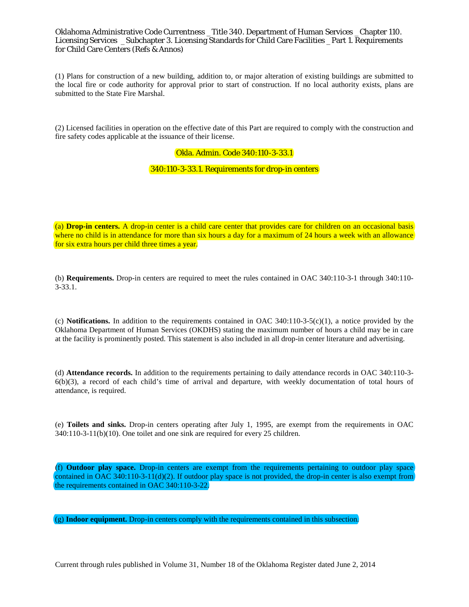(1) Plans for construction of a new building, addition to, or major alteration of existing buildings are submitted to the local fire or code authority for approval prior to start of construction. If no local authority exists, plans are submitted to the State Fire Marshal.

(2) Licensed facilities in operation on the effective date of this Part are required to comply with the construction and fire safety codes applicable at the issuance of their license.

## Okla. Admin. Code 340:110-3-33.1

## 340:110-3-33.1. Requirements for drop-in centers

(a) **Drop-in centers.** A drop-in center is a child care center that provides care for children on an occasional basis where no child is in attendance for more than six hours a day for a maximum of 24 hours a week with an allowance for six extra hours per child three times a year.

(b) **Requirements.** Drop-in centers are required to meet the rules contained in OAC 340:110-3-1 through 340:110- 3-33.1.

(c) **Notifications.** In addition to the requirements contained in OAC  $340:110-3.5(c)(1)$ , a notice provided by the Oklahoma Department of Human Services (OKDHS) stating the maximum number of hours a child may be in care at the facility is prominently posted. This statement is also included in all drop-in center literature and advertising.

(d) **Attendance records.** In addition to the requirements pertaining to daily attendance records in OAC 340:110-3- 6(b)(3), a record of each child's time of arrival and departure, with weekly documentation of total hours of attendance, is required.

(e) **Toilets and sinks.** Drop-in centers operating after July 1, 1995, are exempt from the requirements in OAC 340:110-3-11(b)(10). One toilet and one sink are required for every 25 children.

(f) **Outdoor play space.** Drop-in centers are exempt from the requirements pertaining to outdoor play space contained in OAC 340:110-3-11(d)(2). If outdoor play space is not provided, the drop-in center is also exempt from the requirements contained in OAC 340:110-3-22.

(g) **Indoor equipment.** Drop-in centers comply with the requirements contained in this subsection.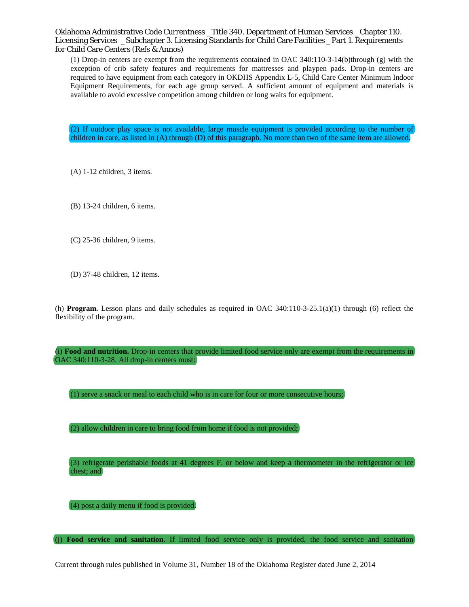(1) Drop-in centers are exempt from the requirements contained in OAC 340:110-3-14(b)through (g) with the exception of crib safety features and requirements for mattresses and playpen pads. Drop-in centers are required to have equipment from each category in OKDHS Appendix L-5, Child Care Center Minimum Indoor Equipment Requirements, for each age group served. A sufficient amount of equipment and materials is available to avoid excessive competition among children or long waits for equipment.

(2) If outdoor play space is not available, large muscle equipment is provided according to the number of children in care, as listed in (A) through (D) of this paragraph. No more than two of the same item are allowed.

(A) 1-12 children, 3 items.

(B) 13-24 children, 6 items.

- (C) 25-36 children, 9 items.
- (D) 37-48 children, 12 items.

(h) **Program.** Lesson plans and daily schedules as required in OAC 340:110-3-25.1(a)(1) through (6) reflect the flexibility of the program.

(i) **Food and nutrition.** Drop-in centers that provide limited food service only are exempt from the requirements in OAC 340:110-3-28. All drop-in centers must:

(1) serve a snack or meal to each child who is in care for four or more consecutive hours;

(2) allow children in care to bring food from home if food is not provided;

(3) refrigerate perishable foods at 41 degrees F. or below and keep a thermometer in the refrigerator or ice chest; and

(4) post a daily menu if food is provided.

(j) **Food service and sanitation.** If limited food service only is provided, the food service and sanitation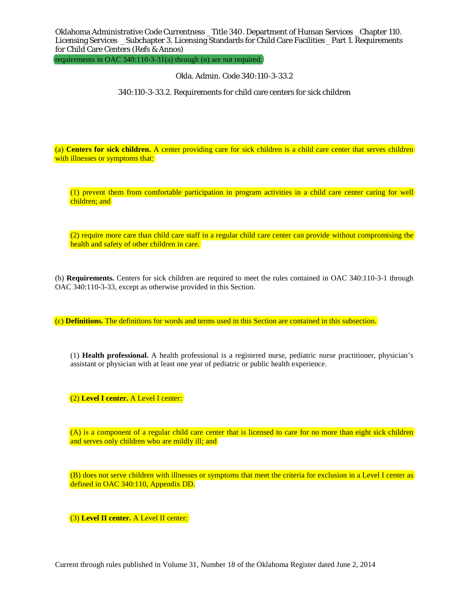requirements in OAC 340:110-3-31(a) through (n) are not required.

Okla. Admin. Code 340:110-3-33.2

340:110-3-33.2. Requirements for child care centers for sick children

(a) **Centers for sick children.** A center providing care for sick children is a child care center that serves children with illnesses or symptoms that:

(1) prevent them from comfortable participation in program activities in a child care center caring for well children; and

(2) require more care than child care staff in a regular child care center can provide without compromising the health and safety of other children in care.

(b) **Requirements.** Centers for sick children are required to meet the rules contained in OAC 340:110-3-1 through OAC 340:110-3-33, except as otherwise provided in this Section.

(c) **Definitions.** The definitions for words and terms used in this Section are contained in this subsection.

(1) **Health professional.** A health professional is a registered nurse, pediatric nurse practitioner, physician's assistant or physician with at least one year of pediatric or public health experience.

(2) **Level I center.** A Level I center:

(A) is a component of a regular child care center that is licensed to care for no more than eight sick children and serves only children who are mildly ill; and

(B) does not serve children with illnesses or symptoms that meet the criteria for exclusion in a Level I center as defined in OAC 340:110, Appendix DD.

(3) **Level II center.** A Level II center: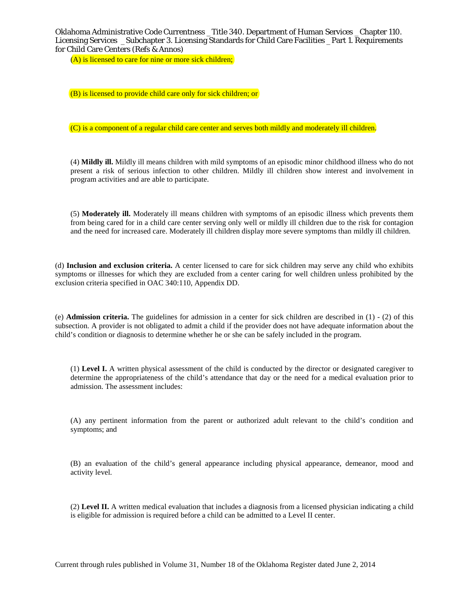(A) is licensed to care for nine or more sick children;

(B) is licensed to provide child care only for sick children; or

(C) is a component of a regular child care center and serves both mildly and moderately ill children.

(4) **Mildly ill.** Mildly ill means children with mild symptoms of an episodic minor childhood illness who do not present a risk of serious infection to other children. Mildly ill children show interest and involvement in program activities and are able to participate.

(5) **Moderately ill.** Moderately ill means children with symptoms of an episodic illness which prevents them from being cared for in a child care center serving only well or mildly ill children due to the risk for contagion and the need for increased care. Moderately ill children display more severe symptoms than mildly ill children.

(d) **Inclusion and exclusion criteria.** A center licensed to care for sick children may serve any child who exhibits symptoms or illnesses for which they are excluded from a center caring for well children unless prohibited by the exclusion criteria specified in OAC 340:110, Appendix DD.

(e) **Admission criteria.** The guidelines for admission in a center for sick children are described in (1) - (2) of this subsection. A provider is not obligated to admit a child if the provider does not have adequate information about the child's condition or diagnosis to determine whether he or she can be safely included in the program.

(1) **Level I.** A written physical assessment of the child is conducted by the director or designated caregiver to determine the appropriateness of the child's attendance that day or the need for a medical evaluation prior to admission. The assessment includes:

(A) any pertinent information from the parent or authorized adult relevant to the child's condition and symptoms; and

(B) an evaluation of the child's general appearance including physical appearance, demeanor, mood and activity level.

(2) **Level II.** A written medical evaluation that includes a diagnosis from a licensed physician indicating a child is eligible for admission is required before a child can be admitted to a Level II center.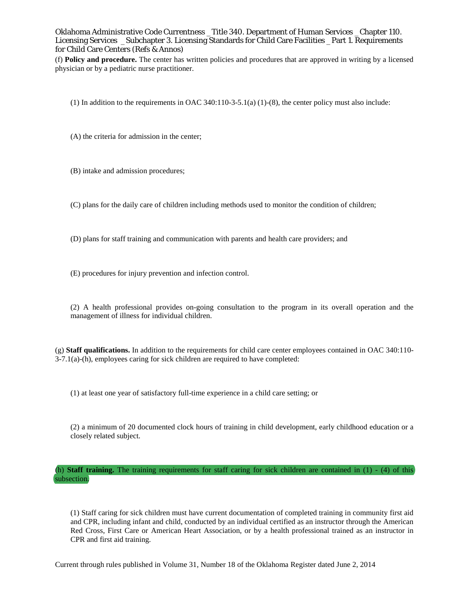(f) **Policy and procedure.** The center has written policies and procedures that are approved in writing by a licensed physician or by a pediatric nurse practitioner.

(1) In addition to the requirements in OAC  $340:110-3-5.1(a)$  (1)-(8), the center policy must also include:

(A) the criteria for admission in the center;

(B) intake and admission procedures;

(C) plans for the daily care of children including methods used to monitor the condition of children;

(D) plans for staff training and communication with parents and health care providers; and

(E) procedures for injury prevention and infection control.

(2) A health professional provides on-going consultation to the program in its overall operation and the management of illness for individual children.

(g) **Staff qualifications.** In addition to the requirements for child care center employees contained in OAC 340:110- 3-7.1(a)-(h), employees caring for sick children are required to have completed:

(1) at least one year of satisfactory full-time experience in a child care setting; or

(2) a minimum of 20 documented clock hours of training in child development, early childhood education or a closely related subject.

(h) **Staff training.** The training requirements for staff caring for sick children are contained in  $(1) - (4)$  of this subsection.

(1) Staff caring for sick children must have current documentation of completed training in community first aid and CPR, including infant and child, conducted by an individual certified as an instructor through the American Red Cross, First Care or American Heart Association, or by a health professional trained as an instructor in CPR and first aid training.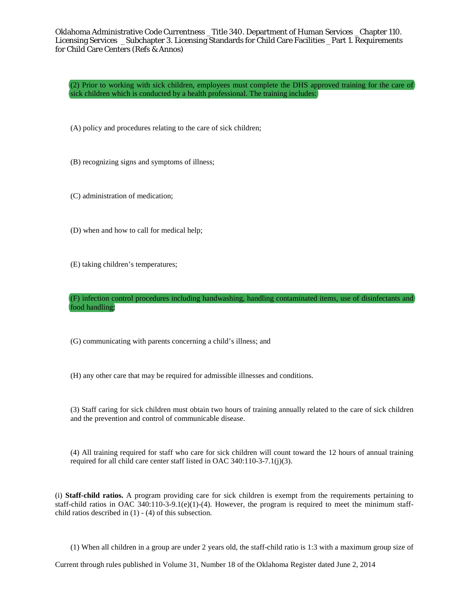(2) Prior to working with sick children, employees must complete the DHS approved training for the care of sick children which is conducted by a health professional. The training includes:

(A) policy and procedures relating to the care of sick children;

(B) recognizing signs and symptoms of illness;

(C) administration of medication;

(D) when and how to call for medical help;

(E) taking children's temperatures;

(F) infection control procedures including handwashing, handling contaminated items, use of disinfectants and food handling;

(G) communicating with parents concerning a child's illness; and

(H) any other care that may be required for admissible illnesses and conditions.

(3) Staff caring for sick children must obtain two hours of training annually related to the care of sick children and the prevention and control of communicable disease.

(4) All training required for staff who care for sick children will count toward the 12 hours of annual training required for all child care center staff listed in OAC 340:110-3-7.1(j)(3).

(i) **Staff-child ratios.** A program providing care for sick children is exempt from the requirements pertaining to staff-child ratios in OAC 340:110-3-9.1(e)(1)-(4). However, the program is required to meet the minimum staffchild ratios described in  $(1)$  -  $(4)$  of this subsection.

(1) When all children in a group are under 2 years old, the staff-child ratio is 1:3 with a maximum group size of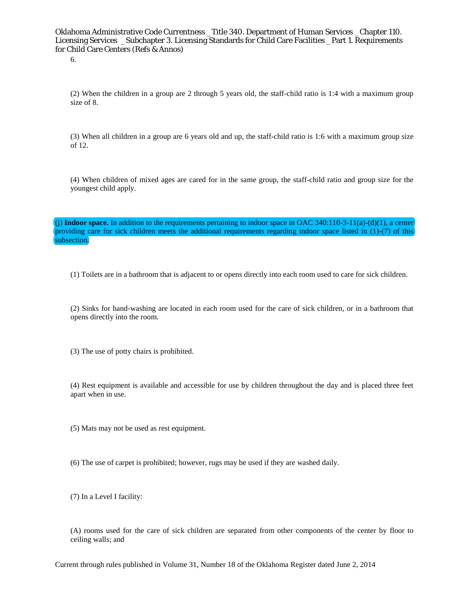6.

(2) When the children in a group are 2 through 5 years old, the staff-child ratio is 1:4 with a maximum group size of 8.

(3) When all children in a group are 6 years old and up, the staff-child ratio is 1:6 with a maximum group size of 12.

(4) When children of mixed ages are cared for in the same group, the staff-child ratio and group size for the youngest child apply.

(i) **Indoor space.** In addition to the requirements pertaining to indoor space in OAC 340:110-3-11(a)-(d)(1), a center providing care for sick children meets the additional requirements regarding indoor space listed in (1)-(7) of this subsection.

(1) Toilets are in a bathroom that is adjacent to or opens directly into each room used to care for sick children.

(2) Sinks for hand-washing are located in each room used for the care of sick children, or in a bathroom that opens directly into the room.

(3) The use of potty chairs is prohibited.

(4) Rest equipment is available and accessible for use by children throughout the day and is placed three feet apart when in use.

(5) Mats may not be used as rest equipment.

(6) The use of carpet is prohibited; however, rugs may be used if they are washed daily.

(7) In a Level I facility:

(A) rooms used for the care of sick children are separated from other components of the center by floor to ceiling walls; and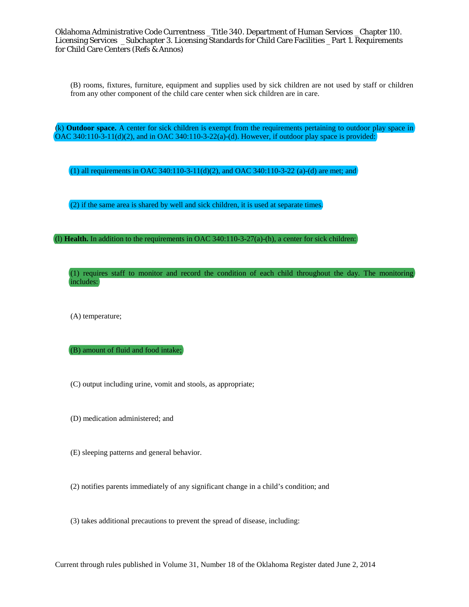(B) rooms, fixtures, furniture, equipment and supplies used by sick children are not used by staff or children from any other component of the child care center when sick children are in care.

(k) **Outdoor space.** A center for sick children is exempt from the requirements pertaining to outdoor play space in OAC 340:110-3-11(d)(2), and in OAC 340:110-3-22(a)-(d). However, if outdoor play space is provided:

(1) all requirements in OAC 340:110-3-11(d)(2), and OAC 340:110-3-22 (a)-(d) are met; and

(2) if the same area is shared by well and sick children, it is used at separate times.

(l) **Health.** In addition to the requirements in OAC 340:110-3-27(a)-(h), a center for sick children:

(1) requires staff to monitor and record the condition of each child throughout the day. The monitoring includes:

(A) temperature;

(B) amount of fluid and food intake;

(C) output including urine, vomit and stools, as appropriate;

- (D) medication administered; and
- (E) sleeping patterns and general behavior.

(2) notifies parents immediately of any significant change in a child's condition; and

(3) takes additional precautions to prevent the spread of disease, including: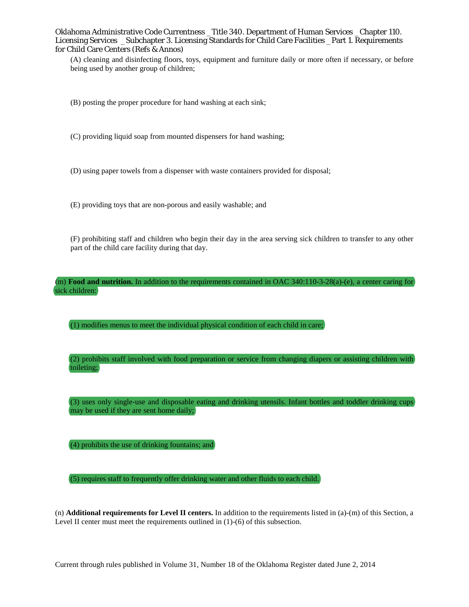(A) cleaning and disinfecting floors, toys, equipment and furniture daily or more often if necessary, or before being used by another group of children;

(B) posting the proper procedure for hand washing at each sink;

(C) providing liquid soap from mounted dispensers for hand washing;

(D) using paper towels from a dispenser with waste containers provided for disposal;

(E) providing toys that are non-porous and easily washable; and

(F) prohibiting staff and children who begin their day in the area serving sick children to transfer to any other part of the child care facility during that day.

(m) **Food and nutrition.** In addition to the requirements contained in OAC 340:110-3-28(a)-(e), a center caring for sick children:

(1) modifies menus to meet the individual physical condition of each child in care;

(2) prohibits staff involved with food preparation or service from changing diapers or assisting children with toileting;

(3) uses only single-use and disposable eating and drinking utensils. Infant bottles and toddler drinking cups may be used if they are sent home daily;

(4) prohibits the use of drinking fountains; and

(5) requires staff to frequently offer drinking water and other fluids to each child.

(n) **Additional requirements for Level II centers.** In addition to the requirements listed in (a)-(m) of this Section, a Level II center must meet the requirements outlined in (1)-(6) of this subsection.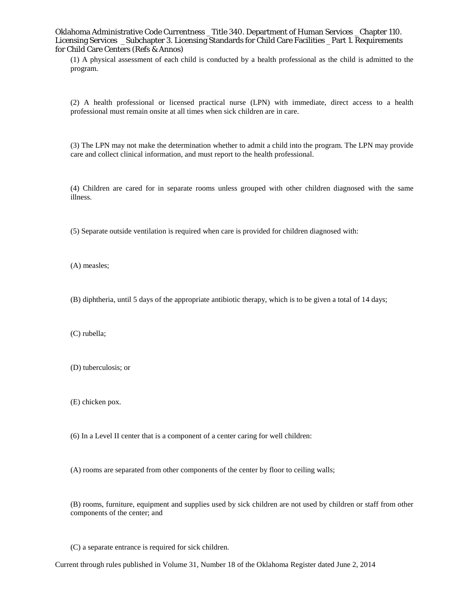(1) A physical assessment of each child is conducted by a health professional as the child is admitted to the program.

(2) A health professional or licensed practical nurse (LPN) with immediate, direct access to a health professional must remain onsite at all times when sick children are in care.

(3) The LPN may not make the determination whether to admit a child into the program. The LPN may provide care and collect clinical information, and must report to the health professional.

(4) Children are cared for in separate rooms unless grouped with other children diagnosed with the same illness.

(5) Separate outside ventilation is required when care is provided for children diagnosed with:

(A) measles;

(B) diphtheria, until 5 days of the appropriate antibiotic therapy, which is to be given a total of 14 days;

(C) rubella;

(D) tuberculosis; or

(E) chicken pox.

(6) In a Level II center that is a component of a center caring for well children:

(A) rooms are separated from other components of the center by floor to ceiling walls;

(B) rooms, furniture, equipment and supplies used by sick children are not used by children or staff from other components of the center; and

(C) a separate entrance is required for sick children.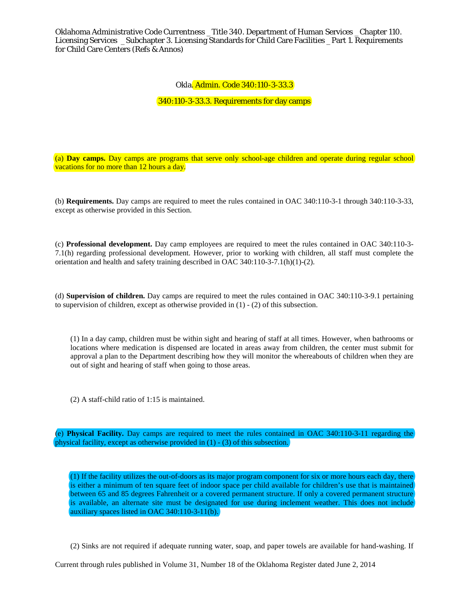# Okla. Admin. Code 340:110-3-33.3

340:110-3-33.3. Requirements for day camps

(a) **Day camps.** Day camps are programs that serve only school-age children and operate during regular school vacations for no more than 12 hours a day.

(b) **Requirements.** Day camps are required to meet the rules contained in OAC 340:110-3-1 through 340:110-3-33, except as otherwise provided in this Section.

(c) **Professional development.** Day camp employees are required to meet the rules contained in OAC 340:110-3- 7.1(h) regarding professional development. However, prior to working with children, all staff must complete the orientation and health and safety training described in OAC 340:110-3-7.1(h)(1)-(2).

(d) **Supervision of children.** Day camps are required to meet the rules contained in OAC 340:110-3-9.1 pertaining to supervision of children, except as otherwise provided in (1) - (2) of this subsection.

(1) In a day camp, children must be within sight and hearing of staff at all times. However, when bathrooms or locations where medication is dispensed are located in areas away from children, the center must submit for approval a plan to the Department describing how they will monitor the whereabouts of children when they are out of sight and hearing of staff when going to those areas.

(2) A staff-child ratio of 1:15 is maintained.

(e) **Physical Facility.** Day camps are required to meet the rules contained in OAC 340:110-3-11 regarding the physical facility, except as otherwise provided in (1) - (3) of this subsection.

(1) If the facility utilizes the out-of-doors as its major program component for six or more hours each day, there is either a minimum of ten square feet of indoor space per child available for children's use that is maintained between 65 and 85 degrees Fahrenheit or a covered permanent structure. If only a covered permanent structure is available, an alternate site must be designated for use during inclement weather. This does not include auxiliary spaces listed in OAC 340:110-3-11(b).

(2) Sinks are not required if adequate running water, soap, and paper towels are available for hand-washing. If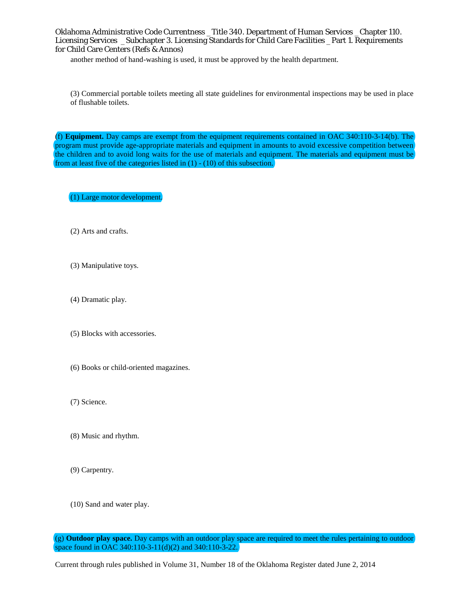another method of hand-washing is used, it must be approved by the health department.

(3) Commercial portable toilets meeting all state guidelines for environmental inspections may be used in place of flushable toilets.

(f) **Equipment.** Day camps are exempt from the equipment requirements contained in OAC 340:110-3-14(b). The program must provide age-appropriate materials and equipment in amounts to avoid excessive competition between the children and to avoid long waits for the use of materials and equipment. The materials and equipment must be from at least five of the categories listed in (1) - (10) of this subsection.

(1) Large motor development.

- (2) Arts and crafts.
- (3) Manipulative toys.
- (4) Dramatic play.
- (5) Blocks with accessories.
- (6) Books or child-oriented magazines.
- (7) Science.
- (8) Music and rhythm.
- (9) Carpentry.
- (10) Sand and water play.

<sup>(</sup>g) **Outdoor play space.** Day camps with an outdoor play space are required to meet the rules pertaining to outdoor space found in OAC 340:110-3-11(d)(2) and 340:110-3-22.